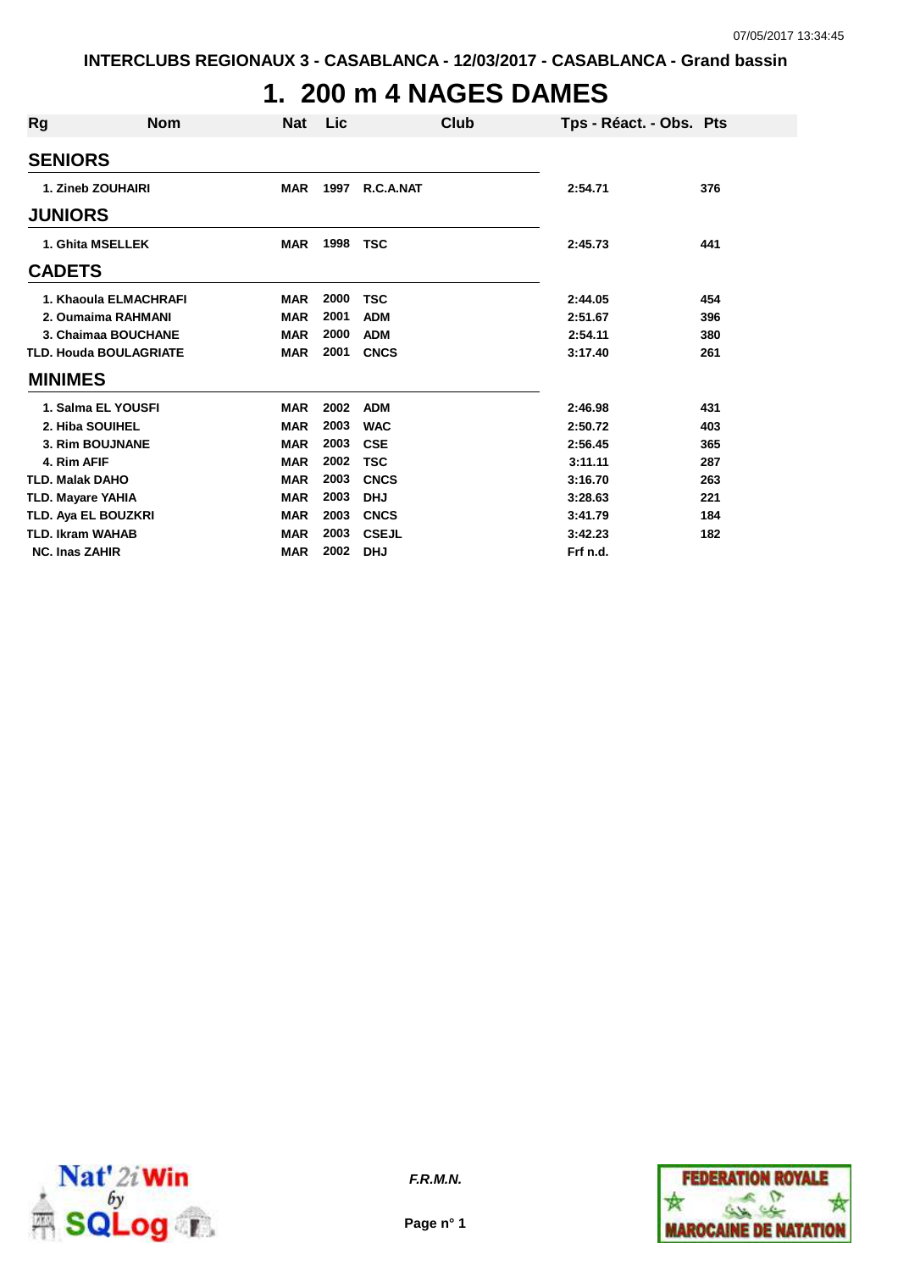# **1. 200 m 4 NAGES DAMES**

| Rg                       | <b>Nom</b>                    | <b>Nat</b> | <b>Lic</b> | Club         | Tps - Réact. - Obs. Pts |     |
|--------------------------|-------------------------------|------------|------------|--------------|-------------------------|-----|
| <b>SENIORS</b>           |                               |            |            |              |                         |     |
|                          | 1. Zineb ZOUHAIRI             | <b>MAR</b> | 1997       | R.C.A.NAT    | 2:54.71                 | 376 |
| <b>JUNIORS</b>           |                               |            |            |              |                         |     |
|                          | 1. Ghita MSELLEK              | <b>MAR</b> | 1998       | <b>TSC</b>   | 2:45.73                 | 441 |
| <b>CADETS</b>            |                               |            |            |              |                         |     |
|                          | 1. Khaoula ELMACHRAFI         | <b>MAR</b> | 2000       | TSC          | 2:44.05                 | 454 |
|                          | 2. Oumaima RAHMANI            | <b>MAR</b> | 2001       | <b>ADM</b>   | 2:51.67                 | 396 |
|                          | 3. Chaimaa BOUCHANE           | <b>MAR</b> | 2000       | <b>ADM</b>   | 2:54.11                 | 380 |
|                          | <b>TLD. Houda BOULAGRIATE</b> | <b>MAR</b> | 2001       | <b>CNCS</b>  | 3:17.40                 | 261 |
| <b>MINIMES</b>           |                               |            |            |              |                         |     |
|                          | 1. Salma EL YOUSFI            | <b>MAR</b> | 2002       | <b>ADM</b>   | 2:46.98                 | 431 |
|                          | 2. Hiba SOUIHEL               | <b>MAR</b> | 2003       | <b>WAC</b>   | 2:50.72                 | 403 |
|                          | <b>3. Rim BOUJNANE</b>        | <b>MAR</b> | 2003       | <b>CSE</b>   | 2:56.45                 | 365 |
| 4. Rim AFIF              |                               | <b>MAR</b> | 2002       | <b>TSC</b>   | 3:11.11                 | 287 |
| <b>TLD. Malak DAHO</b>   |                               | <b>MAR</b> | 2003       | <b>CNCS</b>  | 3:16.70                 | 263 |
| <b>TLD. Mayare YAHIA</b> |                               | <b>MAR</b> | 2003       | <b>DHJ</b>   | 3:28.63                 | 221 |
|                          | TLD. Aya EL BOUZKRI           | <b>MAR</b> | 2003       | <b>CNCS</b>  | 3:41.79                 | 184 |
| <b>TLD. Ikram WAHAB</b>  |                               | <b>MAR</b> | 2003       | <b>CSEJL</b> | 3:42.23                 | 182 |
| <b>NC. Inas ZAHIR</b>    |                               | <b>MAR</b> | 2002       | <b>DHJ</b>   | Frf n.d.                |     |



**Page n° 1**

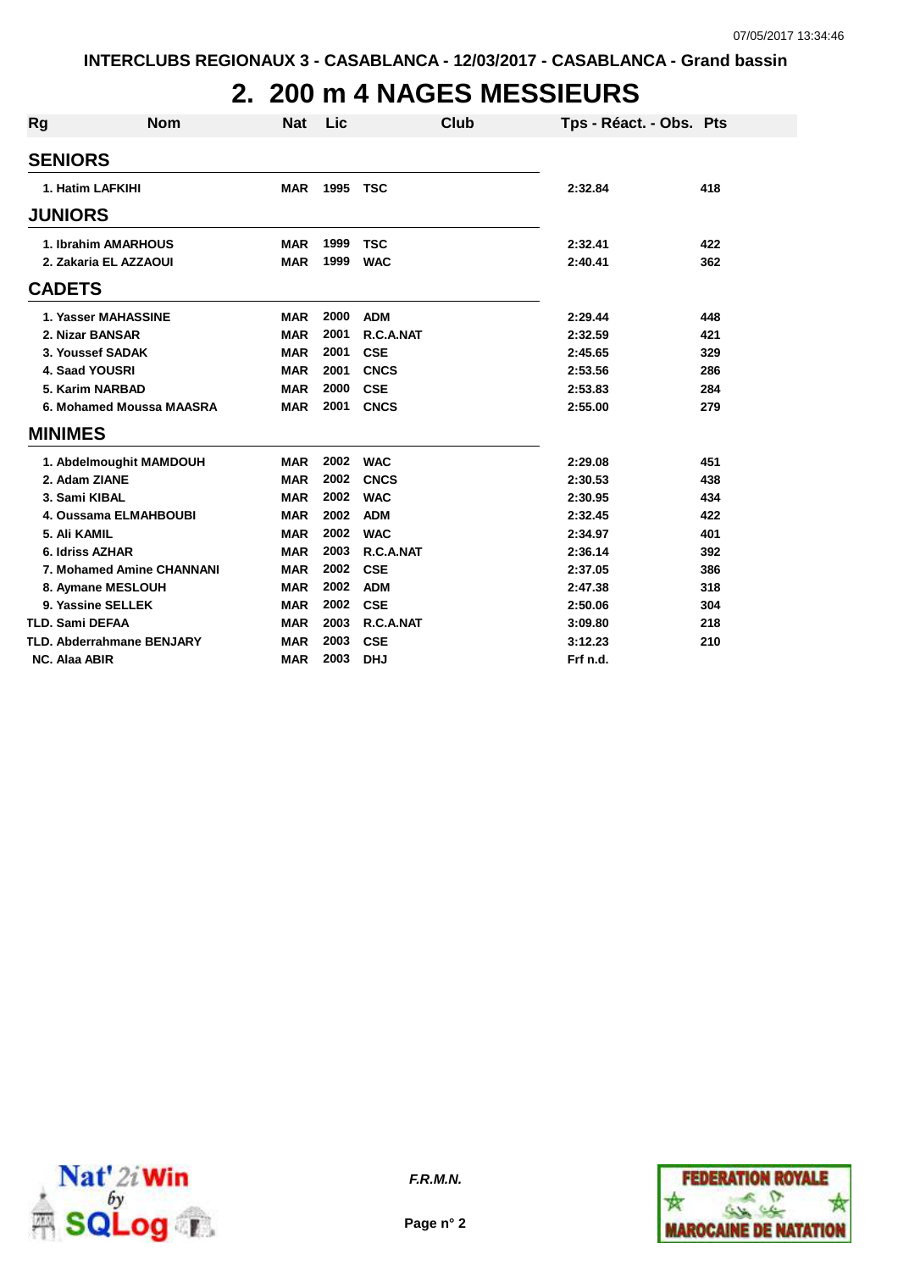# **2. 200 m 4 NAGES MESSIEURS**

| Rg                   | <b>Nom</b>                       | <b>Nat</b> | Lic  | Club        | Tps - Réact. - Obs. Pts |     |
|----------------------|----------------------------------|------------|------|-------------|-------------------------|-----|
| <b>SENIORS</b>       |                                  |            |      |             |                         |     |
|                      | 1. Hatim LAFKIHI                 | <b>MAR</b> | 1995 | <b>TSC</b>  | 2:32.84                 | 418 |
| <b>JUNIORS</b>       |                                  |            |      |             |                         |     |
|                      | 1. Ibrahim AMARHOUS              | <b>MAR</b> | 1999 | <b>TSC</b>  | 2:32.41                 | 422 |
|                      | 2. Zakaria EL AZZAOUI            | <b>MAR</b> | 1999 | <b>WAC</b>  | 2:40.41                 | 362 |
| <b>CADETS</b>        |                                  |            |      |             |                         |     |
|                      | 1. Yasser MAHASSINE              | <b>MAR</b> | 2000 | <b>ADM</b>  | 2:29.44                 | 448 |
|                      | 2. Nizar BANSAR                  | <b>MAR</b> | 2001 | R.C.A.NAT   | 2:32.59                 | 421 |
|                      | 3. Youssef SADAK                 | <b>MAR</b> | 2001 | <b>CSE</b>  | 2:45.65                 | 329 |
|                      | 4. Saad YOUSRI                   | <b>MAR</b> | 2001 | <b>CNCS</b> | 2:53.56                 | 286 |
|                      | 5. Karim NARBAD                  | <b>MAR</b> | 2000 | <b>CSE</b>  | 2:53.83                 | 284 |
|                      | 6. Mohamed Moussa MAASRA         | <b>MAR</b> | 2001 | <b>CNCS</b> | 2:55.00                 | 279 |
| <b>MINIMES</b>       |                                  |            |      |             |                         |     |
|                      | 1. Abdelmoughit MAMDOUH          | <b>MAR</b> | 2002 | <b>WAC</b>  | 2:29.08                 | 451 |
|                      | 2. Adam ZIANE                    | <b>MAR</b> | 2002 | <b>CNCS</b> | 2:30.53                 | 438 |
|                      | 3. Sami KIBAL                    | <b>MAR</b> | 2002 | <b>WAC</b>  | 2:30.95                 | 434 |
|                      | 4. Oussama ELMAHBOUBI            | <b>MAR</b> | 2002 | <b>ADM</b>  | 2:32.45                 | 422 |
|                      | 5. Ali KAMIL                     | <b>MAR</b> | 2002 | <b>WAC</b>  | 2:34.97                 | 401 |
|                      | 6. Idriss AZHAR                  | <b>MAR</b> | 2003 | R.C.A.NAT   | 2:36.14                 | 392 |
|                      | 7. Mohamed Amine CHANNANI        | <b>MAR</b> | 2002 | <b>CSE</b>  | 2:37.05                 | 386 |
|                      | 8. Aymane MESLOUH                | <b>MAR</b> | 2002 | <b>ADM</b>  | 2:47.38                 | 318 |
|                      | 9. Yassine SELLEK                | <b>MAR</b> | 2002 | <b>CSE</b>  | 2:50.06                 | 304 |
|                      | <b>TLD. Sami DEFAA</b>           | <b>MAR</b> | 2003 | R.C.A.NAT   | 3:09.80                 | 218 |
|                      | <b>TLD. Abderrahmane BENJARY</b> | <b>MAR</b> | 2003 | <b>CSE</b>  | 3:12.23                 | 210 |
| <b>NC. Alaa ABIR</b> |                                  | <b>MAR</b> | 2003 | <b>DHJ</b>  | Frf n.d.                |     |





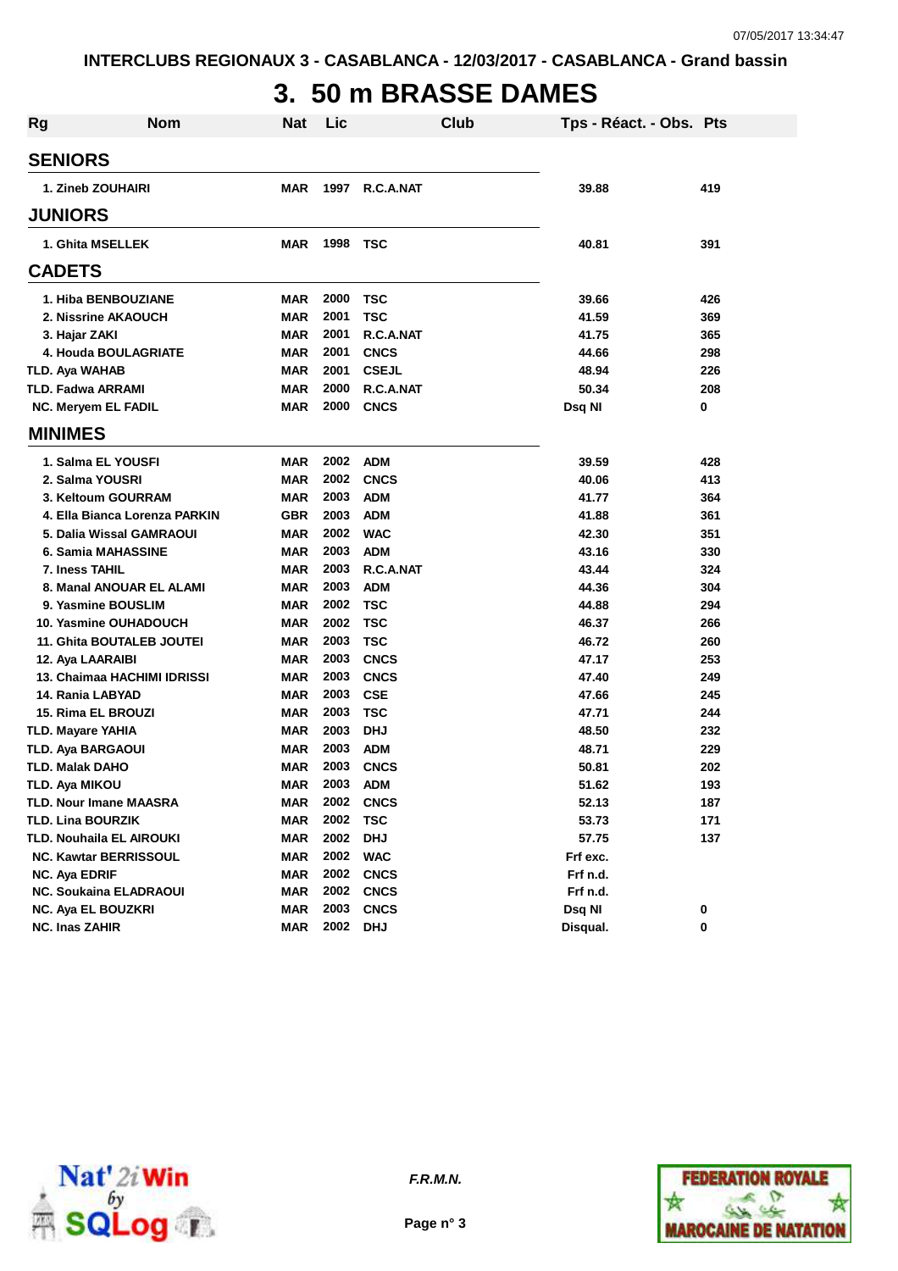## **3. 50 m BRASSE DAMES**

| <b>Rg</b> | <b>Nom</b>                      | <b>Nat</b> | Lic  |              | Club | Tps - Réact. - Obs. Pts |     |
|-----------|---------------------------------|------------|------|--------------|------|-------------------------|-----|
|           | <b>SENIORS</b>                  |            |      |              |      |                         |     |
|           | 1. Zineb ZOUHAIRI               | <b>MAR</b> | 1997 | R.C.A.NAT    |      | 39.88                   | 419 |
|           | <b>JUNIORS</b>                  |            |      |              |      |                         |     |
|           | 1. Ghita MSELLEK                | <b>MAR</b> | 1998 | <b>TSC</b>   |      | 40.81                   | 391 |
|           | <b>CADETS</b>                   |            |      |              |      |                         |     |
|           | 1. Hiba BENBOUZIANE             | <b>MAR</b> | 2000 | TSC          |      | 39.66                   | 426 |
|           | 2. Nissrine AKAOUCH             | <b>MAR</b> | 2001 | <b>TSC</b>   |      | 41.59                   | 369 |
|           | 3. Hajar ZAKI                   | <b>MAR</b> | 2001 | R.C.A.NAT    |      | 41.75                   | 365 |
|           | 4. Houda BOULAGRIATE            | <b>MAR</b> | 2001 | <b>CNCS</b>  |      | 44.66                   | 298 |
|           | TLD. Aya WAHAB                  | <b>MAR</b> | 2001 | <b>CSEJL</b> |      | 48.94                   | 226 |
|           | TLD. Fadwa ARRAMI               | <b>MAR</b> | 2000 | R.C.A.NAT    |      | 50.34                   | 208 |
|           | <b>NC. Meryem EL FADIL</b>      | <b>MAR</b> | 2000 | <b>CNCS</b>  |      | Dsq NI                  | 0   |
|           | <b>MINIMES</b>                  |            |      |              |      |                         |     |
|           | 1. Salma EL YOUSFI              | <b>MAR</b> | 2002 | <b>ADM</b>   |      | 39.59                   | 428 |
|           | 2. Salma YOUSRI                 | <b>MAR</b> | 2002 | <b>CNCS</b>  |      | 40.06                   | 413 |
|           | 3. Keltoum GOURRAM              | <b>MAR</b> | 2003 | <b>ADM</b>   |      | 41.77                   | 364 |
|           | 4. Ella Bianca Lorenza PARKIN   | <b>GBR</b> | 2003 | <b>ADM</b>   |      | 41.88                   | 361 |
|           | 5. Dalia Wissal GAMRAOUI        | <b>MAR</b> | 2002 | <b>WAC</b>   |      | 42.30                   | 351 |
|           | 6. Samia MAHASSINE              | <b>MAR</b> | 2003 | <b>ADM</b>   |      | 43.16                   | 330 |
|           | 7. Iness TAHIL                  | <b>MAR</b> | 2003 | R.C.A.NAT    |      | 43.44                   | 324 |
|           | 8. Manal ANOUAR EL ALAMI        | <b>MAR</b> | 2003 | <b>ADM</b>   |      | 44.36                   | 304 |
|           | 9. Yasmine BOUSLIM              | <b>MAR</b> | 2002 | <b>TSC</b>   |      | 44.88                   | 294 |
|           | 10. Yasmine OUHADOUCH           | <b>MAR</b> | 2002 | <b>TSC</b>   |      | 46.37                   | 266 |
|           | 11. Ghita BOUTALEB JOUTEI       | <b>MAR</b> | 2003 | <b>TSC</b>   |      | 46.72                   | 260 |
|           | 12. Aya LAARAIBI                | <b>MAR</b> | 2003 | <b>CNCS</b>  |      | 47.17                   | 253 |
|           | 13. Chaimaa HACHIMI IDRISSI     | <b>MAR</b> | 2003 | <b>CNCS</b>  |      | 47.40                   | 249 |
|           | 14. Rania LABYAD                | <b>MAR</b> | 2003 | <b>CSE</b>   |      | 47.66                   | 245 |
|           | <b>15. Rima EL BROUZI</b>       | <b>MAR</b> | 2003 | <b>TSC</b>   |      | 47.71                   | 244 |
|           | <b>TLD. Mayare YAHIA</b>        | <b>MAR</b> | 2003 | <b>DHJ</b>   |      | 48.50                   | 232 |
|           | TLD. Aya BARGAOUI               | MAR        | 2003 | <b>ADM</b>   |      | 48.71                   | 229 |
|           | <b>TLD. Malak DAHO</b>          | <b>MAR</b> | 2003 | <b>CNCS</b>  |      | 50.81                   | 202 |
|           | TLD. Aya MIKOU                  | <b>MAR</b> | 2003 | <b>ADM</b>   |      | 51.62                   | 193 |
|           | <b>TLD. Nour Imane MAASRA</b>   | MAR        | 2002 | <b>CNCS</b>  |      | 52.13                   | 187 |
|           | <b>TLD. Lina BOURZIK</b>        | <b>MAR</b> | 2002 | <b>TSC</b>   |      | 53.73                   | 171 |
|           | <b>TLD. Nouhaila EL AIROUKI</b> | <b>MAR</b> | 2002 | <b>DHJ</b>   |      | 57.75                   | 137 |
|           | <b>NC. Kawtar BERRISSOUL</b>    | <b>MAR</b> | 2002 | <b>WAC</b>   |      | Frf exc.                |     |
|           | <b>NC. Aya EDRIF</b>            | <b>MAR</b> | 2002 | <b>CNCS</b>  |      | Frf n.d.                |     |
|           | <b>NC. Soukaina ELADRAOUI</b>   | <b>MAR</b> | 2002 | <b>CNCS</b>  |      | Frf n.d.                |     |
|           | <b>NC. Aya EL BOUZKRI</b>       | <b>MAR</b> | 2003 | <b>CNCS</b>  |      | Dsq NI                  | 0   |
|           | <b>NC. Inas ZAHIR</b>           | <b>MAR</b> | 2002 | <b>DHJ</b>   |      | Disqual.                | 0   |



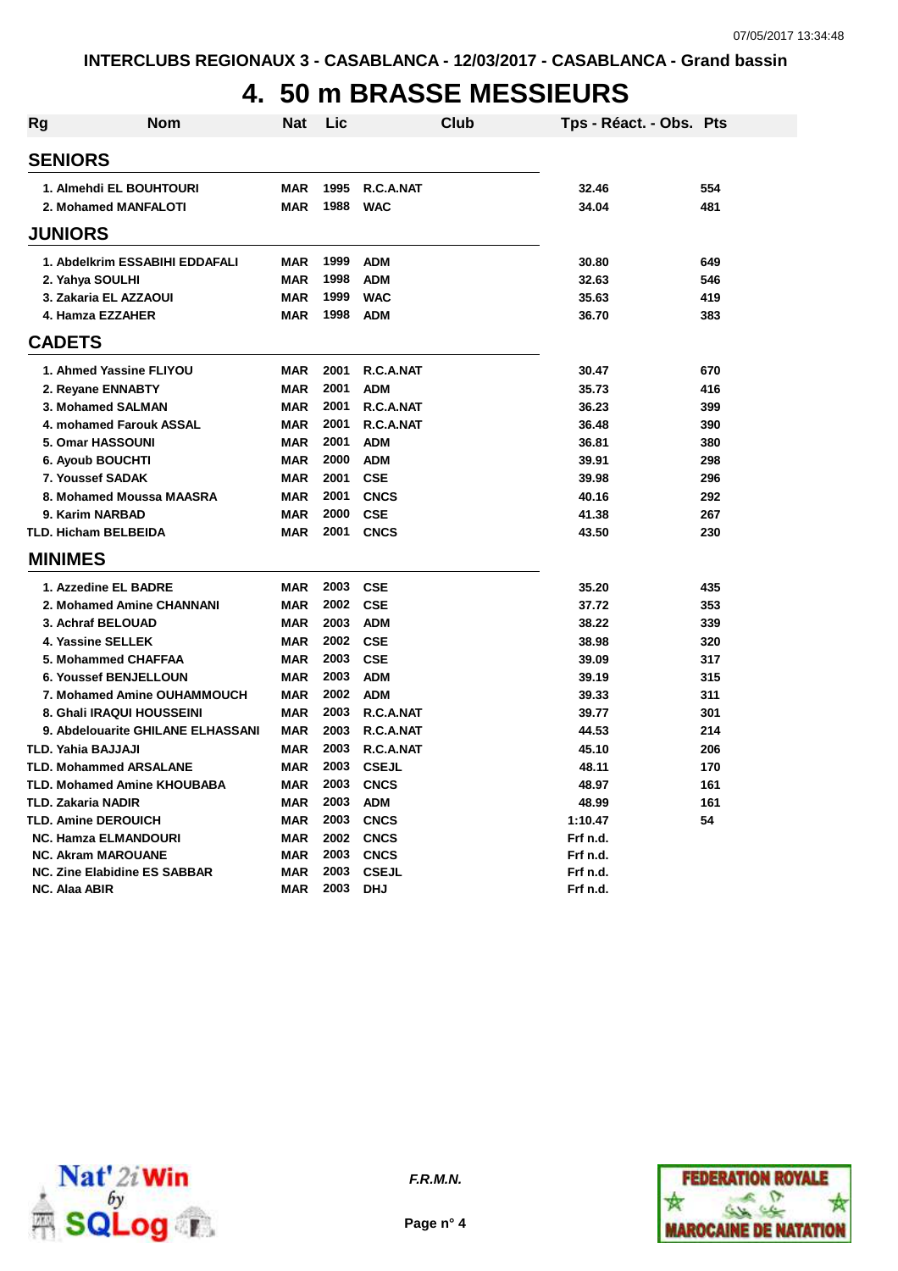# **4. 50 m BRASSE MESSIEURS**

| <b>Rg</b> | <b>Nom</b>                          | <b>Nat</b> | Lic      | Club         | Tps - Réact. - Obs. Pts |     |
|-----------|-------------------------------------|------------|----------|--------------|-------------------------|-----|
|           | <b>SENIORS</b>                      |            |          |              |                         |     |
|           | 1. Almehdi EL BOUHTOURI             | <b>MAR</b> | 1995     | R.C.A.NAT    | 32.46                   | 554 |
|           | 2. Mohamed MANFALOTI                | <b>MAR</b> | 1988     | <b>WAC</b>   | 34.04                   | 481 |
|           | <b>JUNIORS</b>                      |            |          |              |                         |     |
|           | 1. Abdelkrim ESSABIHI EDDAFALI      | <b>MAR</b> | 1999     | <b>ADM</b>   | 30.80                   | 649 |
|           | 2. Yahya SOULHI                     | <b>MAR</b> | 1998     | <b>ADM</b>   | 32.63                   | 546 |
|           | 3. Zakaria EL AZZAOUI               | <b>MAR</b> | 1999     | <b>WAC</b>   | 35.63                   | 419 |
|           | 4. Hamza EZZAHER                    | <b>MAR</b> | 1998     | <b>ADM</b>   | 36.70                   | 383 |
|           | <b>CADETS</b>                       |            |          |              |                         |     |
|           | 1. Ahmed Yassine FLIYOU             | <b>MAR</b> | 2001     | R.C.A.NAT    | 30.47                   | 670 |
|           | 2. Reyane ENNABTY                   | <b>MAR</b> | 2001     | <b>ADM</b>   | 35.73                   | 416 |
|           | 3. Mohamed SALMAN                   | <b>MAR</b> | 2001     | R.C.A.NAT    | 36.23                   | 399 |
|           | 4. mohamed Farouk ASSAL             | <b>MAR</b> | 2001     | R.C.A.NAT    | 36.48                   | 390 |
|           | 5. Omar HASSOUNI                    | <b>MAR</b> | 2001     | <b>ADM</b>   | 36.81                   | 380 |
|           | 6. Ayoub BOUCHTI                    | <b>MAR</b> | 2000     | <b>ADM</b>   | 39.91                   | 298 |
|           | 7. Youssef SADAK                    | <b>MAR</b> | 2001     | <b>CSE</b>   | 39.98                   | 296 |
|           | 8. Mohamed Moussa MAASRA            | <b>MAR</b> | 2001     | <b>CNCS</b>  | 40.16                   | 292 |
|           | 9. Karim NARBAD                     | <b>MAR</b> | 2000     | <b>CSE</b>   | 41.38                   | 267 |
|           | <b>TLD. Hicham BELBEIDA</b>         | <b>MAR</b> | 2001     | <b>CNCS</b>  | 43.50                   | 230 |
|           | <b>MINIMES</b>                      |            |          |              |                         |     |
|           | 1. Azzedine EL BADRE                | <b>MAR</b> | 2003     | CSE          | 35.20                   | 435 |
|           | 2. Mohamed Amine CHANNANI           | <b>MAR</b> | 2002 CSE |              | 37.72                   | 353 |
|           | 3. Achraf BELOUAD                   | <b>MAR</b> | 2003     | <b>ADM</b>   | 38.22                   | 339 |
|           | <b>4. Yassine SELLEK</b>            | <b>MAR</b> | 2002     | <b>CSE</b>   | 38.98                   | 320 |
|           | 5. Mohammed CHAFFAA                 | <b>MAR</b> | 2003     | <b>CSE</b>   | 39.09                   | 317 |
|           | <b>6. Youssef BENJELLOUN</b>        | <b>MAR</b> | 2003     | <b>ADM</b>   | 39.19                   | 315 |
|           | 7. Mohamed Amine OUHAMMOUCH         | <b>MAR</b> | 2002     | <b>ADM</b>   | 39.33                   | 311 |
|           | 8. Ghali IRAQUI HOUSSEINI           | <b>MAR</b> | 2003     | R.C.A.NAT    | 39.77                   | 301 |
|           | 9. Abdelouarite GHILANE ELHASSANI   | <b>MAR</b> | 2003     | R.C.A.NAT    | 44.53                   | 214 |
|           | <b>TLD. Yahia BAJJAJI</b>           | <b>MAR</b> | 2003     | R.C.A.NAT    | 45.10                   | 206 |
|           | <b>TLD. Mohammed ARSALANE</b>       | <b>MAR</b> | 2003     | <b>CSEJL</b> | 48.11                   | 170 |
|           | <b>TLD. Mohamed Amine KHOUBABA</b>  | <b>MAR</b> | 2003     | <b>CNCS</b>  | 48.97                   | 161 |
|           | <b>TLD. Zakaria NADIR</b>           | <b>MAR</b> | 2003     | <b>ADM</b>   | 48.99                   | 161 |
|           | <b>TLD. Amine DEROUICH</b>          | <b>MAR</b> | 2003     | <b>CNCS</b>  | 1:10.47                 | 54  |
|           | <b>NC. Hamza ELMANDOURI</b>         | <b>MAR</b> | 2002     | <b>CNCS</b>  | Frf n.d.                |     |
|           | <b>NC. Akram MAROUANE</b>           | <b>MAR</b> | 2003     | <b>CNCS</b>  | Frf n.d.                |     |
|           | <b>NC. Zine Elabidine ES SABBAR</b> | <b>MAR</b> | 2003     | <b>CSEJL</b> | Frf n.d.                |     |
|           | <b>NC. Alaa ABIR</b>                | <b>MAR</b> | 2003     | <b>DHJ</b>   | Frf n.d.                |     |



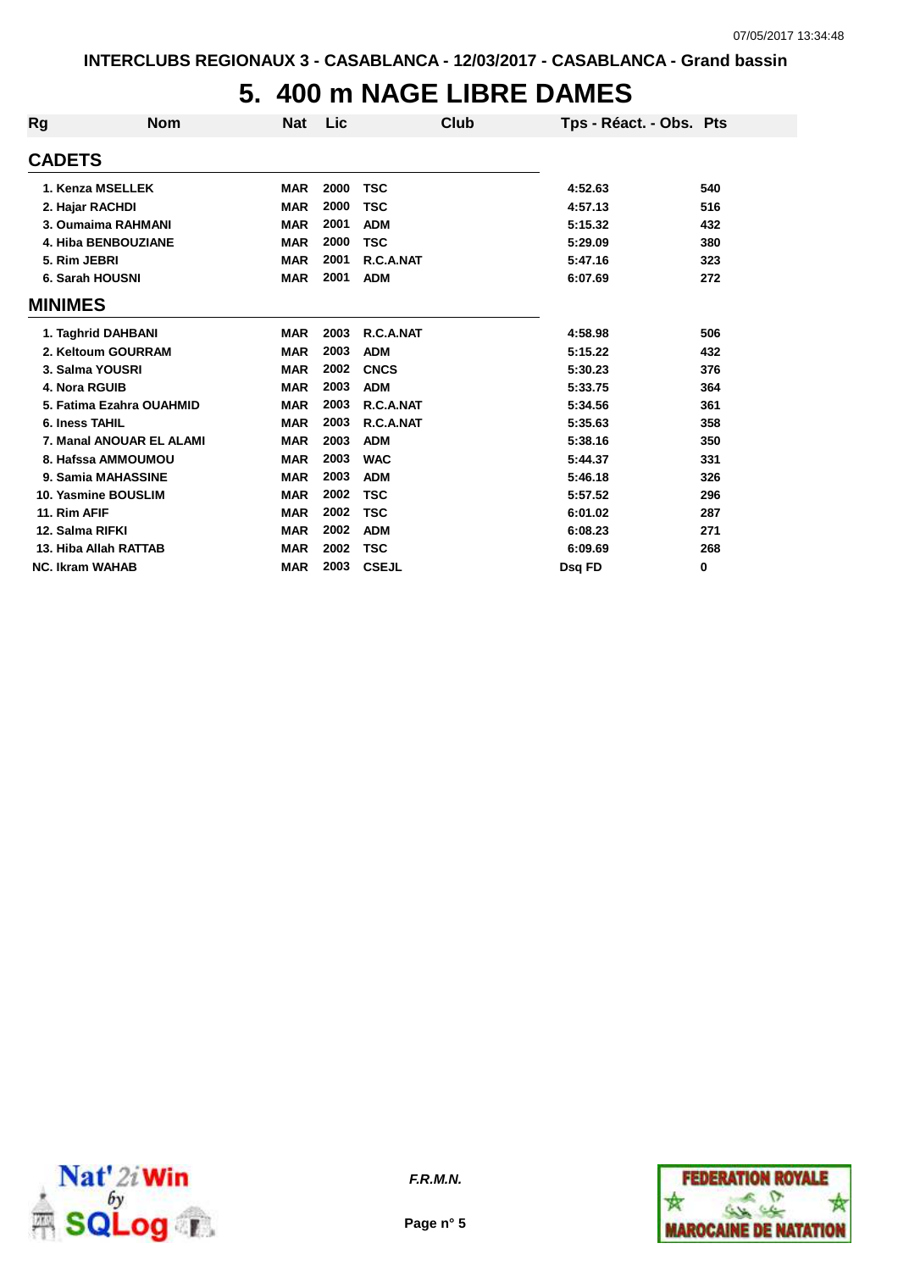## **5. 400 m NAGE LIBRE DAMES**

| Rg                     | <b>Nom</b>               | Nat        | Lic  | Club         | Tps - Réact. - Obs. Pts |     |
|------------------------|--------------------------|------------|------|--------------|-------------------------|-----|
| <b>CADETS</b>          |                          |            |      |              |                         |     |
|                        | 1. Kenza MSELLEK         | <b>MAR</b> | 2000 | <b>TSC</b>   | 4:52.63                 | 540 |
|                        | 2. Hajar RACHDI          | <b>MAR</b> | 2000 | <b>TSC</b>   | 4:57.13                 | 516 |
|                        | 3. Oumaima RAHMANI       | <b>MAR</b> | 2001 | <b>ADM</b>   | 5:15.32                 | 432 |
|                        | 4. Hiba BENBOUZIANE      | <b>MAR</b> | 2000 | <b>TSC</b>   | 5:29.09                 | 380 |
| 5. Rim JEBRI           |                          | <b>MAR</b> | 2001 | R.C.A.NAT    | 5:47.16                 | 323 |
|                        | 6. Sarah HOUSNI          | <b>MAR</b> | 2001 | <b>ADM</b>   | 6:07.69                 | 272 |
| <b>MINIMES</b>         |                          |            |      |              |                         |     |
|                        | 1. Taghrid DAHBANI       | <b>MAR</b> | 2003 | R.C.A.NAT    | 4:58.98                 | 506 |
|                        | 2. Keltoum GOURRAM       | <b>MAR</b> | 2003 | <b>ADM</b>   | 5:15.22                 | 432 |
|                        | 3. Salma YOUSRI          | <b>MAR</b> | 2002 | <b>CNCS</b>  | 5:30.23                 | 376 |
| 4. Nora RGUIB          |                          | <b>MAR</b> | 2003 | <b>ADM</b>   | 5:33.75                 | 364 |
|                        | 5. Fatima Ezahra OUAHMID | <b>MAR</b> | 2003 | R.C.A.NAT    | 5:34.56                 | 361 |
| <b>6. Iness TAHIL</b>  |                          | <b>MAR</b> | 2003 | R.C.A.NAT    | 5:35.63                 | 358 |
|                        | 7. Manal ANOUAR EL ALAMI | <b>MAR</b> | 2003 | <b>ADM</b>   | 5:38.16                 | 350 |
|                        | 8. Hafssa AMMOUMOU       | <b>MAR</b> | 2003 | <b>WAC</b>   | 5:44.37                 | 331 |
|                        | 9. Samia MAHASSINE       | <b>MAR</b> | 2003 | <b>ADM</b>   | 5:46.18                 | 326 |
|                        | 10. Yasmine BOUSLIM      | <b>MAR</b> | 2002 | <b>TSC</b>   | 5:57.52                 | 296 |
| 11. Rim AFIF           |                          | <b>MAR</b> | 2002 | <b>TSC</b>   | 6:01.02                 | 287 |
| 12. Salma RIFKI        |                          | <b>MAR</b> | 2002 | <b>ADM</b>   | 6:08.23                 | 271 |
|                        | 13. Hiba Allah RATTAB    | <b>MAR</b> | 2002 | <b>TSC</b>   | 6:09.69                 | 268 |
| <b>NC. Ikram WAHAB</b> |                          | <b>MAR</b> | 2003 | <b>CSEJL</b> | Dsg FD                  | 0   |



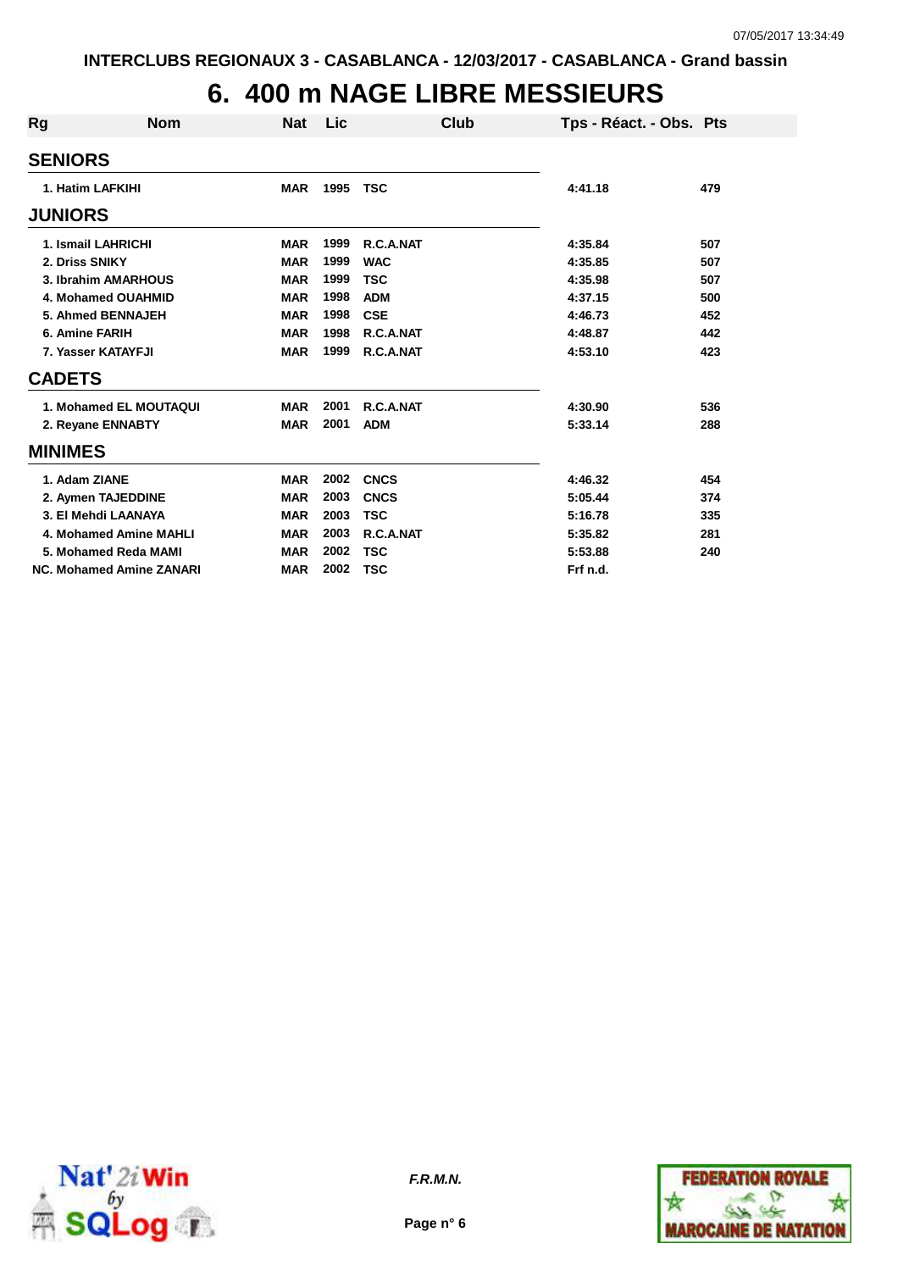# **6. 400 m NAGE LIBRE MESSIEURS**

| Rg             | <b>Nom</b>                      | <b>Nat</b> | Lic  | Club        | Tps - Réact. - Obs. Pts |     |
|----------------|---------------------------------|------------|------|-------------|-------------------------|-----|
| <b>SENIORS</b> |                                 |            |      |             |                         |     |
|                | 1. Hatim LAFKIHI                | <b>MAR</b> | 1995 | <b>TSC</b>  | 4:41.18                 | 479 |
| <b>JUNIORS</b> |                                 |            |      |             |                         |     |
|                | 1. Ismail LAHRICHI              | <b>MAR</b> | 1999 | R.C.A.NAT   | 4:35.84                 | 507 |
| 2. Driss SNIKY |                                 | <b>MAR</b> | 1999 | <b>WAC</b>  | 4:35.85                 | 507 |
|                | 3. Ibrahim AMARHOUS             | <b>MAR</b> | 1999 | <b>TSC</b>  | 4:35.98                 | 507 |
|                | 4. Mohamed OUAHMID              | <b>MAR</b> | 1998 | <b>ADM</b>  | 4:37.15                 | 500 |
|                | 5. Ahmed BENNAJEH               | <b>MAR</b> | 1998 | <b>CSE</b>  | 4:46.73                 | 452 |
| 6. Amine FARIH |                                 | <b>MAR</b> | 1998 | R.C.A.NAT   | 4:48.87                 | 442 |
|                | 7. Yasser KATAYFJI              | <b>MAR</b> | 1999 | R.C.A.NAT   | 4:53.10                 | 423 |
| <b>CADETS</b>  |                                 |            |      |             |                         |     |
|                | 1. Mohamed EL MOUTAQUI          | <b>MAR</b> | 2001 | R.C.A.NAT   | 4:30.90                 | 536 |
|                | 2. Reyane ENNABTY               | <b>MAR</b> | 2001 | <b>ADM</b>  | 5:33.14                 | 288 |
| <b>MINIMES</b> |                                 |            |      |             |                         |     |
| 1. Adam ZIANE  |                                 | <b>MAR</b> | 2002 | <b>CNCS</b> | 4:46.32                 | 454 |
|                | 2. Aymen TAJEDDINE              | <b>MAR</b> | 2003 | <b>CNCS</b> | 5:05.44                 | 374 |
|                | 3. El Mehdi LAANAYA             | <b>MAR</b> | 2003 | <b>TSC</b>  | 5:16.78                 | 335 |
|                | 4. Mohamed Amine MAHLI          | <b>MAR</b> | 2003 | R.C.A.NAT   | 5:35.82                 | 281 |
|                | 5. Mohamed Reda MAMI            | <b>MAR</b> | 2002 | <b>TSC</b>  | 5:53.88                 | 240 |
|                | <b>NC. Mohamed Amine ZANARI</b> | <b>MAR</b> | 2002 | <b>TSC</b>  | Frf n.d.                |     |



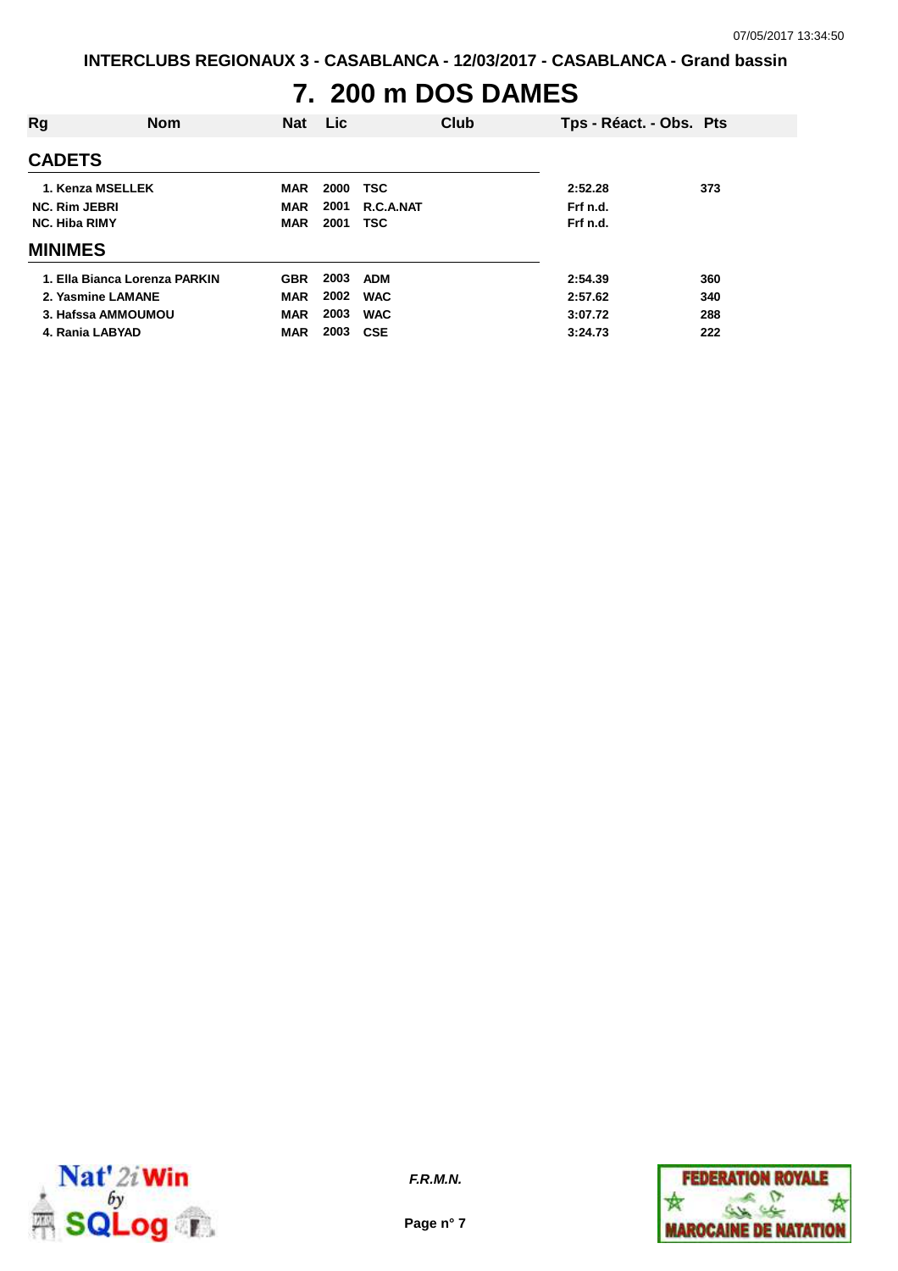## **7. 200 m DOS DAMES**

| Rg                   | <b>Nom</b>                    | <b>Nat</b> | <b>Lic</b> | Club       | Tps - Réact. - Obs. Pts |     |
|----------------------|-------------------------------|------------|------------|------------|-------------------------|-----|
| <b>CADETS</b>        |                               |            |            |            |                         |     |
| 1. Kenza MSELLEK     |                               | <b>MAR</b> | 2000       | <b>TSC</b> | 2:52.28                 | 373 |
| <b>NC. Rim JEBRI</b> |                               | <b>MAR</b> | 2001       | R.C.A.NAT  | Frf n.d.                |     |
| <b>NC. Hiba RIMY</b> |                               | <b>MAR</b> | 2001       | <b>TSC</b> | Frf n.d.                |     |
| <b>MINIMES</b>       |                               |            |            |            |                         |     |
|                      | 1. Ella Bianca Lorenza PARKIN | <b>GBR</b> | 2003       | <b>ADM</b> | 2:54.39                 | 360 |
| 2. Yasmine LAMANE    |                               | <b>MAR</b> | 2002       | <b>WAC</b> | 2:57.62                 | 340 |
|                      | 3. Hafssa AMMOUMOU            | <b>MAR</b> | 2003       | <b>WAC</b> | 3:07.72                 | 288 |
| 4. Rania LABYAD      |                               | <b>MAR</b> | 2003       | <b>CSE</b> | 3:24.73                 | 222 |



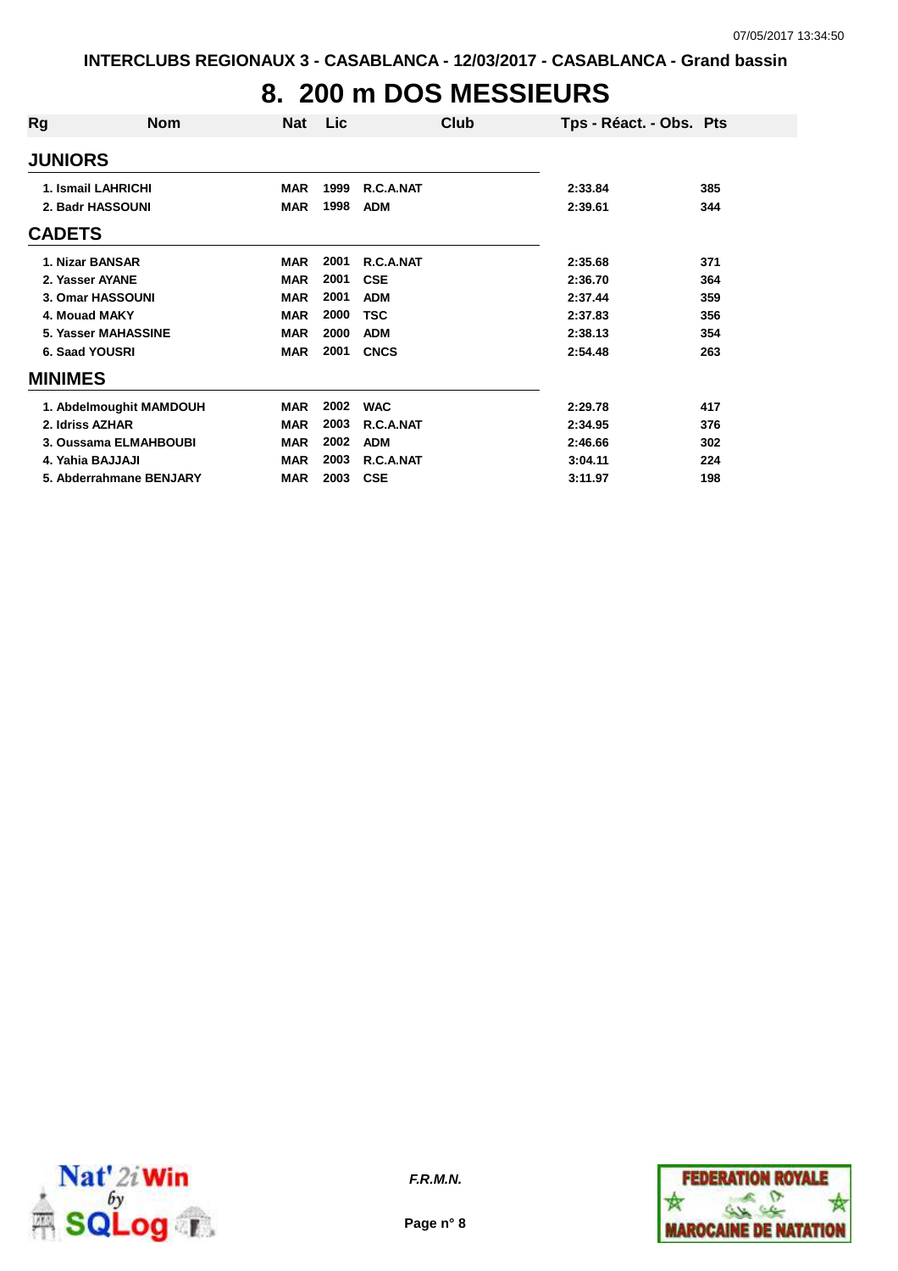# **8. 200 m DOS MESSIEURS**

| Rg              | <b>Nom</b>              | Nat        | Lic  | Club        | Tps - Réact. - Obs. Pts |     |
|-----------------|-------------------------|------------|------|-------------|-------------------------|-----|
| <b>JUNIORS</b>  |                         |            |      |             |                         |     |
|                 | 1. Ismail LAHRICHI      | <b>MAR</b> | 1999 | R.C.A.NAT   | 2:33.84                 | 385 |
|                 | 2. Badr HASSOUNI        | <b>MAR</b> | 1998 | <b>ADM</b>  | 2:39.61                 | 344 |
| <b>CADETS</b>   |                         |            |      |             |                         |     |
|                 | 1. Nizar BANSAR         | <b>MAR</b> | 2001 | R.C.A.NAT   | 2:35.68                 | 371 |
| 2. Yasser AYANE |                         | <b>MAR</b> | 2001 | <b>CSE</b>  | 2:36.70                 | 364 |
|                 | 3. Omar HASSOUNI        | <b>MAR</b> | 2001 | <b>ADM</b>  | 2:37.44                 | 359 |
| 4. Mouad MAKY   |                         | <b>MAR</b> | 2000 | <b>TSC</b>  | 2:37.83                 | 356 |
|                 | 5. Yasser MAHASSINE     | <b>MAR</b> | 2000 | <b>ADM</b>  | 2:38.13                 | 354 |
| 6. Saad YOUSRI  |                         | <b>MAR</b> | 2001 | <b>CNCS</b> | 2:54.48                 | 263 |
| <b>MINIMES</b>  |                         |            |      |             |                         |     |
|                 | 1. Abdelmoughit MAMDOUH | <b>MAR</b> | 2002 | <b>WAC</b>  | 2:29.78                 | 417 |
| 2. Idriss AZHAR |                         | <b>MAR</b> | 2003 | R.C.A.NAT   | 2:34.95                 | 376 |
|                 | 3. Oussama ELMAHBOUBI   | <b>MAR</b> | 2002 | <b>ADM</b>  | 2:46.66                 | 302 |
|                 | 4. Yahia BAJJAJI        | <b>MAR</b> | 2003 | R.C.A.NAT   | 3:04.11                 | 224 |
|                 | 5. Abderrahmane BENJARY | <b>MAR</b> | 2003 | <b>CSE</b>  | 3:11.97                 | 198 |



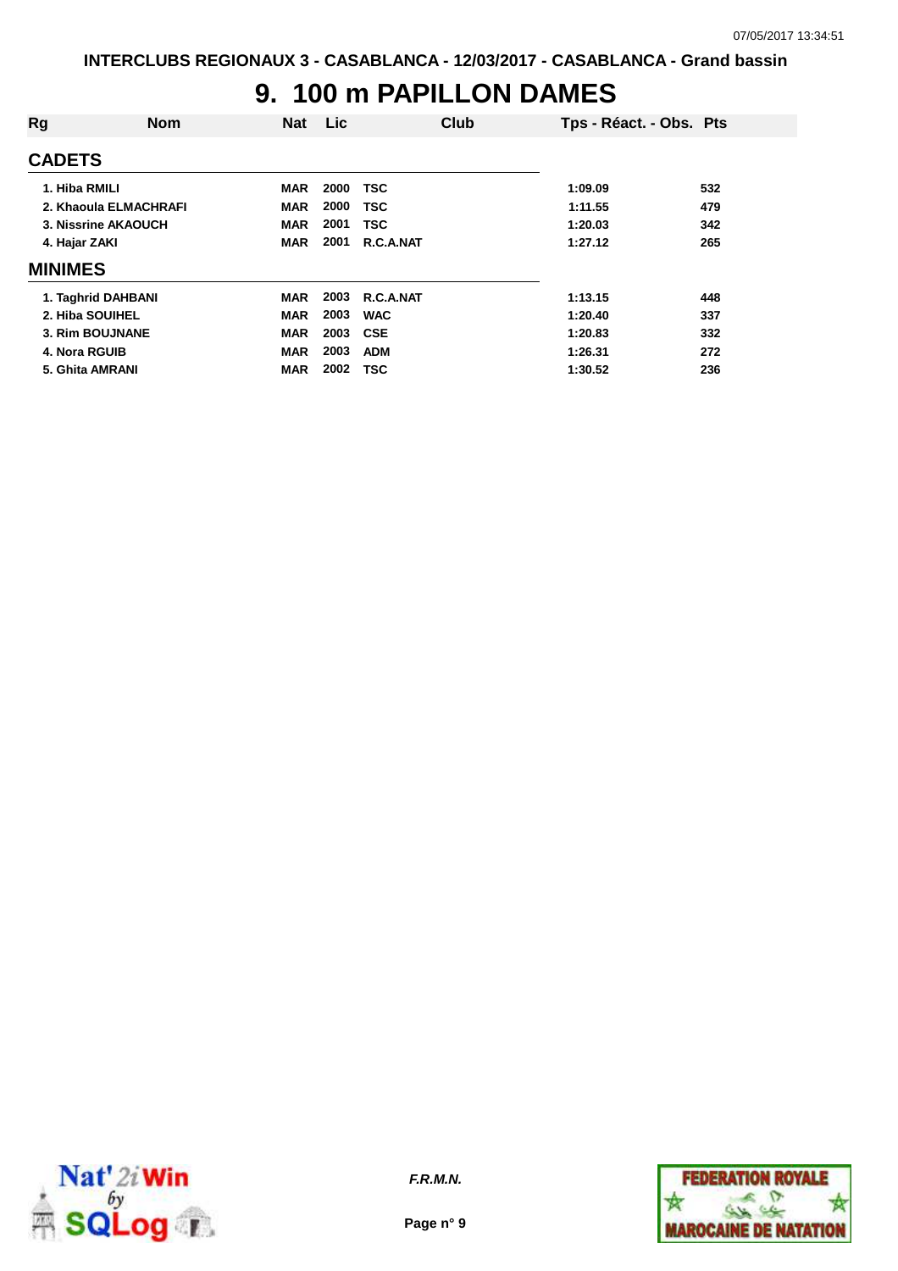#### **9. 100 m PAPILLON DAMES**

| Rg              | <b>Nom</b>            | <b>Nat</b> | <b>Lic</b> | Club       | Tps - Réact. - Obs. Pts |     |
|-----------------|-----------------------|------------|------------|------------|-------------------------|-----|
| <b>CADETS</b>   |                       |            |            |            |                         |     |
| 1. Hiba RMILI   |                       | <b>MAR</b> | 2000       | <b>TSC</b> | 1:09.09                 | 532 |
|                 | 2. Khaoula ELMACHRAFI | <b>MAR</b> | 2000       | TSC        | 1:11.55                 | 479 |
|                 | 3. Nissrine AKAOUCH   | <b>MAR</b> | 2001       | <b>TSC</b> | 1:20.03                 | 342 |
| 4. Hajar ZAKI   |                       | <b>MAR</b> | 2001       | R.C.A.NAT  | 1:27.12                 | 265 |
| <b>MINIMES</b>  |                       |            |            |            |                         |     |
|                 | 1. Taghrid DAHBANI    | <b>MAR</b> | 2003       | R.C.A.NAT  | 1:13.15                 | 448 |
| 2. Hiba SOUIHEL |                       | <b>MAR</b> | 2003       | <b>WAC</b> | 1:20.40                 | 337 |
|                 | 3. Rim BOUJNANE       | <b>MAR</b> | 2003       | <b>CSE</b> | 1:20.83                 | 332 |
| 4. Nora RGUIB   |                       | <b>MAR</b> | 2003       | <b>ADM</b> | 1:26.31                 | 272 |
| 5. Ghita AMRANI |                       | <b>MAR</b> | 2002       | <b>TSC</b> | 1:30.52                 | 236 |



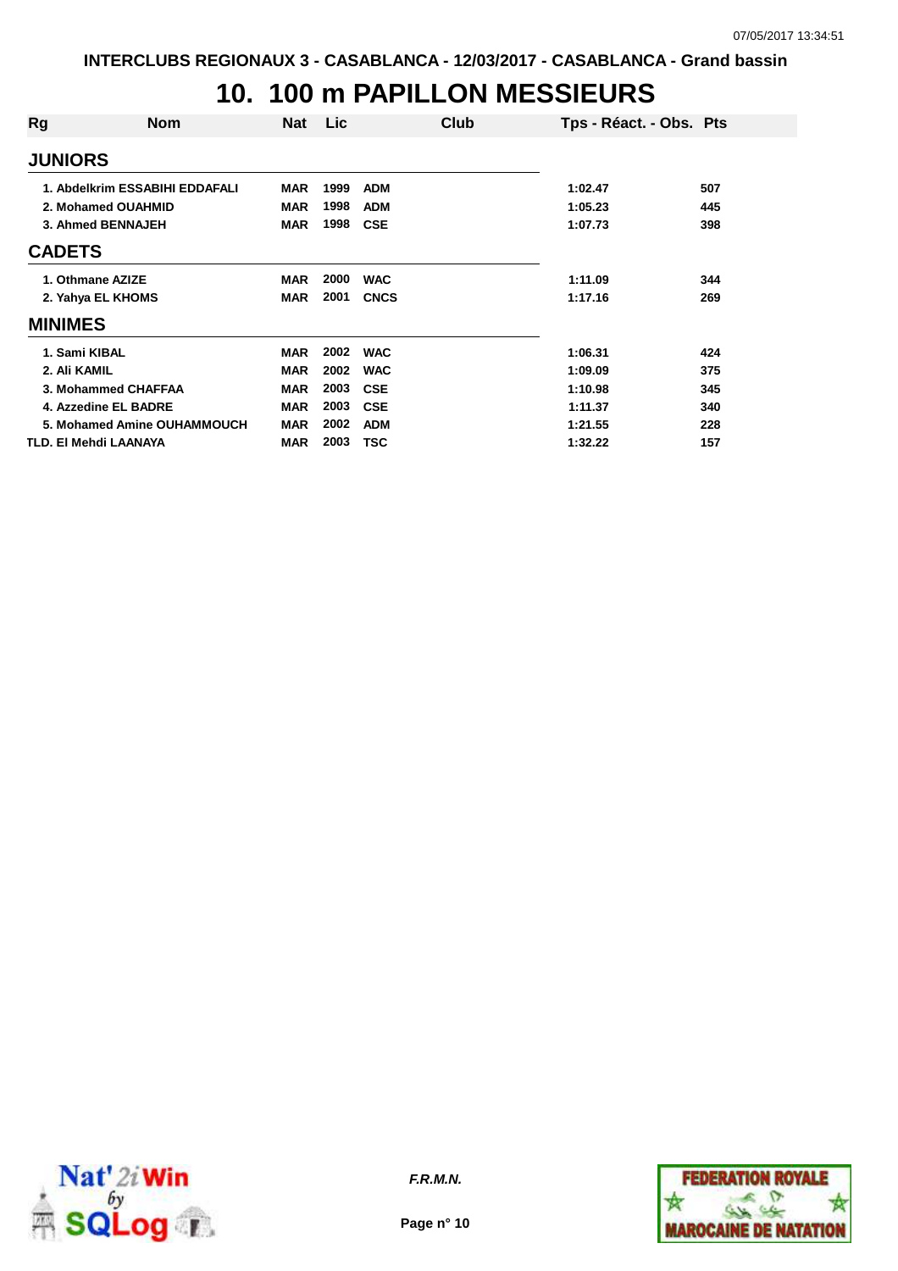## **10. 100 m PAPILLON MESSIEURS**

| Rg                | <b>Nom</b>                     | <b>Nat</b> | <b>Lic</b> | Club        |         | Tps - Réact. - Obs. Pts |
|-------------------|--------------------------------|------------|------------|-------------|---------|-------------------------|
| <b>JUNIORS</b>    |                                |            |            |             |         |                         |
|                   | 1. Abdelkrim ESSABIHI EDDAFALI | <b>MAR</b> | 1999       | <b>ADM</b>  | 1:02.47 | 507                     |
|                   | 2. Mohamed OUAHMID             | <b>MAR</b> | 1998       | <b>ADM</b>  | 1:05.23 | 445                     |
| 3. Ahmed BENNAJEH |                                | <b>MAR</b> | 1998       | <b>CSE</b>  | 1:07.73 | 398                     |
| <b>CADETS</b>     |                                |            |            |             |         |                         |
|                   | 1. Othmane AZIZE               | <b>MAR</b> | 2000       | <b>WAC</b>  | 1:11.09 | 344                     |
|                   | 2. Yahya EL KHOMS              | <b>MAR</b> | 2001       | <b>CNCS</b> | 1:17.16 | 269                     |
| <b>MINIMES</b>    |                                |            |            |             |         |                         |
| 1. Sami KIBAL     |                                | <b>MAR</b> | 2002       | <b>WAC</b>  | 1:06.31 | 424                     |
| 2. Ali KAMIL      |                                | <b>MAR</b> | 2002       | <b>WAC</b>  | 1:09.09 | 375                     |
|                   | 3. Mohammed CHAFFAA            | <b>MAR</b> | 2003       | <b>CSE</b>  | 1:10.98 | 345                     |
|                   | 4. Azzedine EL BADRE           | <b>MAR</b> | 2003       | <b>CSE</b>  | 1:11.37 | 340                     |
|                   | 5. Mohamed Amine OUHAMMOUCH    | <b>MAR</b> | 2002       | <b>ADM</b>  | 1:21.55 | 228                     |
|                   | TLD. EI Mehdi LAANAYA          | <b>MAR</b> | 2003       | <b>TSC</b>  | 1:32.22 | 157                     |



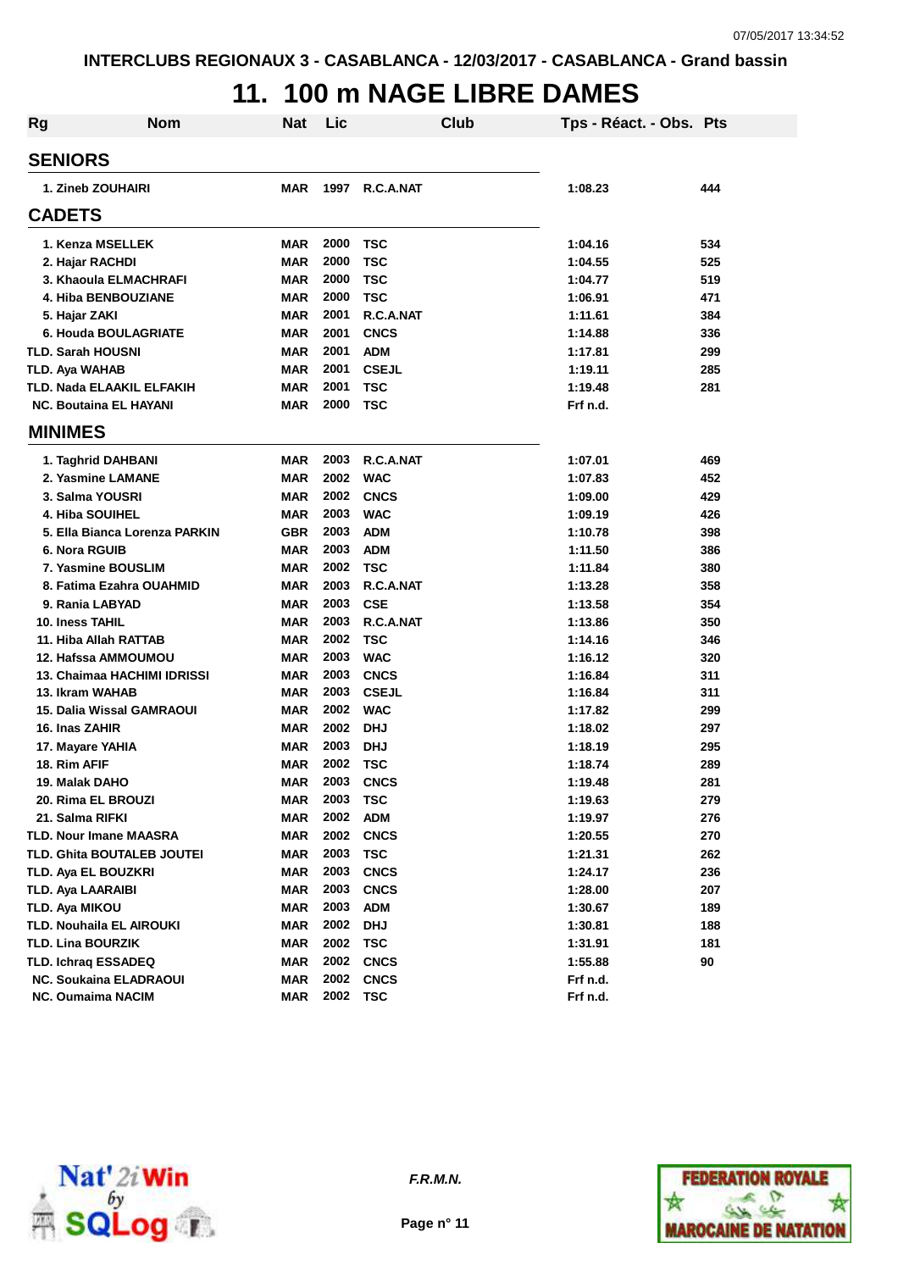## **11. 100 m NAGE LIBRE DAMES**

| Rg | <b>Nom</b>                      | Nat        | Lic      | Club         | Tps - Réact. - Obs. Pts |     |
|----|---------------------------------|------------|----------|--------------|-------------------------|-----|
|    | <b>SENIORS</b>                  |            |          |              |                         |     |
|    | 1. Zineb ZOUHAIRI               | <b>MAR</b> | 1997     | R.C.A.NAT    | 1:08.23                 | 444 |
|    | <b>CADETS</b>                   |            |          |              |                         |     |
|    | 1. Kenza MSELLEK                | <b>MAR</b> | 2000     | <b>TSC</b>   | 1:04.16                 | 534 |
|    | 2. Hajar RACHDI                 | <b>MAR</b> | 2000     | <b>TSC</b>   | 1:04.55                 | 525 |
|    | 3. Khaoula ELMACHRAFI           | <b>MAR</b> | 2000     | <b>TSC</b>   | 1:04.77                 | 519 |
|    | 4. Hiba BENBOUZIANE             | <b>MAR</b> | 2000     | <b>TSC</b>   | 1:06.91                 | 471 |
|    | 5. Hajar ZAKI                   | <b>MAR</b> | 2001     | R.C.A.NAT    | 1:11.61                 | 384 |
|    | 6. Houda BOULAGRIATE            | <b>MAR</b> | 2001     | <b>CNCS</b>  | 1:14.88                 | 336 |
|    | <b>TLD. Sarah HOUSNI</b>        | <b>MAR</b> | 2001     | <b>ADM</b>   | 1:17.81                 | 299 |
|    | TLD. Aya WAHAB                  | <b>MAR</b> | 2001     | <b>CSEJL</b> | 1:19.11                 | 285 |
|    | TLD. Nada ELAAKIL ELFAKIH       | <b>MAR</b> | 2001     | TSC          | 1:19.48                 | 281 |
|    | <b>NC. Boutaina EL HAYANI</b>   | <b>MAR</b> | 2000     | <b>TSC</b>   | Frf n.d.                |     |
|    | <b>MINIMES</b>                  |            |          |              |                         |     |
|    | 1. Taghrid DAHBANI              | MAR        | 2003     | R.C.A.NAT    | 1:07.01                 | 469 |
|    | 2. Yasmine LAMANE               | <b>MAR</b> | 2002     | <b>WAC</b>   | 1:07.83                 | 452 |
|    | 3. Salma YOUSRI                 | <b>MAR</b> | 2002     | <b>CNCS</b>  | 1:09.00                 | 429 |
|    | 4. Hiba SOUIHEL                 | <b>MAR</b> | 2003     | <b>WAC</b>   | 1:09.19                 | 426 |
|    | 5. Ella Bianca Lorenza PARKIN   | <b>GBR</b> | 2003     | <b>ADM</b>   | 1:10.78                 | 398 |
|    | 6. Nora RGUIB                   | <b>MAR</b> | 2003     | <b>ADM</b>   | 1:11.50                 | 386 |
|    | 7. Yasmine BOUSLIM              | <b>MAR</b> | 2002     | <b>TSC</b>   | 1:11.84                 | 380 |
|    | 8. Fatima Ezahra OUAHMID        | <b>MAR</b> | 2003     | R.C.A.NAT    | 1:13.28                 | 358 |
|    | 9. Rania LABYAD                 | <b>MAR</b> | 2003     | <b>CSE</b>   | 1:13.58                 | 354 |
|    | <b>10. Iness TAHIL</b>          | <b>MAR</b> | 2003     | R.C.A.NAT    | 1:13.86                 | 350 |
|    | 11. Hiba Allah RATTAB           | <b>MAR</b> | 2002     | <b>TSC</b>   | 1:14.16                 | 346 |
|    | 12. Hafssa AMMOUMOU             | <b>MAR</b> | 2003     | <b>WAC</b>   | 1:16.12                 | 320 |
|    | 13. Chaimaa HACHIMI IDRISSI     | <b>MAR</b> | 2003     | <b>CNCS</b>  | 1:16.84                 | 311 |
|    | 13. Ikram WAHAB                 | <b>MAR</b> | 2003     | <b>CSEJL</b> | 1:16.84                 | 311 |
|    | 15. Dalia Wissal GAMRAOUI       | <b>MAR</b> | 2002     | <b>WAC</b>   | 1:17.82                 | 299 |
|    | 16. Inas ZAHIR                  | <b>MAR</b> | 2002     | <b>DHJ</b>   | 1:18.02                 | 297 |
|    | 17. Mayare YAHIA                | <b>MAR</b> | 2003     | <b>DHJ</b>   | 1:18.19                 | 295 |
|    | 18. Rim AFIF                    | <b>MAR</b> | 2002     | <b>TSC</b>   | 1:18.74                 | 289 |
|    | 19. Malak DAHO                  | <b>MAR</b> | 2003     | <b>CNCS</b>  | 1:19.48                 | 281 |
|    | 20. Rima EL BROUZI              | <b>MAR</b> | 2003     | <b>TSC</b>   | 1:19.63                 | 279 |
|    | 21. Salma RIFKI                 | <b>MAR</b> | 2002     | <b>ADM</b>   | 1:19.97                 | 276 |
|    | <b>TLD. Nour Imane MAASRA</b>   | <b>MAR</b> | 2002     | <b>CNCS</b>  | 1:20.55                 | 270 |
|    | TLD. Ghita BOUTALEB JOUTEI      | <b>MAR</b> | 2003     | <b>TSC</b>   | 1:21.31                 | 262 |
|    | TLD. Aya EL BOUZKRI             | <b>MAR</b> | 2003     | <b>CNCS</b>  | 1:24.17                 | 236 |
|    | <b>TLD. Aya LAARAIBI</b>        | <b>MAR</b> | 2003     | <b>CNCS</b>  | 1:28.00                 | 207 |
|    | <b>TLD. Aya MIKOU</b>           | <b>MAR</b> | 2003     | <b>ADM</b>   | 1:30.67                 | 189 |
|    | <b>TLD. Nouhaila EL AIROUKI</b> | <b>MAR</b> | 2002     | <b>DHJ</b>   | 1:30.81                 | 188 |
|    | <b>TLD. Lina BOURZIK</b>        | <b>MAR</b> | 2002     | <b>TSC</b>   | 1:31.91                 | 181 |
|    | <b>TLD. Ichrag ESSADEQ</b>      | <b>MAR</b> | 2002     | <b>CNCS</b>  | 1:55.88                 | 90  |
|    | <b>NC. Soukaina ELADRAOUI</b>   | <b>MAR</b> | 2002     | <b>CNCS</b>  | Frf n.d.                |     |
|    | <b>NC. Oumaima NACIM</b>        | <b>MAR</b> | 2002 TSC |              | Frf n.d.                |     |



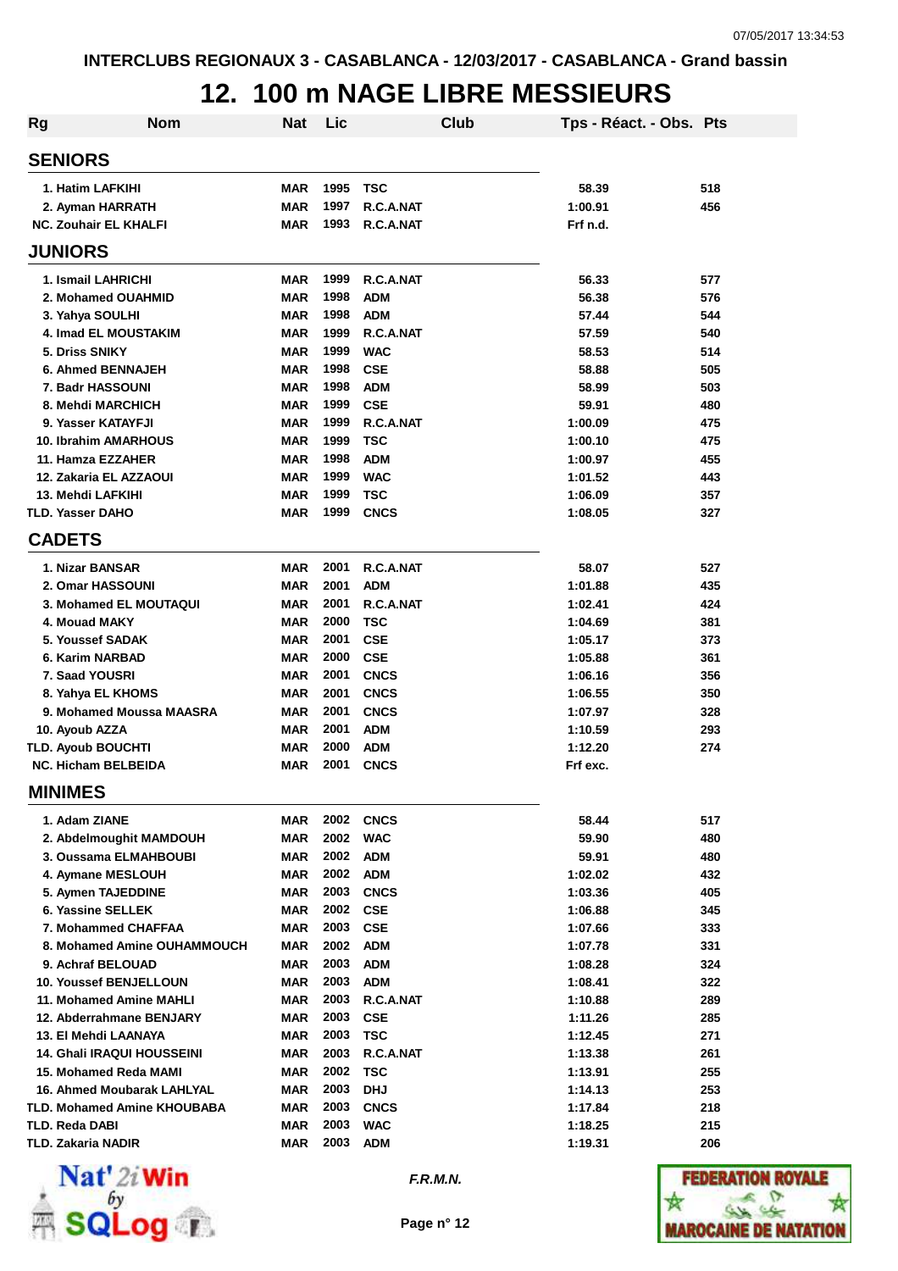# **12. 100 m NAGE LIBRE MESSIEURS**

| <b>Rg</b> | <b>Nom</b>                                          | Nat                      | Lic          |                           | Club | Tps - Réact. - Obs. Pts |            |
|-----------|-----------------------------------------------------|--------------------------|--------------|---------------------------|------|-------------------------|------------|
|           | <b>SENIORS</b>                                      |                          |              |                           |      |                         |            |
|           | 1. Hatim LAFKIHI                                    | <b>MAR</b>               | 1995         | <b>TSC</b>                |      | 58.39                   | 518        |
|           | 2. Ayman HARRATH                                    | <b>MAR</b>               | 1997         | R.C.A.NAT                 |      | 1:00.91                 | 456        |
|           | <b>NC. Zouhair EL KHALFI</b>                        | <b>MAR</b>               | 1993         | R.C.A.NAT                 |      | Frf n.d.                |            |
|           | <b>JUNIORS</b>                                      |                          |              |                           |      |                         |            |
|           | 1. Ismail LAHRICHI                                  | MAR                      | 1999         | R.C.A.NAT                 |      | 56.33                   | 577        |
|           | 2. Mohamed OUAHMID                                  | <b>MAR</b>               | 1998         | <b>ADM</b>                |      | 56.38                   | 576        |
|           | 3. Yahya SOULHI                                     | <b>MAR</b>               | 1998         | <b>ADM</b>                |      | 57.44                   | 544        |
|           | <b>4. Imad EL MOUSTAKIM</b>                         | <b>MAR</b>               | 1999         | R.C.A.NAT                 |      | 57.59                   | 540        |
|           | 5. Driss SNIKY                                      | <b>MAR</b>               | 1999         | <b>WAC</b>                |      | 58.53                   | 514        |
|           | <b>6. Ahmed BENNAJEH</b>                            | <b>MAR</b>               | 1998         | <b>CSE</b>                |      | 58.88                   | 505        |
|           | 7. Badr HASSOUNI                                    | <b>MAR</b>               | 1998         | <b>ADM</b>                |      | 58.99                   | 503        |
|           | 8. Mehdi MARCHICH                                   | <b>MAR</b>               | 1999         | <b>CSE</b>                |      | 59.91                   | 480        |
|           | 9. Yasser KATAYFJI                                  | <b>MAR</b>               | 1999         | R.C.A.NAT                 |      | 1:00.09                 | 475        |
|           | <b>10. Ibrahim AMARHOUS</b>                         | <b>MAR</b>               | 1999         | <b>TSC</b>                |      | 1:00.10                 | 475        |
|           | 11. Hamza EZZAHER                                   | <b>MAR</b>               | 1998         | <b>ADM</b>                |      | 1:00.97                 | 455        |
|           | 12. Zakaria EL AZZAOUI                              | <b>MAR</b>               | 1999         | <b>WAC</b>                |      | 1:01.52                 | 443        |
|           | 13. Mehdi LAFKIHI<br>TLD. Yasser DAHO               | <b>MAR</b><br><b>MAR</b> | 1999<br>1999 | <b>TSC</b><br><b>CNCS</b> |      | 1:06.09<br>1:08.05      | 357<br>327 |
|           | <b>CADETS</b>                                       |                          |              |                           |      |                         |            |
|           |                                                     |                          |              |                           |      |                         |            |
|           | 1. Nizar BANSAR                                     | <b>MAR</b>               | 2001         | R.C.A.NAT                 |      | 58.07                   | 527        |
|           | 2. Omar HASSOUNI                                    | <b>MAR</b>               | 2001         | <b>ADM</b>                |      | 1:01.88                 | 435        |
|           | 3. Mohamed EL MOUTAQUI                              | <b>MAR</b>               | 2001         | R.C.A.NAT                 |      | 1:02.41                 | 424        |
|           | 4. Mouad MAKY<br>5. Youssef SADAK                   | <b>MAR</b><br><b>MAR</b> | 2000<br>2001 | <b>TSC</b>                |      | 1:04.69                 | 381<br>373 |
|           | 6. Karim NARBAD                                     | <b>MAR</b>               | 2000         | <b>CSE</b><br><b>CSE</b>  |      | 1:05.17<br>1:05.88      | 361        |
|           | 7. Saad YOUSRI                                      | <b>MAR</b>               | 2001         | <b>CNCS</b>               |      | 1:06.16                 | 356        |
|           | 8. Yahya EL KHOMS                                   | <b>MAR</b>               | 2001         | <b>CNCS</b>               |      | 1:06.55                 | 350        |
|           | 9. Mohamed Moussa MAASRA                            | <b>MAR</b>               | 2001         | <b>CNCS</b>               |      | 1:07.97                 | 328        |
|           | 10. Ayoub AZZA                                      | <b>MAR</b>               | 2001         | <b>ADM</b>                |      | 1:10.59                 | 293        |
|           | <b>TLD. Ayoub BOUCHTI</b>                           | <b>MAR</b>               | 2000         | <b>ADM</b>                |      | 1:12.20                 | 274        |
|           | <b>NC. Hicham BELBEIDA</b>                          | <b>MAR</b>               | 2001         | <b>CNCS</b>               |      | Frf exc.                |            |
|           | <b>MINIMES</b>                                      |                          |              |                           |      |                         |            |
|           | 1. Adam ZIANE                                       | MAR                      |              | <b>2002 CNCS</b>          |      | 58.44                   | 517        |
|           | 2. Abdelmoughit MAMDOUH                             | <b>MAR</b>               | 2002         | <b>WAC</b>                |      | 59.90                   | 480        |
|           | 3. Oussama ELMAHBOUBI                               | <b>MAR</b>               | 2002         | <b>ADM</b>                |      | 59.91                   | 480        |
|           | 4. Aymane MESLOUH                                   | <b>MAR</b>               | 2002         | <b>ADM</b>                |      | 1:02.02                 | 432        |
|           | 5. Aymen TAJEDDINE                                  | <b>MAR</b>               | 2003         | <b>CNCS</b>               |      | 1:03.36                 | 405        |
|           | 6. Yassine SELLEK                                   | <b>MAR</b>               | 2002         | <b>CSE</b>                |      | 1:06.88                 | 345        |
|           | 7. Mohammed CHAFFAA                                 | <b>MAR</b>               | 2003         | <b>CSE</b>                |      | 1:07.66                 | 333        |
|           | 8. Mohamed Amine OUHAMMOUCH                         | <b>MAR</b>               | 2002         | <b>ADM</b>                |      | 1:07.78                 | 331        |
|           | 9. Achraf BELOUAD                                   | <b>MAR</b>               | 2003         | <b>ADM</b>                |      | 1:08.28                 | 324        |
|           | <b>10. Youssef BENJELLOUN</b>                       | <b>MAR</b>               | 2003         | <b>ADM</b>                |      | 1:08.41                 | 322        |
|           | 11. Mohamed Amine MAHLI<br>12. Abderrahmane BENJARY | <b>MAR</b><br><b>MAR</b> | 2003<br>2003 | R.C.A.NAT<br><b>CSE</b>   |      | 1:10.88<br>1:11.26      | 289<br>285 |
|           | 13. El Mehdi LAANAYA                                | <b>MAR</b>               | 2003         | <b>TSC</b>                |      | 1:12.45                 | 271        |
|           | <b>14. Ghali IRAQUI HOUSSEINI</b>                   | <b>MAR</b>               | 2003         | R.C.A.NAT                 |      | 1:13.38                 | 261        |
|           | 15. Mohamed Reda MAMI                               | <b>MAR</b>               | 2002         | <b>TSC</b>                |      | 1:13.91                 | 255        |
|           | 16. Ahmed Moubarak LAHLYAL                          | <b>MAR</b>               | 2003         | <b>DHJ</b>                |      | 1:14.13                 | 253        |
|           | TLD. Mohamed Amine KHOUBABA                         | <b>MAR</b>               | 2003         | <b>CNCS</b>               |      | 1:17.84                 | 218        |
|           | TLD. Reda DABI                                      | <b>MAR</b>               | 2003         | <b>WAC</b>                |      | 1:18.25                 | 215        |
|           | <b>TLD. Zakaria NADIR</b>                           | <b>MAR</b>               | 2003         | <b>ADM</b>                |      | 1:19.31                 | 206        |



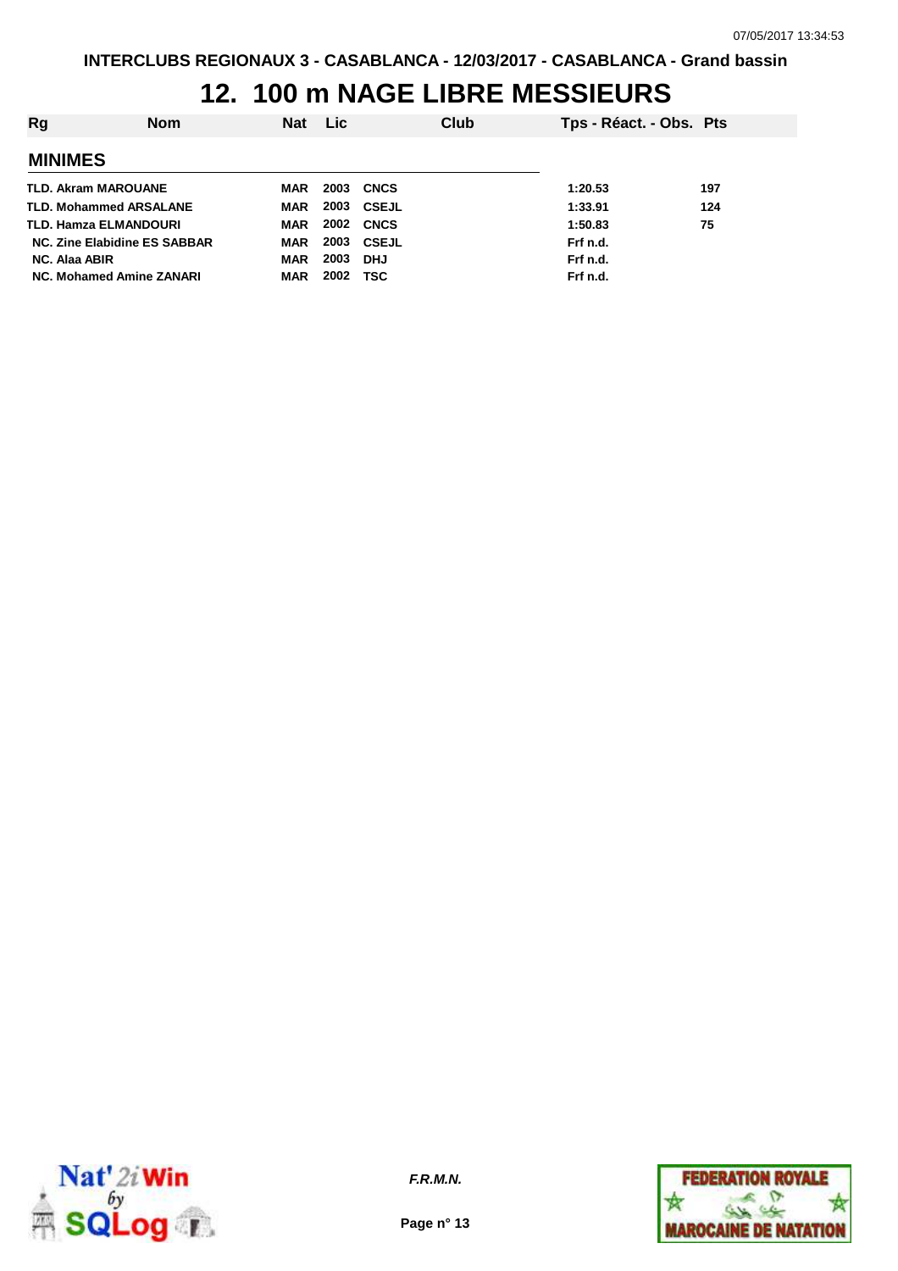## **12. 100 m NAGE LIBRE MESSIEURS**

| Rg                            | <b>Nom</b> | Nat        | <b>Lic</b> |                   | Club | Tps - Réact. - Obs. Pts |     |
|-------------------------------|------------|------------|------------|-------------------|------|-------------------------|-----|
| <b>MINIMES</b>                |            |            |            |                   |      |                         |     |
| <b>TLD. Akram MAROUANE</b>    |            | MAR        | 2003       | CNCS              |      | 1:20.53                 | 197 |
| <b>TLD. Mohammed ARSALANE</b> |            | MAR        | 2003       | CSEJL             |      | 1:33.91                 | 124 |
| <b>TLD. Hamza ELMANDOURI</b>  |            | MAR        |            | <b>2002 CNCS</b>  |      | 1:50.83                 | 75  |
| NC. Zine Elabidine ES SABBAR  |            | MAR        |            | <b>2003 CSEJL</b> |      | Frf n.d.                |     |
| <b>NC. Alaa ABIR</b>          |            | MAR        | 2003       | <b>DHJ</b>        |      | Frf n.d.                |     |
| NC. Mohamed Amine ZANARI      |            | <b>MAR</b> | 2002       | TSC               |      | Frf n.d.                |     |



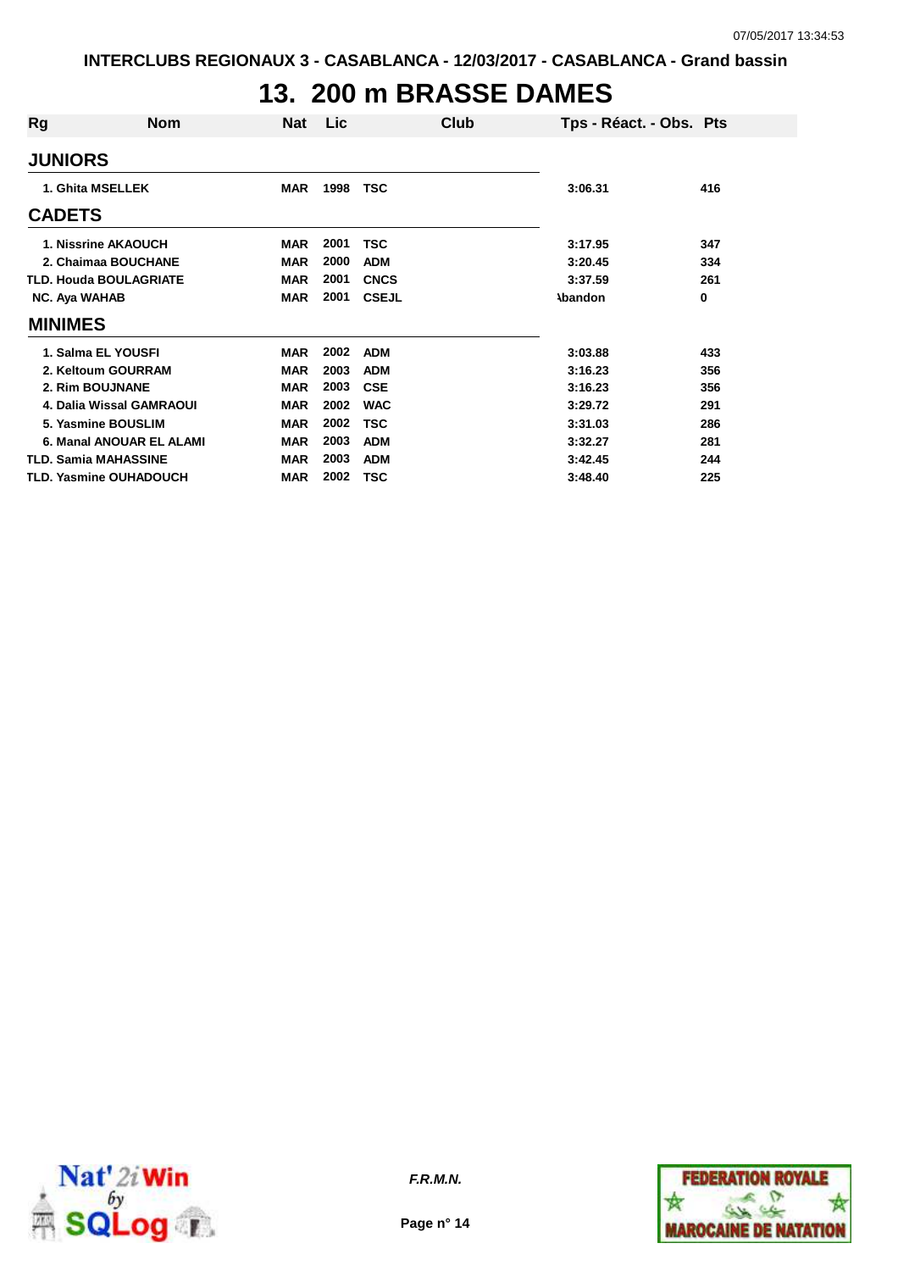# **13. 200 m BRASSE DAMES**

| Rg                   | <b>Nom</b>                    | Nat        | Lic  | Club         | Tps - Réact. - Obs. Pts |     |
|----------------------|-------------------------------|------------|------|--------------|-------------------------|-----|
| <b>JUNIORS</b>       |                               |            |      |              |                         |     |
|                      | 1. Ghita MSELLEK              | <b>MAR</b> | 1998 | TSC          | 3:06.31                 | 416 |
| <b>CADETS</b>        |                               |            |      |              |                         |     |
|                      | 1. Nissrine AKAOUCH           | <b>MAR</b> | 2001 | <b>TSC</b>   | 3:17.95                 | 347 |
|                      | 2. Chaimaa BOUCHANE           | <b>MAR</b> | 2000 | <b>ADM</b>   | 3:20.45                 | 334 |
|                      | <b>TLD. Houda BOULAGRIATE</b> | <b>MAR</b> | 2001 | <b>CNCS</b>  | 3:37.59                 | 261 |
| <b>NC. Aya WAHAB</b> |                               | <b>MAR</b> | 2001 | <b>CSEJL</b> | <b>Abandon</b>          | 0   |
| <b>MINIMES</b>       |                               |            |      |              |                         |     |
|                      | 1. Salma EL YOUSFI            | <b>MAR</b> | 2002 | <b>ADM</b>   | 3:03.88                 | 433 |
|                      | 2. Keltoum GOURRAM            | <b>MAR</b> | 2003 | <b>ADM</b>   | 3:16.23                 | 356 |
|                      | 2. Rim BOUJNANE               | <b>MAR</b> | 2003 | <b>CSE</b>   | 3:16.23                 | 356 |
|                      | 4. Dalia Wissal GAMRAOUI      | <b>MAR</b> | 2002 | <b>WAC</b>   | 3:29.72                 | 291 |
|                      | 5. Yasmine BOUSLIM            | <b>MAR</b> | 2002 | TSC          | 3:31.03                 | 286 |
|                      | 6. Manal ANOUAR EL ALAMI      | <b>MAR</b> | 2003 | <b>ADM</b>   | 3:32.27                 | 281 |
|                      | <b>TLD. Samia MAHASSINE</b>   | <b>MAR</b> | 2003 | <b>ADM</b>   | 3:42.45                 | 244 |
|                      | <b>TLD. Yasmine OUHADOUCH</b> | <b>MAR</b> | 2002 | <b>TSC</b>   | 3:48.40                 | 225 |



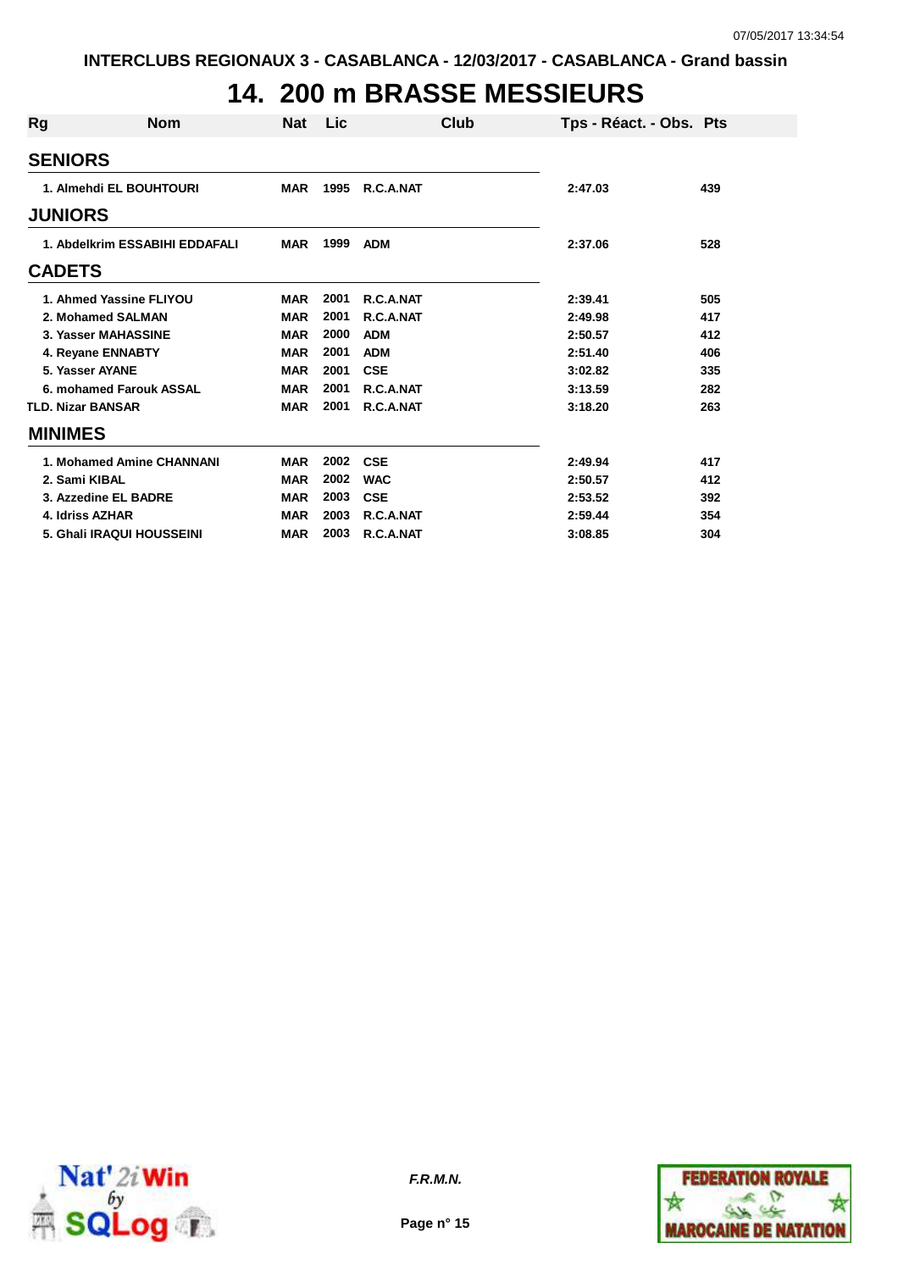## **14. 200 m BRASSE MESSIEURS**

| Rg | <b>Nom</b>                     | Nat        | <b>Lic</b> | Club       | Tps - Réact. - Obs. Pts |     |
|----|--------------------------------|------------|------------|------------|-------------------------|-----|
|    | <b>SENIORS</b>                 |            |            |            |                         |     |
|    | 1. Almehdi EL BOUHTOURI        | <b>MAR</b> | 1995       | R.C.A.NAT  | 2:47.03                 | 439 |
|    | <b>JUNIORS</b>                 |            |            |            |                         |     |
|    | 1. Abdelkrim ESSABIHI EDDAFALI | <b>MAR</b> | 1999       | <b>ADM</b> | 2:37.06                 | 528 |
|    | <b>CADETS</b>                  |            |            |            |                         |     |
|    | 1. Ahmed Yassine FLIYOU        | <b>MAR</b> | 2001       | R.C.A.NAT  | 2:39.41                 | 505 |
|    | 2. Mohamed SALMAN              | <b>MAR</b> | 2001       | R.C.A.NAT  | 2:49.98                 | 417 |
|    | 3. Yasser MAHASSINE            | <b>MAR</b> | 2000       | <b>ADM</b> | 2:50.57                 | 412 |
|    | 4. Reyane ENNABTY              | <b>MAR</b> | 2001       | <b>ADM</b> | 2:51.40                 | 406 |
|    | 5. Yasser AYANE                | <b>MAR</b> | 2001       | <b>CSE</b> | 3:02.82                 | 335 |
|    | 6. mohamed Farouk ASSAL        | <b>MAR</b> | 2001       | R.C.A.NAT  | 3:13.59                 | 282 |
|    | <b>TLD. Nizar BANSAR</b>       | <b>MAR</b> | 2001       | R.C.A.NAT  | 3:18.20                 | 263 |
|    | <b>MINIMES</b>                 |            |            |            |                         |     |
|    | 1. Mohamed Amine CHANNANI      | <b>MAR</b> | 2002       | <b>CSE</b> | 2:49.94                 | 417 |
|    | 2. Sami KIBAL                  | <b>MAR</b> | 2002       | <b>WAC</b> | 2:50.57                 | 412 |
|    | 3. Azzedine EL BADRE           | <b>MAR</b> | 2003       | <b>CSE</b> | 2:53.52                 | 392 |
|    | 4. Idriss AZHAR                | <b>MAR</b> | 2003       | R.C.A.NAT  | 2:59.44                 | 354 |
|    | 5. Ghali IRAQUI HOUSSEINI      | <b>MAR</b> | 2003       | R.C.A.NAT  | 3:08.85                 | 304 |



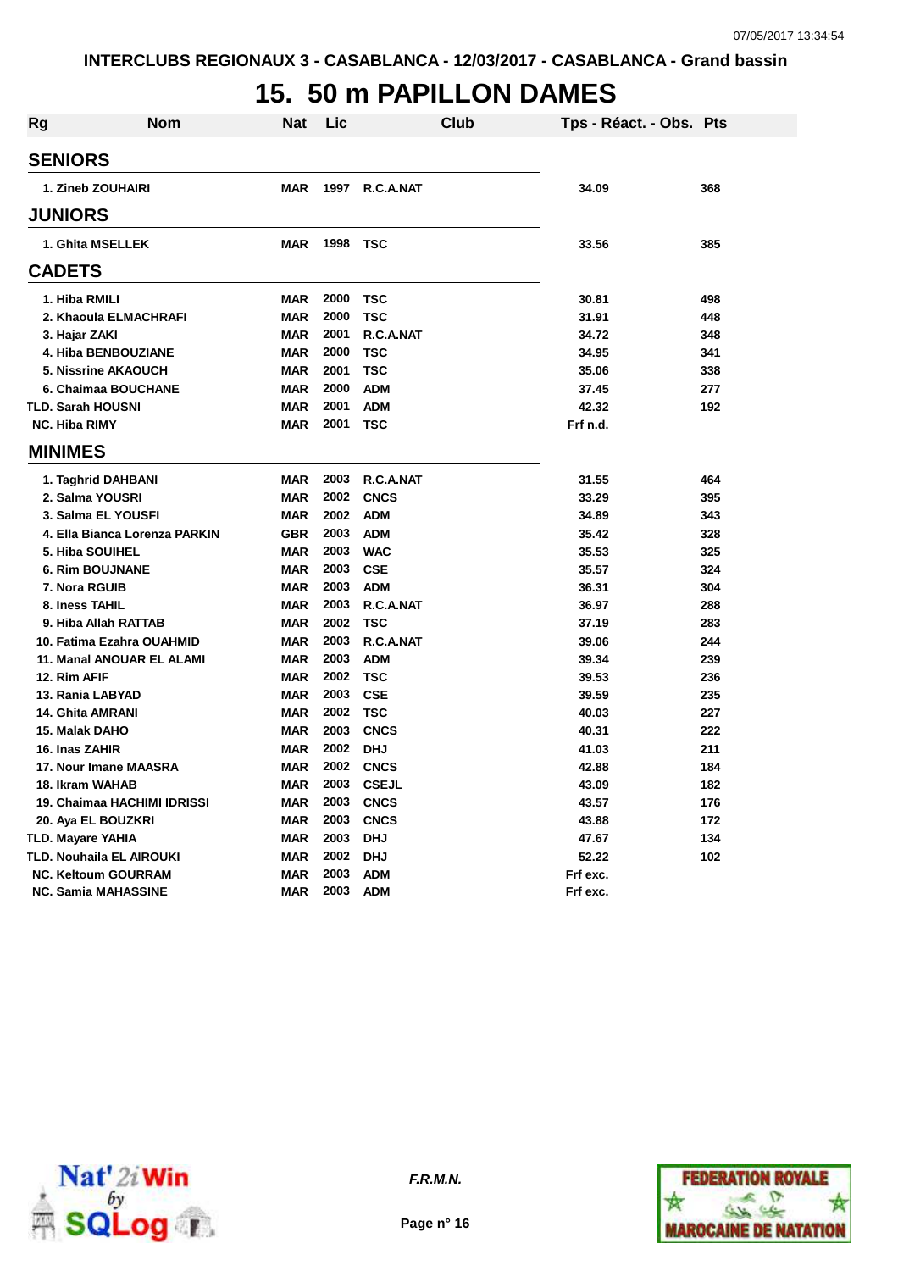## **15. 50 m PAPILLON DAMES**

| Rg | <b>Nom</b>                    | <b>Nat</b> | Lic  | <b>Club</b>  | Tps - Réact. - Obs. Pts |     |
|----|-------------------------------|------------|------|--------------|-------------------------|-----|
|    | <b>SENIORS</b>                |            |      |              |                         |     |
|    | 1. Zineb ZOUHAIRI             | <b>MAR</b> | 1997 | R.C.A.NAT    | 34.09                   | 368 |
|    | <b>JUNIORS</b>                |            |      |              |                         |     |
|    | 1. Ghita MSELLEK              | <b>MAR</b> | 1998 | <b>TSC</b>   | 33.56                   | 385 |
|    | <b>CADETS</b>                 |            |      |              |                         |     |
|    | 1. Hiba RMILI                 | <b>MAR</b> | 2000 | TSC          | 30.81                   | 498 |
|    | 2. Khaoula ELMACHRAFI         | <b>MAR</b> | 2000 | <b>TSC</b>   | 31.91                   | 448 |
|    | 3. Hajar ZAKI                 | <b>MAR</b> | 2001 | R.C.A.NAT    | 34.72                   | 348 |
|    | 4. Hiba BENBOUZIANE           | <b>MAR</b> | 2000 | <b>TSC</b>   | 34.95                   | 341 |
|    | <b>5. Nissrine AKAOUCH</b>    | <b>MAR</b> | 2001 | <b>TSC</b>   | 35.06                   | 338 |
|    | 6. Chaimaa BOUCHANE           | <b>MAR</b> | 2000 | <b>ADM</b>   | 37.45                   | 277 |
|    | <b>TLD. Sarah HOUSNI</b>      | <b>MAR</b> | 2001 | <b>ADM</b>   | 42.32                   | 192 |
|    | <b>NC. Hiba RIMY</b>          | <b>MAR</b> | 2001 | <b>TSC</b>   | Frf n.d.                |     |
|    | <b>MINIMES</b>                |            |      |              |                         |     |
|    | 1. Taghrid DAHBANI            | <b>MAR</b> | 2003 | R.C.A.NAT    | 31.55                   | 464 |
|    | 2. Salma YOUSRI               | <b>MAR</b> | 2002 | <b>CNCS</b>  | 33.29                   | 395 |
|    | 3. Salma EL YOUSFI            | <b>MAR</b> | 2002 | <b>ADM</b>   | 34.89                   | 343 |
|    | 4. Ella Bianca Lorenza PARKIN | <b>GBR</b> | 2003 | <b>ADM</b>   | 35.42                   | 328 |
|    | 5. Hiba SOUIHEL               | <b>MAR</b> | 2003 | <b>WAC</b>   | 35.53                   | 325 |
|    | <b>6. Rim BOUJNANE</b>        | <b>MAR</b> | 2003 | <b>CSE</b>   | 35.57                   | 324 |
|    | 7. Nora RGUIB                 | <b>MAR</b> | 2003 | <b>ADM</b>   | 36.31                   | 304 |
|    | 8. Iness TAHIL                | <b>MAR</b> | 2003 | R.C.A.NAT    | 36.97                   | 288 |
|    | 9. Hiba Allah RATTAB          | <b>MAR</b> | 2002 | <b>TSC</b>   | 37.19                   | 283 |
|    | 10. Fatima Ezahra OUAHMID     | <b>MAR</b> | 2003 | R.C.A.NAT    | 39.06                   | 244 |
|    | 11. Manal ANOUAR EL ALAMI     | <b>MAR</b> | 2003 | <b>ADM</b>   | 39.34                   | 239 |
|    | 12. Rim AFIF                  | <b>MAR</b> | 2002 | <b>TSC</b>   | 39.53                   | 236 |
|    | 13. Rania LABYAD              | <b>MAR</b> | 2003 | <b>CSE</b>   | 39.59                   | 235 |
|    | <b>14. Ghita AMRANI</b>       | <b>MAR</b> | 2002 | <b>TSC</b>   | 40.03                   | 227 |
|    | 15. Malak DAHO                | <b>MAR</b> | 2003 | <b>CNCS</b>  | 40.31                   | 222 |
|    | 16. Inas ZAHIR                | <b>MAR</b> | 2002 | <b>DHJ</b>   | 41.03                   | 211 |
|    | 17. Nour Imane MAASRA         | <b>MAR</b> | 2002 | <b>CNCS</b>  | 42.88                   | 184 |
|    | 18. Ikram WAHAB               | <b>MAR</b> | 2003 | <b>CSEJL</b> | 43.09                   | 182 |
|    | 19. Chaimaa HACHIMI IDRISSI   | <b>MAR</b> | 2003 | <b>CNCS</b>  | 43.57                   | 176 |
|    | 20. Aya EL BOUZKRI            | <b>MAR</b> | 2003 | <b>CNCS</b>  | 43.88                   | 172 |
|    | TLD. Mayare YAHIA             | <b>MAR</b> | 2003 | <b>DHJ</b>   | 47.67                   | 134 |
|    | TLD. Nouhaila EL AIROUKI      | <b>MAR</b> | 2002 | <b>DHJ</b>   | 52.22                   | 102 |
|    | <b>NC. Keltoum GOURRAM</b>    | <b>MAR</b> | 2003 | <b>ADM</b>   | Frf exc.                |     |
|    | <b>NC. Samia MAHASSINE</b>    | <b>MAR</b> | 2003 | <b>ADM</b>   | Frf exc.                |     |





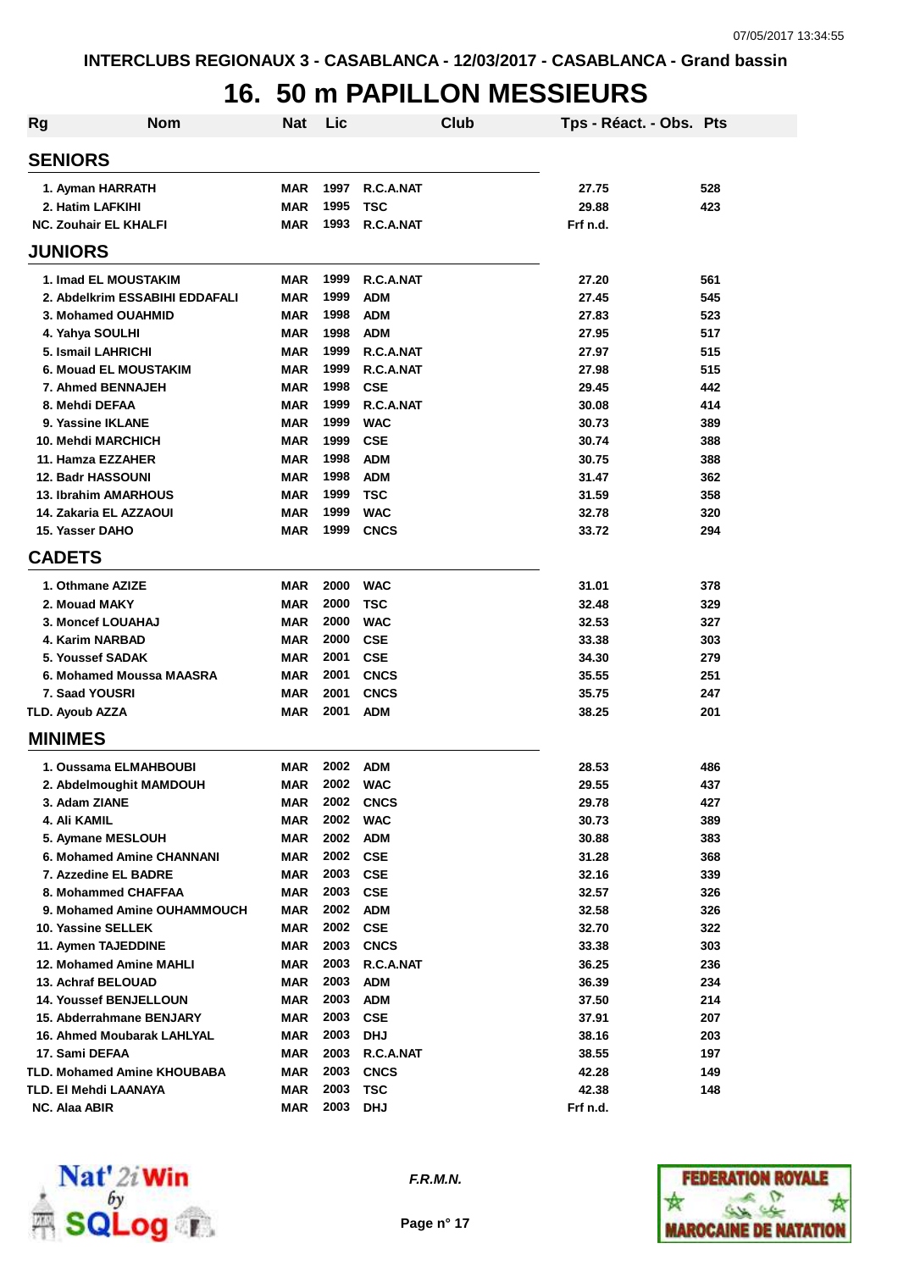# **16. 50 m PAPILLON MESSIEURS**

| Rg | <b>Nom</b>                         | <b>Nat</b> | Lic  |             | Club | Tps - Réact. - Obs. Pts |     |
|----|------------------------------------|------------|------|-------------|------|-------------------------|-----|
|    | <b>SENIORS</b>                     |            |      |             |      |                         |     |
|    | 1. Ayman HARRATH                   | <b>MAR</b> | 1997 | R.C.A.NAT   |      | 27.75                   | 528 |
|    | 2. Hatim LAFKIHI                   | <b>MAR</b> | 1995 | <b>TSC</b>  |      | 29.88                   | 423 |
|    | <b>NC. Zouhair EL KHALFI</b>       | <b>MAR</b> | 1993 | R.C.A.NAT   |      | Frf n.d.                |     |
|    | <b>JUNIORS</b>                     |            |      |             |      |                         |     |
|    | <b>1. Imad EL MOUSTAKIM</b>        | MAR        | 1999 | R.C.A.NAT   |      | 27.20                   | 561 |
|    | 2. Abdelkrim ESSABIHI EDDAFALI     | <b>MAR</b> | 1999 | <b>ADM</b>  |      | 27.45                   | 545 |
|    | 3. Mohamed OUAHMID                 | <b>MAR</b> | 1998 | <b>ADM</b>  |      | 27.83                   | 523 |
|    | 4. Yahya SOULHI                    | <b>MAR</b> | 1998 | <b>ADM</b>  |      | 27.95                   | 517 |
|    | 5. Ismail LAHRICHI                 | <b>MAR</b> | 1999 | R.C.A.NAT   |      | 27.97                   | 515 |
|    | <b>6. Mouad EL MOUSTAKIM</b>       | <b>MAR</b> | 1999 | R.C.A.NAT   |      | 27.98                   | 515 |
|    | 7. Ahmed BENNAJEH                  | <b>MAR</b> | 1998 | <b>CSE</b>  |      | 29.45                   | 442 |
|    | 8. Mehdi DEFAA                     | <b>MAR</b> | 1999 | R.C.A.NAT   |      | 30.08                   | 414 |
|    | 9. Yassine IKLANE                  | <b>MAR</b> | 1999 | <b>WAC</b>  |      | 30.73                   | 389 |
|    | 10. Mehdi MARCHICH                 | <b>MAR</b> | 1999 | <b>CSE</b>  |      | 30.74                   | 388 |
|    | 11. Hamza EZZAHER                  | MAR        | 1998 | <b>ADM</b>  |      | 30.75                   | 388 |
|    | <b>12. Badr HASSOUNI</b>           | <b>MAR</b> | 1998 | <b>ADM</b>  |      | 31.47                   | 362 |
|    | <b>13. Ibrahim AMARHOUS</b>        | <b>MAR</b> | 1999 | <b>TSC</b>  |      | 31.59                   | 358 |
|    | 14. Zakaria EL AZZAOUI             | <b>MAR</b> | 1999 | <b>WAC</b>  |      | 32.78                   | 320 |
|    | 15. Yasser DAHO                    | <b>MAR</b> | 1999 | <b>CNCS</b> |      | 33.72                   | 294 |
|    | <b>CADETS</b>                      |            |      |             |      |                         |     |
|    | 1. Othmane AZIZE                   | <b>MAR</b> | 2000 | <b>WAC</b>  |      | 31.01                   | 378 |
|    | 2. Mouad MAKY                      | MAR        | 2000 | <b>TSC</b>  |      | 32.48                   | 329 |
|    | 3. Moncef LOUAHAJ                  | <b>MAR</b> | 2000 | <b>WAC</b>  |      | 32.53                   | 327 |
|    | 4. Karim NARBAD                    | <b>MAR</b> | 2000 | <b>CSE</b>  |      | 33.38                   | 303 |
|    | 5. Youssef SADAK                   | <b>MAR</b> | 2001 | <b>CSE</b>  |      | 34.30                   | 279 |
|    | 6. Mohamed Moussa MAASRA           | <b>MAR</b> | 2001 | <b>CNCS</b> |      | 35.55                   | 251 |
|    | 7. Saad YOUSRI                     | <b>MAR</b> | 2001 | <b>CNCS</b> |      | 35.75                   | 247 |
|    | <b>TLD. Ayoub AZZA</b>             | <b>MAR</b> | 2001 | <b>ADM</b>  |      | 38.25                   | 201 |
|    | <b>MINIMES</b>                     |            |      |             |      |                         |     |
|    | 1. Oussama ELMAHBOUBI              | MAR        | 2002 | <b>ADM</b>  |      | 28.53                   | 486 |
|    | 2. Abdelmoughit MAMDOUH            | <b>MAR</b> | 2002 | <b>WAC</b>  |      | 29.55                   | 437 |
|    | 3. Adam ZIANE                      | MAR        | 2002 | <b>CNCS</b> |      | 29.78                   | 427 |
|    | 4. Ali KAMIL                       | <b>MAR</b> | 2002 | <b>WAC</b>  |      | 30.73                   | 389 |
|    | 5. Aymane MESLOUH                  | <b>MAR</b> | 2002 | <b>ADM</b>  |      | 30.88                   | 383 |
|    | 6. Mohamed Amine CHANNANI          | <b>MAR</b> | 2002 | <b>CSE</b>  |      | 31.28                   | 368 |
|    | 7. Azzedine EL BADRE               | <b>MAR</b> | 2003 | <b>CSE</b>  |      | 32.16                   | 339 |
|    | 8. Mohammed CHAFFAA                | <b>MAR</b> | 2003 | <b>CSE</b>  |      | 32.57                   | 326 |
|    | 9. Mohamed Amine OUHAMMOUCH        | <b>MAR</b> | 2002 | <b>ADM</b>  |      | 32.58                   | 326 |
|    | 10. Yassine SELLEK                 | <b>MAR</b> | 2002 | <b>CSE</b>  |      | 32.70                   | 322 |
|    | 11. Aymen TAJEDDINE                | <b>MAR</b> | 2003 | <b>CNCS</b> |      | 33.38                   | 303 |
|    | 12. Mohamed Amine MAHLI            | <b>MAR</b> | 2003 | R.C.A.NAT   |      | 36.25                   | 236 |
|    | 13. Achraf BELOUAD                 | <b>MAR</b> | 2003 | <b>ADM</b>  |      | 36.39                   | 234 |
|    | 14. Youssef BENJELLOUN             | MAR        | 2003 | <b>ADM</b>  |      | 37.50                   | 214 |
|    | 15. Abderrahmane BENJARY           | <b>MAR</b> | 2003 | <b>CSE</b>  |      | 37.91                   | 207 |
|    | 16. Ahmed Moubarak LAHLYAL         | MAR        | 2003 | <b>DHJ</b>  |      | 38.16                   | 203 |
|    | 17. Sami DEFAA                     | MAR        | 2003 | R.C.A.NAT   |      | 38.55                   | 197 |
|    | <b>TLD. Mohamed Amine KHOUBABA</b> | <b>MAR</b> | 2003 | <b>CNCS</b> |      | 42.28                   | 149 |
|    | TLD. El Mehdi LAANAYA              | <b>MAR</b> | 2003 | <b>TSC</b>  |      | 42.38                   | 148 |
|    | NC. Alaa ABIR                      | MAR        | 2003 | <b>DHJ</b>  |      | Frf n.d.                |     |



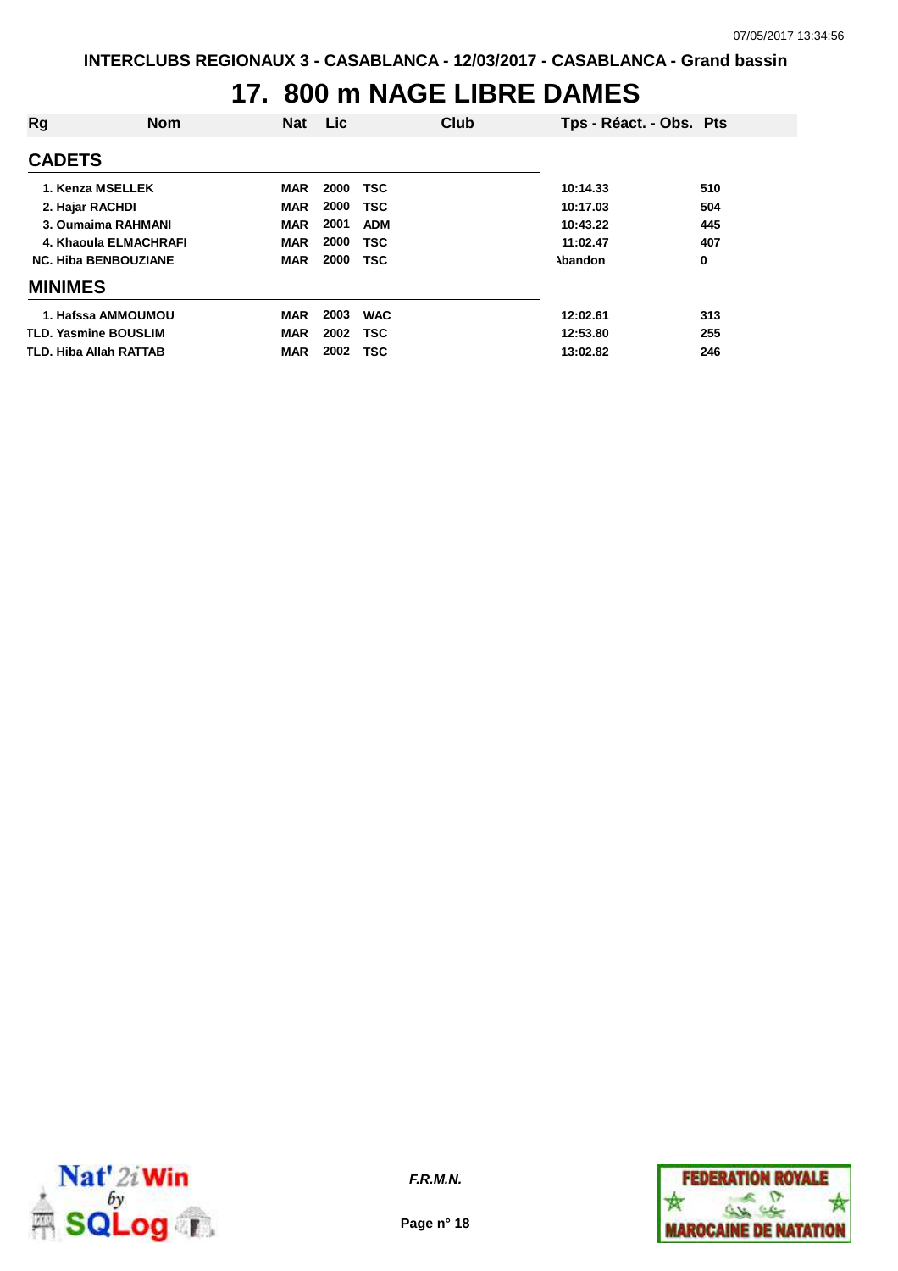## **17. 800 m NAGE LIBRE DAMES**

| Rg                            | <b>Nom</b>            | <b>Nat</b> | Lic  |            | Club | Tps - Réact. - Obs. Pts |     |
|-------------------------------|-----------------------|------------|------|------------|------|-------------------------|-----|
| <b>CADETS</b>                 |                       |            |      |            |      |                         |     |
| 1. Kenza MSELLEK              |                       | <b>MAR</b> | 2000 | <b>TSC</b> |      | 10:14.33                | 510 |
| 2. Hajar RACHDI               |                       | <b>MAR</b> | 2000 | <b>TSC</b> |      | 10:17.03                | 504 |
| 3. Oumaima RAHMANI            |                       | <b>MAR</b> | 2001 | <b>ADM</b> |      | 10:43.22                | 445 |
|                               | 4. Khaoula ELMACHRAFI | <b>MAR</b> | 2000 | <b>TSC</b> |      | 11:02.47                | 407 |
| <b>NC. Hiba BENBOUZIANE</b>   |                       | <b>MAR</b> | 2000 | <b>TSC</b> |      | <b>\bandon</b>          | 0   |
| <b>MINIMES</b>                |                       |            |      |            |      |                         |     |
| 1. Hafssa AMMOUMOU            |                       | <b>MAR</b> | 2003 | <b>WAC</b> |      | 12:02.61                | 313 |
| <b>TLD. Yasmine BOUSLIM</b>   |                       | <b>MAR</b> | 2002 | <b>TSC</b> |      | 12:53.80                | 255 |
| <b>TLD. Hiba Allah RATTAB</b> |                       | <b>MAR</b> | 2002 | <b>TSC</b> |      | 13:02.82                | 246 |



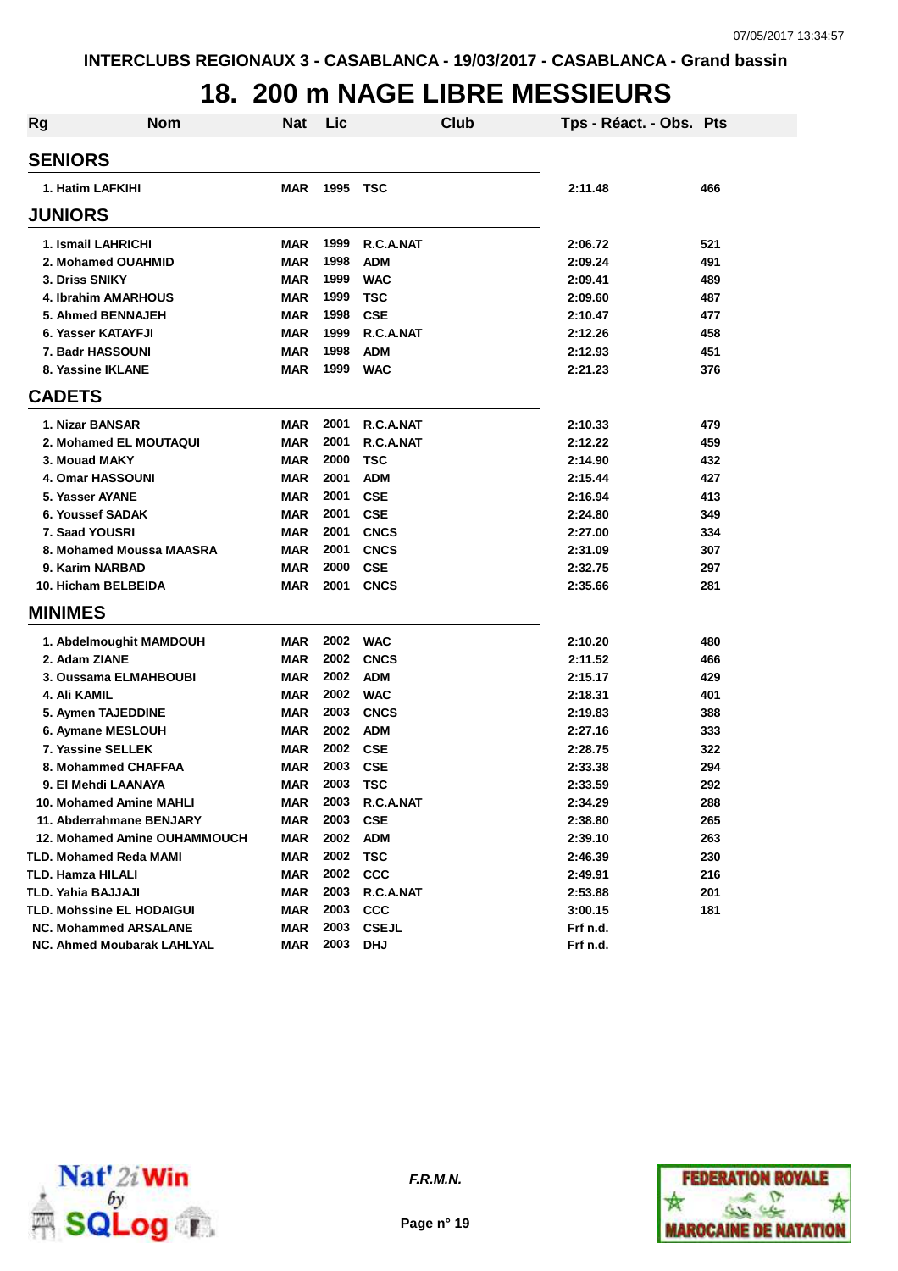# **18. 200 m NAGE LIBRE MESSIEURS**

| <b>Rg</b> | <b>Nom</b>                   | <b>Nat</b> | Lic      | Club         | Tps - Réact. - Obs. Pts |     |
|-----------|------------------------------|------------|----------|--------------|-------------------------|-----|
|           | <b>SENIORS</b>               |            |          |              |                         |     |
|           | 1. Hatim LAFKIHI             | <b>MAR</b> | 1995     | <b>TSC</b>   | 2:11.48                 | 466 |
|           | <b>JUNIORS</b>               |            |          |              |                         |     |
|           | 1. Ismail LAHRICHI           | MAR        | 1999     | R.C.A.NAT    | 2:06.72                 | 521 |
|           | 2. Mohamed OUAHMID           | <b>MAR</b> | 1998     | <b>ADM</b>   | 2:09.24                 | 491 |
|           | 3. Driss SNIKY               | <b>MAR</b> | 1999     | <b>WAC</b>   | 2:09.41                 | 489 |
|           | 4. Ibrahim AMARHOUS          | <b>MAR</b> | 1999     | <b>TSC</b>   | 2:09.60                 | 487 |
|           | 5. Ahmed BENNAJEH            | <b>MAR</b> | 1998     | <b>CSE</b>   | 2:10.47                 | 477 |
|           | 6. Yasser KATAYFJI           | <b>MAR</b> | 1999     | R.C.A.NAT    | 2:12.26                 | 458 |
|           | 7. Badr HASSOUNI             | <b>MAR</b> | 1998     | <b>ADM</b>   | 2:12.93                 | 451 |
|           | 8. Yassine IKLANE            | <b>MAR</b> | 1999     | <b>WAC</b>   | 2:21.23                 | 376 |
|           | <b>CADETS</b>                |            |          |              |                         |     |
|           | 1. Nizar BANSAR              | <b>MAR</b> | 2001     | R.C.A.NAT    | 2:10.33                 | 479 |
|           | 2. Mohamed EL MOUTAQUI       | <b>MAR</b> | 2001     | R.C.A.NAT    | 2:12.22                 | 459 |
|           | 3. Mouad MAKY                | <b>MAR</b> | 2000     | <b>TSC</b>   | 2:14.90                 | 432 |
|           | <b>4. Omar HASSOUNI</b>      | <b>MAR</b> | 2001     | <b>ADM</b>   | 2:15.44                 | 427 |
|           | 5. Yasser AYANE              | <b>MAR</b> | 2001     | <b>CSE</b>   | 2:16.94                 | 413 |
|           | 6. Youssef SADAK             | <b>MAR</b> | 2001     | <b>CSE</b>   | 2:24.80                 | 349 |
|           | 7. Saad YOUSRI               | <b>MAR</b> | 2001     | <b>CNCS</b>  | 2:27.00                 | 334 |
|           | 8. Mohamed Moussa MAASRA     | <b>MAR</b> | 2001     | <b>CNCS</b>  | 2:31.09                 | 307 |
|           | 9. Karim NARBAD              | <b>MAR</b> | 2000     | <b>CSE</b>   | 2:32.75                 | 297 |
|           | 10. Hicham BELBEIDA          | <b>MAR</b> | 2001     | <b>CNCS</b>  | 2:35.66                 | 281 |
|           | <b>MINIMES</b>               |            |          |              |                         |     |
|           |                              |            |          |              |                         |     |
|           | 1. Abdelmoughit MAMDOUH      | <b>MAR</b> | 2002     | <b>WAC</b>   | 2:10.20                 | 480 |
|           | 2. Adam ZIANE                | <b>MAR</b> | 2002     | <b>CNCS</b>  | 2:11.52                 | 466 |
|           | 3. Oussama ELMAHBOUBI        | <b>MAR</b> | 2002     | <b>ADM</b>   | 2:15.17                 | 429 |
|           | 4. Ali KAMIL                 | <b>MAR</b> | 2002     | <b>WAC</b>   | 2:18.31                 | 401 |
|           | 5. Aymen TAJEDDINE           | <b>MAR</b> | 2003     | <b>CNCS</b>  | 2:19.83                 | 388 |
|           | 6. Aymane MESLOUH            | <b>MAR</b> | 2002     | <b>ADM</b>   | 2:27.16                 | 333 |
|           | 7. Yassine SELLEK            | <b>MAR</b> | 2002     | <b>CSE</b>   | 2:28.75                 | 322 |
|           | 8. Mohammed CHAFFAA          | <b>MAR</b> | 2003     | <b>CSE</b>   | 2:33.38                 | 294 |
|           | 9. El Mehdi LAANAYA          | <b>MAR</b> | 2003     | TSC          | 2:33.59                 | 292 |
|           | 10. Mohamed Amine MAHLI      | MAR        | 2003     | R.C.A.NAT    | 2:34.29                 | 288 |
|           | 11. Abderrahmane BENJARY     | MAR        | 2003     | <b>CSE</b>   | 2:38.80                 | 265 |
|           | 12. Mohamed Amine OUHAMMOUCH | MAR        | 2002     | <b>ADM</b>   | 2:39.10                 | 263 |
|           | TLD. Mohamed Reda MAMI       | MAR        | 2002 TSC |              | 2:46.39                 | 230 |
|           | TLD. Hamza HILALI            | MAR        |          | 2002 CCC     | 2:49.91                 | 216 |
|           | TLD. Yahia BAJJAJI           | MAR        | 2003     | R.C.A.NAT    | 2:53.88                 | 201 |
|           | TLD. Mohssine EL HODAIGUI    | MAR        | 2003     | <b>CCC</b>   | 3:00.15                 | 181 |
|           | <b>NC. Mohammed ARSALANE</b> | MAR        | 2003     | <b>CSEJL</b> | Frf n.d.                |     |
|           | NC. Ahmed Moubarak LAHLYAL   | <b>MAR</b> | 2003 DHJ |              | Frf n.d.                |     |



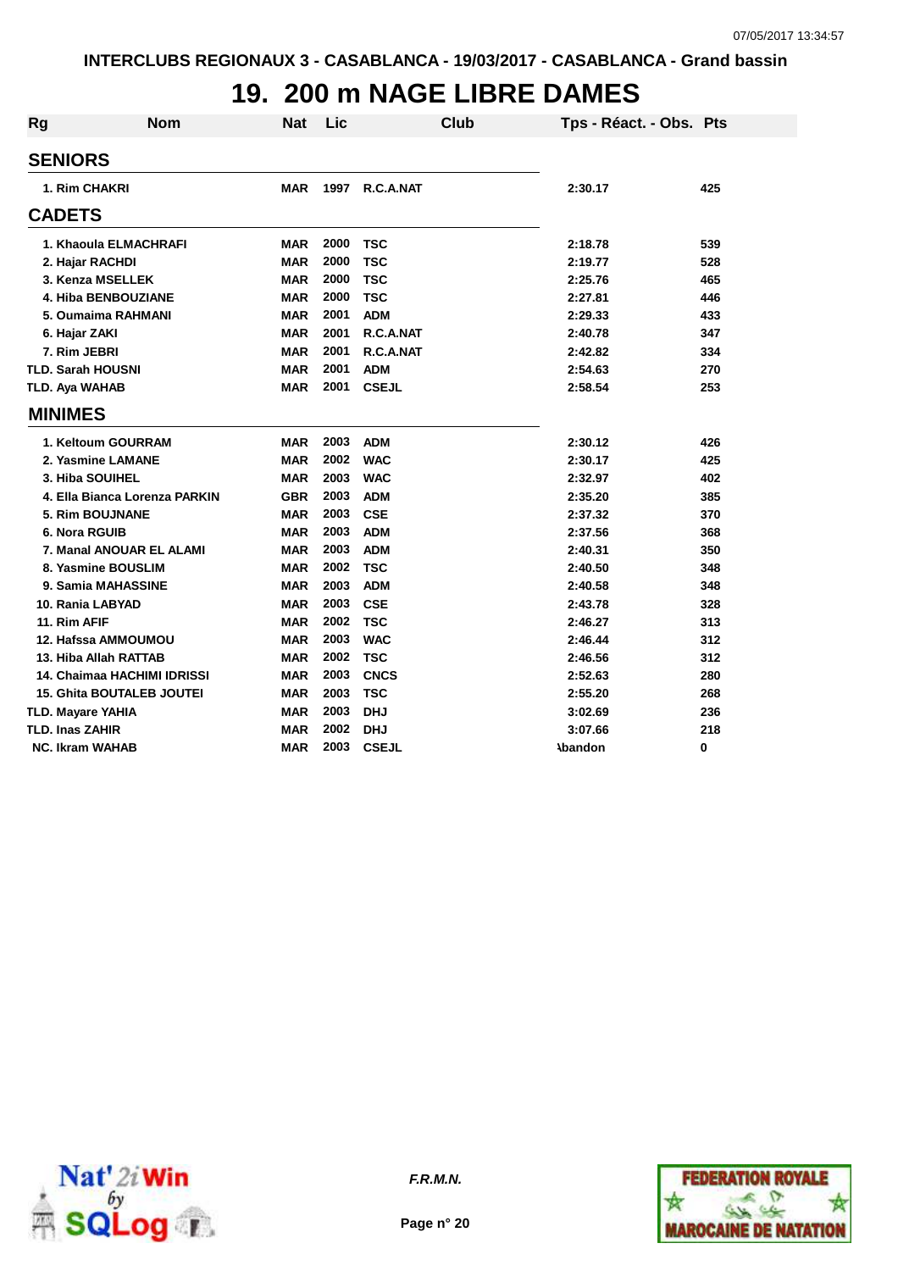## **19. 200 m NAGE LIBRE DAMES**

| Rg                     | <b>Nom</b>                       | <b>Nat</b> | Lic  |              | Club | Tps - Réact. - Obs. Pts |     |
|------------------------|----------------------------------|------------|------|--------------|------|-------------------------|-----|
| <b>SENIORS</b>         |                                  |            |      |              |      |                         |     |
|                        | 1. Rim CHAKRI                    | <b>MAR</b> | 1997 | R.C.A.NAT    |      | 2:30.17                 | 425 |
| <b>CADETS</b>          |                                  |            |      |              |      |                         |     |
|                        | 1. Khaoula ELMACHRAFI            | <b>MAR</b> | 2000 | TSC          |      | 2:18.78                 | 539 |
|                        | 2. Hajar RACHDI                  | <b>MAR</b> | 2000 | <b>TSC</b>   |      | 2:19.77                 | 528 |
|                        | 3. Kenza MSELLEK                 | <b>MAR</b> | 2000 | <b>TSC</b>   |      | 2:25.76                 | 465 |
|                        | 4. Hiba BENBOUZIANE              | <b>MAR</b> | 2000 | <b>TSC</b>   |      | 2:27.81                 | 446 |
|                        | 5. Oumaima RAHMANI               | <b>MAR</b> | 2001 | <b>ADM</b>   |      | 2:29.33                 | 433 |
| 6. Hajar ZAKI          |                                  | <b>MAR</b> | 2001 | R.C.A.NAT    |      | 2:40.78                 | 347 |
| 7. Rim JEBRI           |                                  | <b>MAR</b> | 2001 | R.C.A.NAT    |      | 2:42.82                 | 334 |
|                        | <b>TLD. Sarah HOUSNI</b>         | <b>MAR</b> | 2001 | <b>ADM</b>   |      | 2:54.63                 | 270 |
| TLD. Aya WAHAB         |                                  | <b>MAR</b> | 2001 | <b>CSEJL</b> |      | 2:58.54                 | 253 |
| <b>MINIMES</b>         |                                  |            |      |              |      |                         |     |
|                        | 1. Keltoum GOURRAM               | <b>MAR</b> | 2003 | <b>ADM</b>   |      | 2:30.12                 | 426 |
|                        | 2. Yasmine LAMANE                | <b>MAR</b> | 2002 | <b>WAC</b>   |      | 2:30.17                 | 425 |
|                        | 3. Hiba SOUIHEL                  | <b>MAR</b> | 2003 | <b>WAC</b>   |      | 2:32.97                 | 402 |
|                        | 4. Ella Bianca Lorenza PARKIN    | <b>GBR</b> | 2003 | <b>ADM</b>   |      | 2:35.20                 | 385 |
|                        | 5. Rim BOUJNANE                  | MAR        | 2003 | <b>CSE</b>   |      | 2:37.32                 | 370 |
|                        | 6. Nora RGUIB                    | <b>MAR</b> | 2003 | <b>ADM</b>   |      | 2:37.56                 | 368 |
|                        | 7. Manal ANOUAR EL ALAMI         | <b>MAR</b> | 2003 | <b>ADM</b>   |      | 2:40.31                 | 350 |
|                        | 8. Yasmine BOUSLIM               | <b>MAR</b> | 2002 | <b>TSC</b>   |      | 2:40.50                 | 348 |
|                        | 9. Samia MAHASSINE               | <b>MAR</b> | 2003 | <b>ADM</b>   |      | 2:40.58                 | 348 |
|                        | 10. Rania LABYAD                 | <b>MAR</b> | 2003 | <b>CSE</b>   |      | 2:43.78                 | 328 |
| 11. Rim AFIF           |                                  | <b>MAR</b> | 2002 | <b>TSC</b>   |      | 2:46.27                 | 313 |
|                        | 12. Hafssa AMMOUMOU              | <b>MAR</b> | 2003 | <b>WAC</b>   |      | 2:46.44                 | 312 |
|                        | 13. Hiba Allah RATTAB            | <b>MAR</b> | 2002 | <b>TSC</b>   |      | 2:46.56                 | 312 |
|                        | 14. Chaimaa HACHIMI IDRISSI      | <b>MAR</b> | 2003 | <b>CNCS</b>  |      | 2:52.63                 | 280 |
|                        | <b>15. Ghita BOUTALEB JOUTEI</b> | <b>MAR</b> | 2003 | <b>TSC</b>   |      | 2:55.20                 | 268 |
|                        | <b>TLD. Mayare YAHIA</b>         | <b>MAR</b> | 2003 | <b>DHJ</b>   |      | 3:02.69                 | 236 |
| <b>TLD. Inas ZAHIR</b> |                                  | <b>MAR</b> | 2002 | <b>DHJ</b>   |      | 3:07.66                 | 218 |
|                        | <b>NC. Ikram WAHAB</b>           | <b>MAR</b> | 2003 | <b>CSEJL</b> |      | <b>\bandon</b>          | 0   |



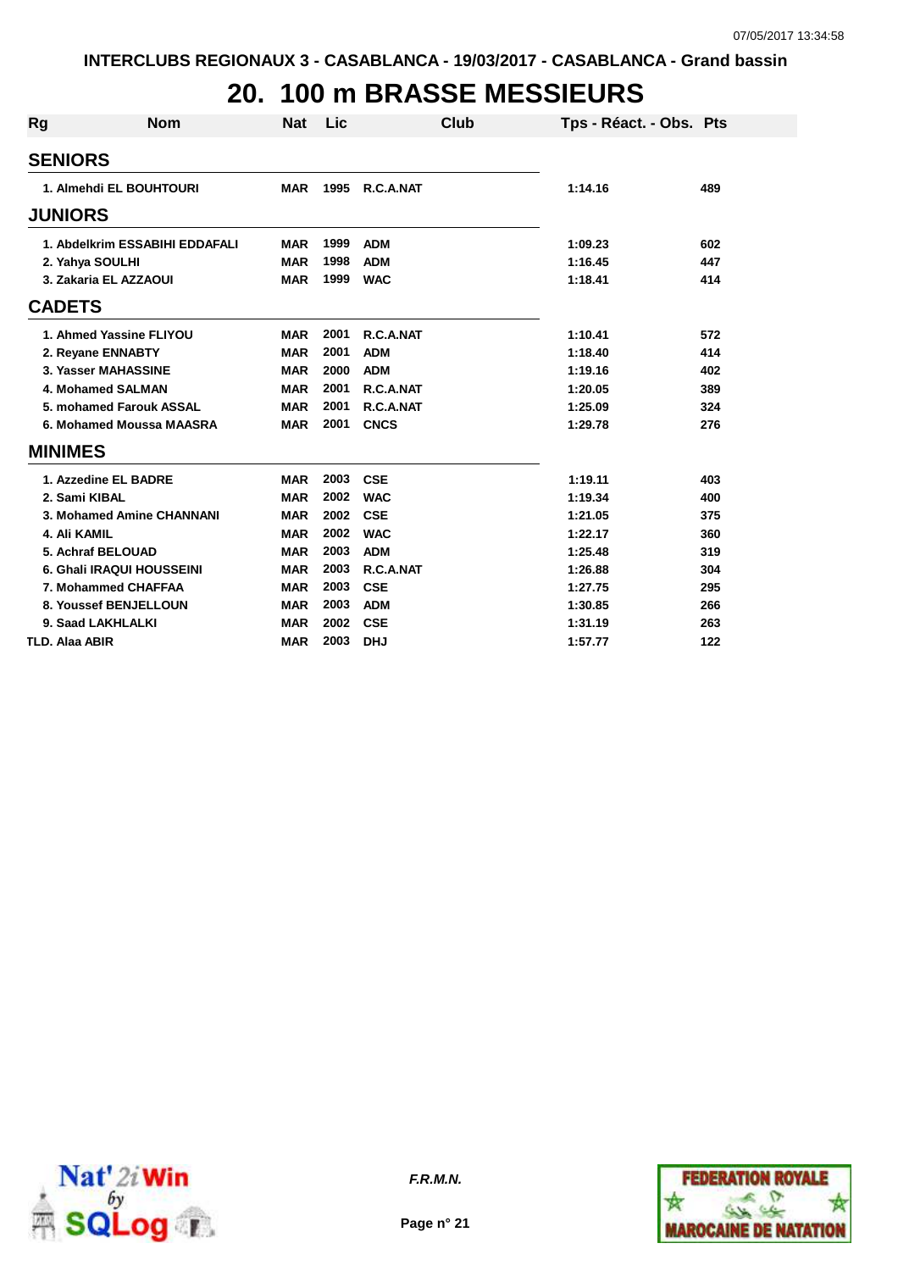## **20. 100 m BRASSE MESSIEURS**

| Rg | <b>Nom</b>                     | <b>Nat</b> | Lic  | Club        | Tps - Réact. - Obs. Pts |     |
|----|--------------------------------|------------|------|-------------|-------------------------|-----|
|    | <b>SENIORS</b>                 |            |      |             |                         |     |
|    | 1. Almehdi EL BOUHTOURI        | <b>MAR</b> | 1995 | R.C.A.NAT   | 1:14.16                 | 489 |
|    | <b>JUNIORS</b>                 |            |      |             |                         |     |
|    | 1. Abdelkrim ESSABIHI EDDAFALI | <b>MAR</b> | 1999 | <b>ADM</b>  | 1:09.23                 | 602 |
|    | 2. Yahya SOULHI                | <b>MAR</b> | 1998 | <b>ADM</b>  | 1:16.45                 | 447 |
|    | 3. Zakaria EL AZZAOUI          | <b>MAR</b> | 1999 | <b>WAC</b>  | 1:18.41                 | 414 |
|    | <b>CADETS</b>                  |            |      |             |                         |     |
|    | 1. Ahmed Yassine FLIYOU        | <b>MAR</b> | 2001 | R.C.A.NAT   | 1:10.41                 | 572 |
|    | 2. Reyane ENNABTY              | <b>MAR</b> | 2001 | <b>ADM</b>  | 1:18.40                 | 414 |
|    | 3. Yasser MAHASSINE            | <b>MAR</b> | 2000 | <b>ADM</b>  | 1:19.16                 | 402 |
|    | 4. Mohamed SALMAN              | <b>MAR</b> | 2001 | R.C.A.NAT   | 1:20.05                 | 389 |
|    | 5. mohamed Farouk ASSAL        | <b>MAR</b> | 2001 | R.C.A.NAT   | 1:25.09                 | 324 |
|    | 6. Mohamed Moussa MAASRA       | <b>MAR</b> | 2001 | <b>CNCS</b> | 1:29.78                 | 276 |
|    | <b>MINIMES</b>                 |            |      |             |                         |     |
|    | 1. Azzedine EL BADRE           | <b>MAR</b> | 2003 | <b>CSE</b>  | 1:19.11                 | 403 |
|    | 2. Sami KIBAL                  | <b>MAR</b> | 2002 | <b>WAC</b>  | 1:19.34                 | 400 |
|    | 3. Mohamed Amine CHANNANI      | <b>MAR</b> | 2002 | <b>CSE</b>  | 1:21.05                 | 375 |
|    | 4. Ali KAMIL                   | <b>MAR</b> | 2002 | <b>WAC</b>  | 1:22.17                 | 360 |
|    | 5. Achraf BELOUAD              | <b>MAR</b> | 2003 | <b>ADM</b>  | 1:25.48                 | 319 |
|    | 6. Ghali IRAQUI HOUSSEINI      | <b>MAR</b> | 2003 | R.C.A.NAT   | 1:26.88                 | 304 |
|    | 7. Mohammed CHAFFAA            | <b>MAR</b> | 2003 | <b>CSE</b>  | 1:27.75                 | 295 |
|    | 8. Youssef BENJELLOUN          | <b>MAR</b> | 2003 | <b>ADM</b>  | 1:30.85                 | 266 |
|    | 9. Saad LAKHLALKI              | <b>MAR</b> | 2002 | <b>CSE</b>  | 1:31.19                 | 263 |
|    | <b>TLD. Alaa ABIR</b>          | <b>MAR</b> | 2003 | <b>DHJ</b>  | 1:57.77                 | 122 |



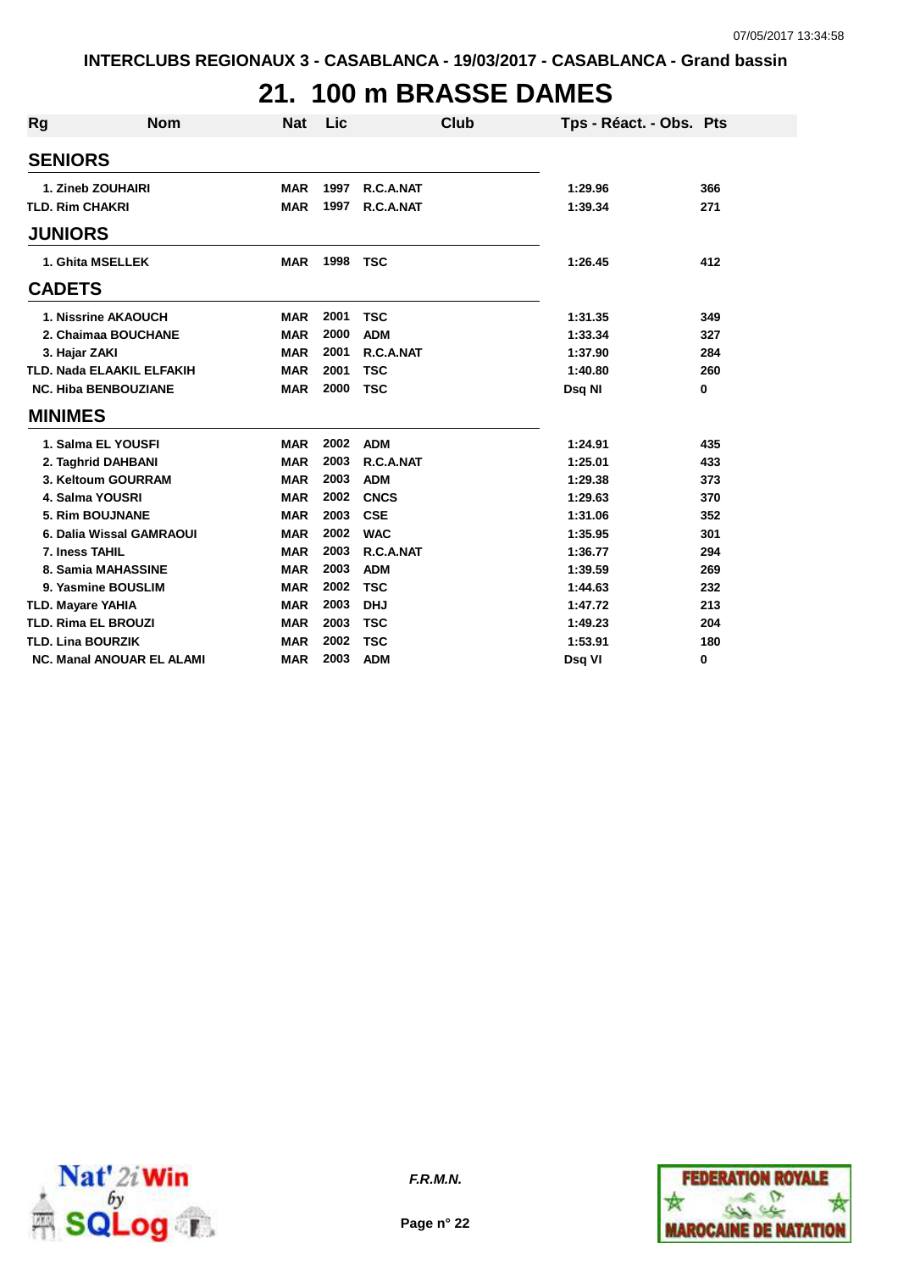# **21. 100 m BRASSE DAMES**

| Rg                         | <b>Nom</b>                       | <b>Nat</b> | Lic  | Club        | Tps - Réact. - Obs. Pts |          |
|----------------------------|----------------------------------|------------|------|-------------|-------------------------|----------|
| <b>SENIORS</b>             |                                  |            |      |             |                         |          |
|                            | 1. Zineb ZOUHAIRI                | <b>MAR</b> | 1997 | R.C.A.NAT   | 1:29.96                 | 366      |
| <b>TLD. Rim CHAKRI</b>     |                                  | <b>MAR</b> | 1997 | R.C.A.NAT   | 1:39.34                 | 271      |
| <b>JUNIORS</b>             |                                  |            |      |             |                         |          |
|                            | 1. Ghita MSELLEK                 | <b>MAR</b> | 1998 | <b>TSC</b>  | 1:26.45                 | 412      |
| <b>CADETS</b>              |                                  |            |      |             |                         |          |
|                            | 1. Nissrine AKAOUCH              | <b>MAR</b> | 2001 | <b>TSC</b>  | 1:31.35                 | 349      |
|                            | 2. Chaimaa BOUCHANE              | <b>MAR</b> | 2000 | <b>ADM</b>  | 1:33.34                 | 327      |
| 3. Hajar ZAKI              |                                  | <b>MAR</b> | 2001 | R.C.A.NAT   | 1:37.90                 | 284      |
|                            | <b>TLD. Nada ELAAKIL ELFAKIH</b> | <b>MAR</b> | 2001 | <b>TSC</b>  | 1:40.80                 | 260      |
|                            | <b>NC. Hiba BENBOUZIANE</b>      | <b>MAR</b> | 2000 | <b>TSC</b>  | Dsq NI                  | $\bf{0}$ |
| <b>MINIMES</b>             |                                  |            |      |             |                         |          |
|                            | 1. Salma EL YOUSFI               | <b>MAR</b> | 2002 | <b>ADM</b>  | 1:24.91                 | 435      |
|                            | 2. Taghrid DAHBANI               | <b>MAR</b> | 2003 | R.C.A.NAT   | 1:25.01                 | 433      |
|                            | 3. Keltoum GOURRAM               | <b>MAR</b> | 2003 | <b>ADM</b>  | 1:29.38                 | 373      |
| 4. Salma YOUSRI            |                                  | <b>MAR</b> | 2002 | <b>CNCS</b> | 1:29.63                 | 370      |
|                            | 5. Rim BOUJNANE                  | <b>MAR</b> | 2003 | <b>CSE</b>  | 1:31.06                 | 352      |
|                            | 6. Dalia Wissal GAMRAOUI         | <b>MAR</b> | 2002 | <b>WAC</b>  | 1:35.95                 | 301      |
| 7. Iness TAHIL             |                                  | <b>MAR</b> | 2003 | R.C.A.NAT   | 1:36.77                 | 294      |
|                            | 8. Samia MAHASSINE               | <b>MAR</b> | 2003 | <b>ADM</b>  | 1:39.59                 | 269      |
|                            | 9. Yasmine BOUSLIM               | <b>MAR</b> | 2002 | <b>TSC</b>  | 1:44.63                 | 232      |
| <b>TLD. Mayare YAHIA</b>   |                                  | <b>MAR</b> | 2003 | <b>DHJ</b>  | 1:47.72                 | 213      |
| <b>TLD. Rima EL BROUZI</b> |                                  | <b>MAR</b> | 2003 | <b>TSC</b>  | 1:49.23                 | 204      |
| <b>TLD. Lina BOURZIK</b>   |                                  | <b>MAR</b> | 2002 | <b>TSC</b>  | 1:53.91                 | 180      |
|                            | <b>NC. Manal ANOUAR EL ALAMI</b> | <b>MAR</b> | 2003 | <b>ADM</b>  | Dsg VI                  | 0        |



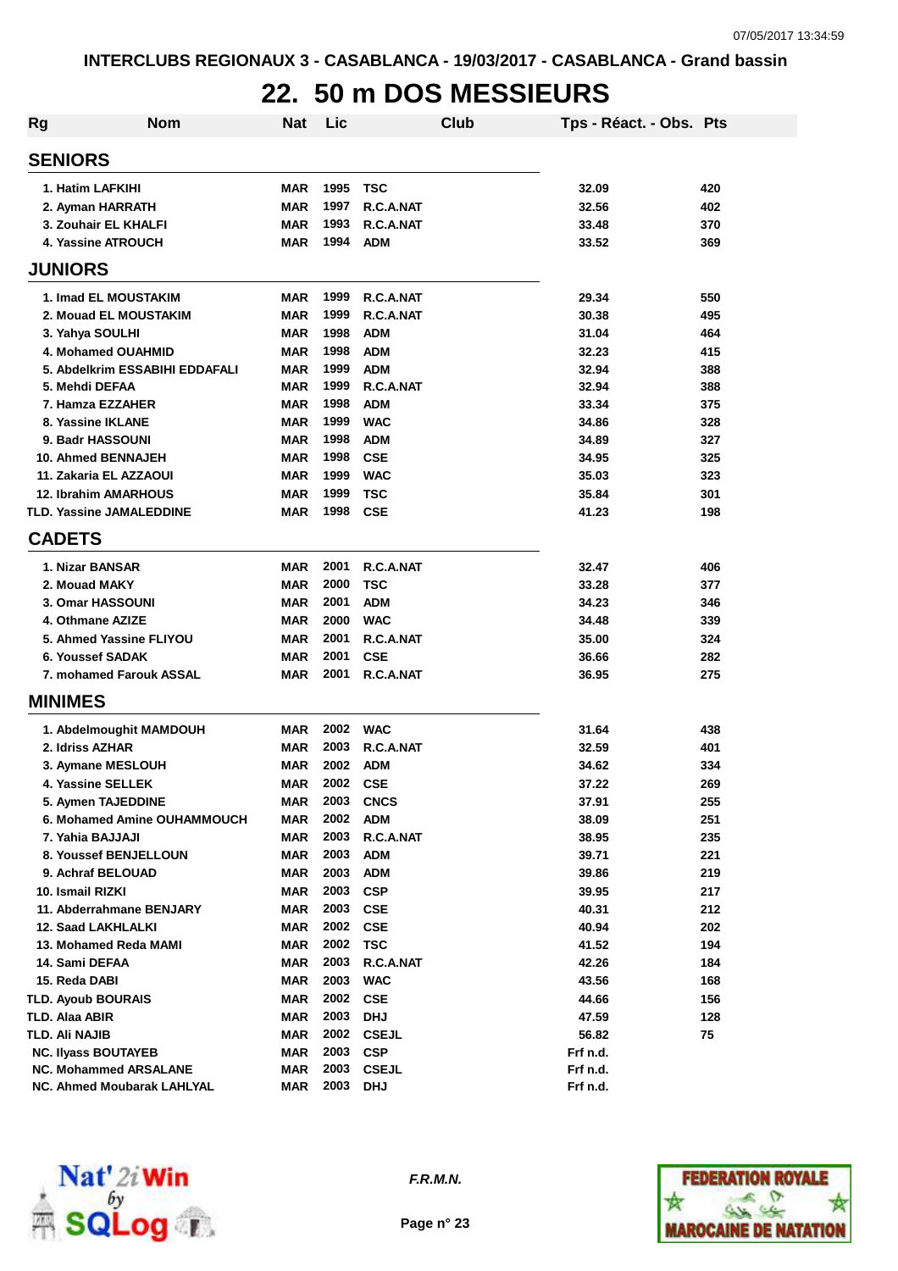# **22. 50 m DOS MESSIEURS**

| Rg             | <b>Nom</b>                      | <b>Nat</b> | Lic  |              | <b>Club</b> | Tps - Réact. - Obs. Pts |     |
|----------------|---------------------------------|------------|------|--------------|-------------|-------------------------|-----|
| <b>SENIORS</b> |                                 |            |      |              |             |                         |     |
|                | 1. Hatim LAFKIHI                | <b>MAR</b> | 1995 | TSC          |             | 32.09                   | 420 |
|                | 2. Ayman HARRATH                | <b>MAR</b> | 1997 | R.C.A.NAT    |             | 32.56                   | 402 |
|                | 3. Zouhair EL KHALFI            | <b>MAR</b> | 1993 | R.C.A.NAT    |             | 33.48                   | 370 |
|                | <b>4. Yassine ATROUCH</b>       | <b>MAR</b> | 1994 | <b>ADM</b>   |             | 33.52                   | 369 |
| <b>JUNIORS</b> |                                 |            |      |              |             |                         |     |
|                | 1. Imad EL MOUSTAKIM            | <b>MAR</b> | 1999 | R.C.A.NAT    |             | 29.34                   | 550 |
|                | 2. Mouad EL MOUSTAKIM           | <b>MAR</b> | 1999 | R.C.A.NAT    |             | 30.38                   | 495 |
|                | 3. Yahya SOULHI                 | <b>MAR</b> | 1998 | <b>ADM</b>   |             | 31.04                   | 464 |
|                | 4. Mohamed OUAHMID              | <b>MAR</b> | 1998 | <b>ADM</b>   |             | 32.23                   | 415 |
|                | 5. Abdelkrim ESSABIHI EDDAFALI  | <b>MAR</b> | 1999 | <b>ADM</b>   |             | 32.94                   | 388 |
|                | 5. Mehdi DEFAA                  | <b>MAR</b> | 1999 | R.C.A.NAT    |             | 32.94                   | 388 |
|                | 7. Hamza EZZAHER                | <b>MAR</b> | 1998 | <b>ADM</b>   |             | 33.34                   | 375 |
|                | 8. Yassine IKLANE               | <b>MAR</b> | 1999 | <b>WAC</b>   |             | 34.86                   | 328 |
|                | 9. Badr HASSOUNI                | <b>MAR</b> | 1998 | <b>ADM</b>   |             | 34.89                   | 327 |
|                | 10. Ahmed BENNAJEH              | <b>MAR</b> | 1998 | <b>CSE</b>   |             | 34.95                   | 325 |
|                | 11. Zakaria EL AZZAOUI          | <b>MAR</b> | 1999 | <b>WAC</b>   |             | 35.03                   | 323 |
|                | <b>12. Ibrahim AMARHOUS</b>     | <b>MAR</b> | 1999 | <b>TSC</b>   |             | 35.84                   | 301 |
|                | <b>TLD. Yassine JAMALEDDINE</b> | <b>MAR</b> | 1998 | <b>CSE</b>   |             | 41.23                   | 198 |
| <b>CADETS</b>  |                                 |            |      |              |             |                         |     |
|                | 1. Nizar BANSAR                 | <b>MAR</b> | 2001 | R.C.A.NAT    |             | 32.47                   | 406 |
|                | 2. Mouad MAKY                   | <b>MAR</b> | 2000 | <b>TSC</b>   |             | 33.28                   | 377 |
|                | 3. Omar HASSOUNI                | <b>MAR</b> | 2001 | <b>ADM</b>   |             | 34.23                   | 346 |
|                | 4. Othmane AZIZE                | <b>MAR</b> | 2000 | <b>WAC</b>   |             | 34.48                   | 339 |
|                | 5. Ahmed Yassine FLIYOU         | <b>MAR</b> | 2001 | R.C.A.NAT    |             | 35.00                   | 324 |
|                | 6. Youssef SADAK                | <b>MAR</b> | 2001 | <b>CSE</b>   |             | 36.66                   | 282 |
|                | 7. mohamed Farouk ASSAL         | <b>MAR</b> | 2001 | R.C.A.NAT    |             | 36.95                   | 275 |
| <b>MINIMES</b> |                                 |            |      |              |             |                         |     |
|                | 1. Abdelmoughit MAMDOUH         | <b>MAR</b> | 2002 | <b>WAC</b>   |             | 31.64                   | 438 |
|                | 2. Idriss AZHAR                 | <b>MAR</b> | 2003 | R.C.A.NAT    |             | 32.59                   | 401 |
|                | 3. Aymane MESLOUH               | <b>MAR</b> | 2002 | <b>ADM</b>   |             | 34.62                   | 334 |
|                | 4. Yassine SELLEK               | <b>MAR</b> | 2002 | <b>CSE</b>   |             | 37.22                   | 269 |
|                | 5. Aymen TAJEDDINE              | MAR        | 2003 | <b>CNCS</b>  |             | 37.91                   | 255 |
|                | 6. Mohamed Amine OUHAMMOUCH     | <b>MAR</b> | 2002 | <b>ADM</b>   |             | 38.09                   | 251 |
|                | 7. Yahia BAJJAJI                | <b>MAR</b> | 2003 | R.C.A.NAT    |             | 38.95                   | 235 |
|                | 8. Youssef BENJELLOUN           | <b>MAR</b> | 2003 | <b>ADM</b>   |             | 39.71                   | 221 |
|                | 9. Achraf BELOUAD               | <b>MAR</b> | 2003 | <b>ADM</b>   |             | 39.86                   | 219 |
|                | 10. Ismail RIZKI                | <b>MAR</b> | 2003 | <b>CSP</b>   |             | 39.95                   | 217 |
|                | 11. Abderrahmane BENJARY        | <b>MAR</b> | 2003 | <b>CSE</b>   |             | 40.31                   | 212 |
|                | 12. Saad LAKHLALKI              | <b>MAR</b> | 2002 | <b>CSE</b>   |             | 40.94                   | 202 |
|                | 13. Mohamed Reda MAMI           | <b>MAR</b> | 2002 | <b>TSC</b>   |             | 41.52                   | 194 |
|                | 14. Sami DEFAA                  | <b>MAR</b> | 2003 | R.C.A.NAT    |             | 42.26                   | 184 |
|                | 15. Reda DABI                   | <b>MAR</b> | 2003 | <b>WAC</b>   |             | 43.56                   | 168 |
|                | <b>TLD. Ayoub BOURAIS</b>       | <b>MAR</b> | 2002 | <b>CSE</b>   |             | 44.66                   | 156 |
|                | TLD. Alaa ABIR                  | <b>MAR</b> | 2003 | <b>DHJ</b>   |             | 47.59                   | 128 |
|                | TLD. Ali NAJIB                  | <b>MAR</b> | 2002 | <b>CSEJL</b> |             | 56.82                   | 75  |
|                | <b>NC. Ilyass BOUTAYEB</b>      | <b>MAR</b> | 2003 | <b>CSP</b>   |             | Frf n.d.                |     |
|                | <b>NC. Mohammed ARSALANE</b>    | <b>MAR</b> | 2003 | <b>CSEJL</b> |             | Frf n.d.                |     |
|                | NC. Ahmed Moubarak LAHLYAL      | <b>MAR</b> | 2003 | <b>DHJ</b>   |             | Frf n.d.                |     |



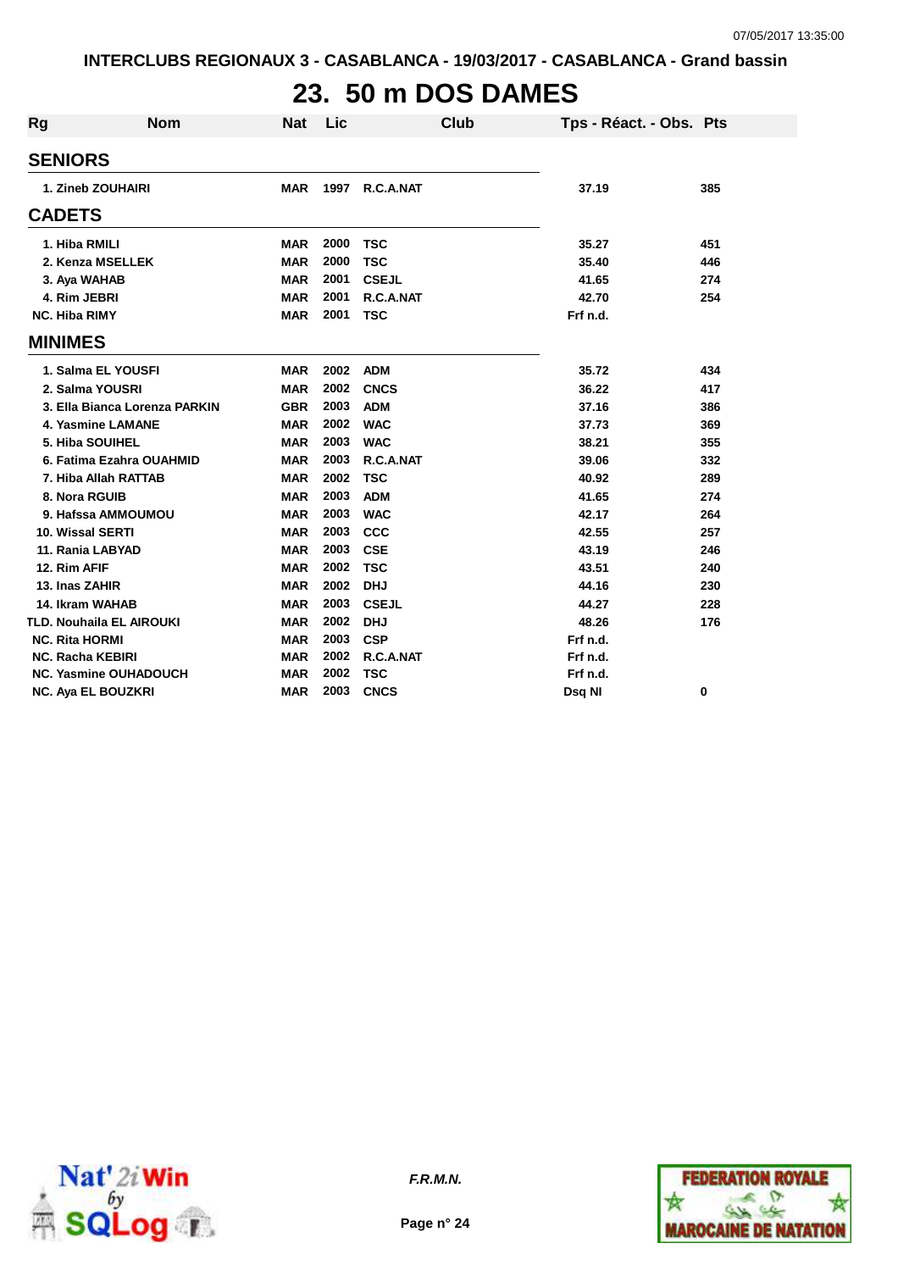# **23. 50 m DOS DAMES**

| Rg | <b>Nom</b>                      | Nat        | Lic  | Club         | Tps - Réact. - Obs. Pts |     |
|----|---------------------------------|------------|------|--------------|-------------------------|-----|
|    | <b>SENIORS</b>                  |            |      |              |                         |     |
|    | 1. Zineb ZOUHAIRI               | <b>MAR</b> | 1997 | R.C.A.NAT    | 37.19                   | 385 |
|    | <b>CADETS</b>                   |            |      |              |                         |     |
|    | 1. Hiba RMILI                   | <b>MAR</b> | 2000 | <b>TSC</b>   | 35.27                   | 451 |
|    | 2. Kenza MSELLEK                | <b>MAR</b> | 2000 | <b>TSC</b>   | 35.40                   | 446 |
|    | 3. Aya WAHAB                    | <b>MAR</b> | 2001 | <b>CSEJL</b> | 41.65                   | 274 |
|    | 4. Rim JEBRI                    | <b>MAR</b> | 2001 | R.C.A.NAT    | 42.70                   | 254 |
|    | <b>NC. Hiba RIMY</b>            | <b>MAR</b> | 2001 | <b>TSC</b>   | Frf n.d.                |     |
|    | <b>MINIMES</b>                  |            |      |              |                         |     |
|    | 1. Salma EL YOUSFI              | <b>MAR</b> | 2002 | <b>ADM</b>   | 35.72                   | 434 |
|    | 2. Salma YOUSRI                 | <b>MAR</b> | 2002 | <b>CNCS</b>  | 36.22                   | 417 |
|    | 3. Ella Bianca Lorenza PARKIN   | <b>GBR</b> | 2003 | <b>ADM</b>   | 37.16                   | 386 |
|    | 4. Yasmine LAMANE               | <b>MAR</b> | 2002 | <b>WAC</b>   | 37.73                   | 369 |
|    | 5. Hiba SOUIHEL                 | <b>MAR</b> | 2003 | <b>WAC</b>   | 38.21                   | 355 |
|    | 6. Fatima Ezahra OUAHMID        | <b>MAR</b> | 2003 | R.C.A.NAT    | 39.06                   | 332 |
|    | 7. Hiba Allah RATTAB            | <b>MAR</b> | 2002 | <b>TSC</b>   | 40.92                   | 289 |
|    | 8. Nora RGUIB                   | <b>MAR</b> | 2003 | <b>ADM</b>   | 41.65                   | 274 |
|    | 9. Hafssa AMMOUMOU              | <b>MAR</b> | 2003 | <b>WAC</b>   | 42.17                   | 264 |
|    | 10. Wissal SERTI                | <b>MAR</b> | 2003 | CCC          | 42.55                   | 257 |
|    | 11. Rania LABYAD                | <b>MAR</b> | 2003 | <b>CSE</b>   | 43.19                   | 246 |
|    | 12. Rim AFIF                    | <b>MAR</b> | 2002 | <b>TSC</b>   | 43.51                   | 240 |
|    | 13. Inas ZAHIR                  | <b>MAR</b> | 2002 | <b>DHJ</b>   | 44.16                   | 230 |
|    | 14. Ikram WAHAB                 | <b>MAR</b> | 2003 | <b>CSEJL</b> | 44.27                   | 228 |
|    | <b>TLD. Nouhaila EL AIROUKI</b> | <b>MAR</b> | 2002 | <b>DHJ</b>   | 48.26                   | 176 |
|    | <b>NC. Rita HORMI</b>           | <b>MAR</b> | 2003 | <b>CSP</b>   | Frf n.d.                |     |
|    | <b>NC. Racha KEBIRI</b>         | <b>MAR</b> | 2002 | R.C.A.NAT    | Frf n.d.                |     |
|    | <b>NC. Yasmine OUHADOUCH</b>    | <b>MAR</b> | 2002 | <b>TSC</b>   | Frf n.d.                |     |
|    | <b>NC. Aya EL BOUZKRI</b>       | <b>MAR</b> | 2003 | <b>CNCS</b>  | Dsq NI                  | 0   |



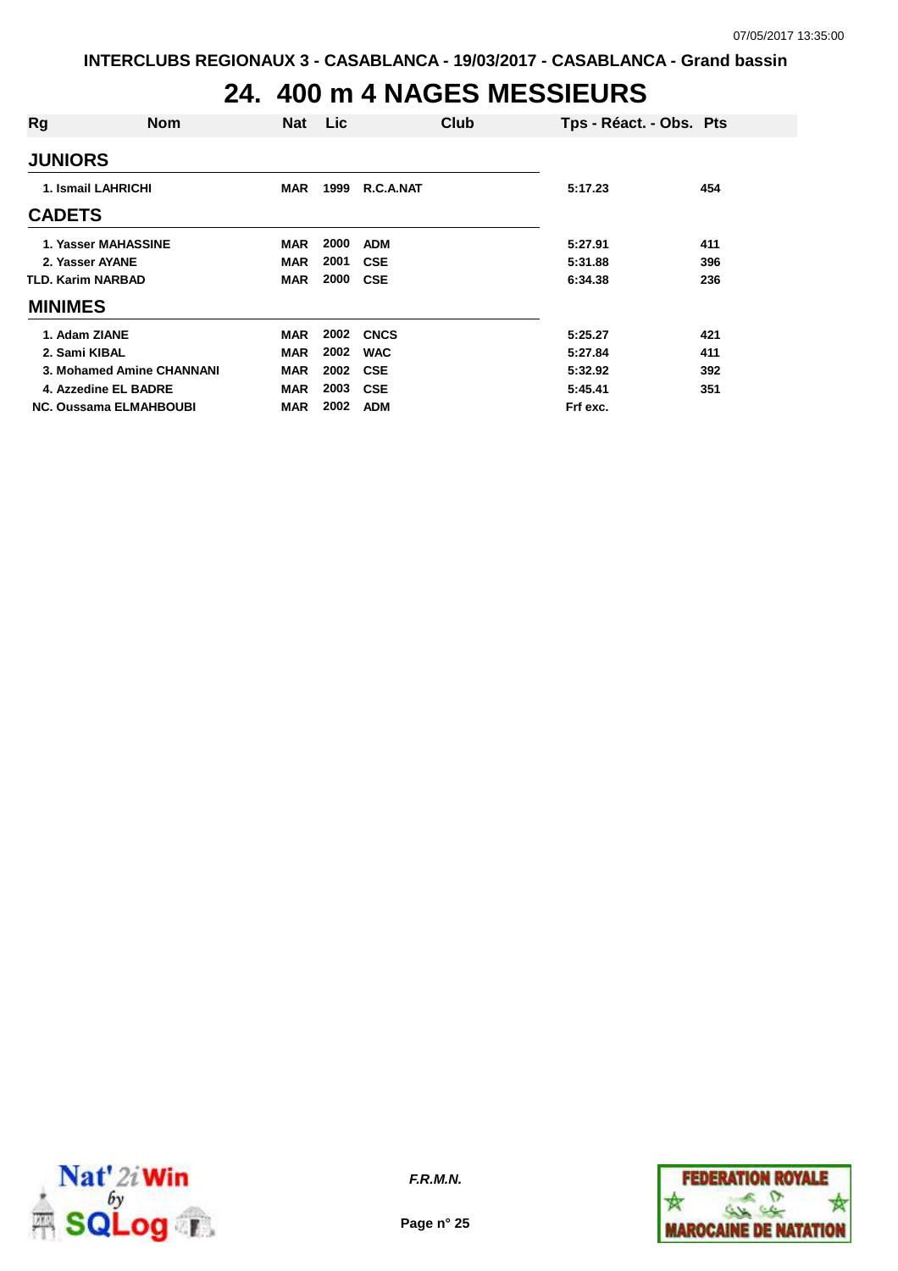## **24. 400 m 4 NAGES MESSIEURS**

| Rg                       | Nom                           | <b>Nat</b> | Lic  |             | Club | Tps - Réact. - Obs. Pts |     |
|--------------------------|-------------------------------|------------|------|-------------|------|-------------------------|-----|
| <b>JUNIORS</b>           |                               |            |      |             |      |                         |     |
|                          | 1. Ismail LAHRICHI            | <b>MAR</b> | 1999 | R.C.A.NAT   |      | 5:17.23                 | 454 |
| <b>CADETS</b>            |                               |            |      |             |      |                         |     |
|                          | 1. Yasser MAHASSINE           | <b>MAR</b> | 2000 | <b>ADM</b>  |      | 5:27.91                 | 411 |
| 2. Yasser AYANE          |                               | <b>MAR</b> | 2001 | <b>CSE</b>  |      | 5:31.88                 | 396 |
| <b>TLD. Karim NARBAD</b> |                               | <b>MAR</b> | 2000 | <b>CSE</b>  |      | 6:34.38                 | 236 |
| <b>MINIMES</b>           |                               |            |      |             |      |                         |     |
| 1. Adam ZIANE            |                               | <b>MAR</b> | 2002 | <b>CNCS</b> |      | 5:25.27                 | 421 |
| 2. Sami KIBAL            |                               | <b>MAR</b> | 2002 | <b>WAC</b>  |      | 5:27.84                 | 411 |
|                          | 3. Mohamed Amine CHANNANI     | <b>MAR</b> | 2002 | <b>CSE</b>  |      | 5:32.92                 | 392 |
|                          | 4. Azzedine EL BADRE          | <b>MAR</b> | 2003 | <b>CSE</b>  |      | 5:45.41                 | 351 |
|                          | <b>NC. Oussama ELMAHBOUBI</b> | <b>MAR</b> | 2002 | <b>ADM</b>  |      | Frf exc.                |     |



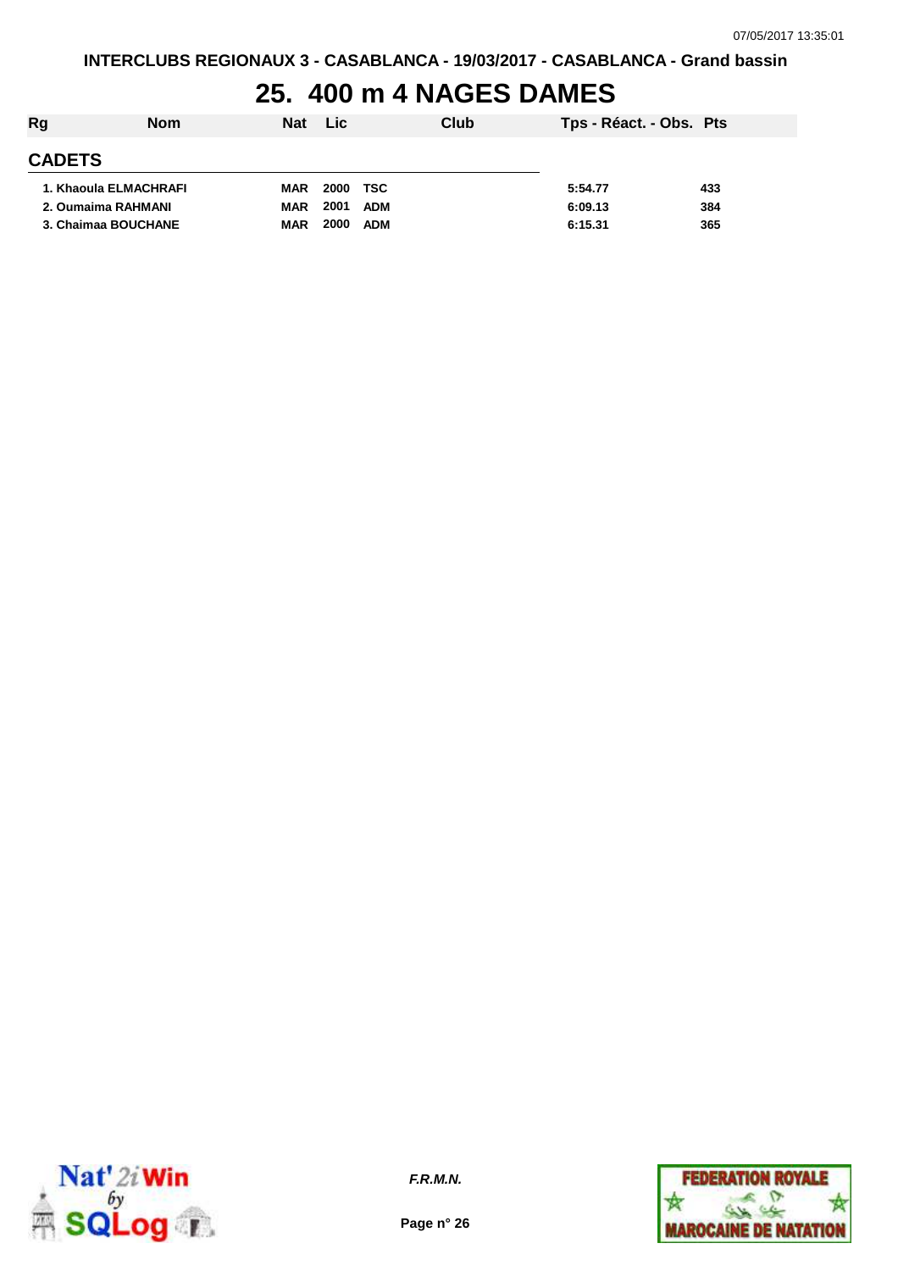## **25. 400 m 4 NAGES DAMES**

| Rg            | <b>Nom</b>            | <b>Nat</b> | Lic                | Club | Tps - Réact. - Obs. Pts |     |
|---------------|-----------------------|------------|--------------------|------|-------------------------|-----|
| <b>CADETS</b> |                       |            |                    |      |                         |     |
|               | 1. Khaoula ELMACHRAFI | <b>MAR</b> | 2000<br>TSC        |      | 5:54.77                 | 433 |
|               | 2. Oumaima RAHMANI    | <b>MAR</b> | 2001<br><b>ADM</b> |      | 6:09.13                 | 384 |
|               | 3. Chaimaa BOUCHANE   | <b>MAR</b> | 2000<br><b>ADM</b> |      | 6:15.31                 | 365 |



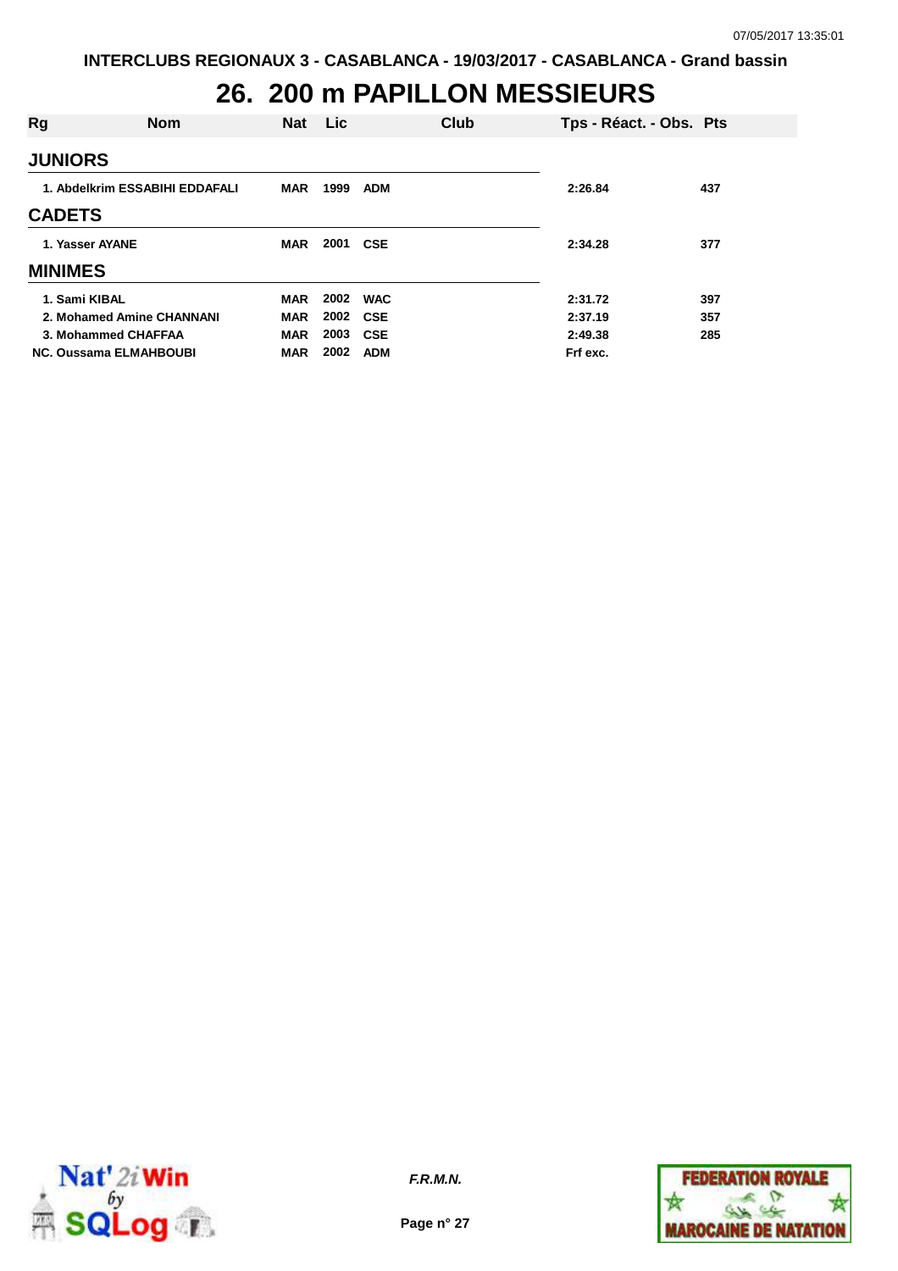## **26. 200 m PAPILLON MESSIEURS**

| Rg                             | <b>Nom</b> | <b>Nat</b> | <b>Lic</b> |            | Club | Tps - Réact. - Obs. Pts |     |
|--------------------------------|------------|------------|------------|------------|------|-------------------------|-----|
| <b>JUNIORS</b>                 |            |            |            |            |      |                         |     |
| 1. Abdelkrim ESSABIHI EDDAFALI |            | MAR        | 1999       | <b>ADM</b> |      | 2:26.84                 | 437 |
| <b>CADETS</b>                  |            |            |            |            |      |                         |     |
| 1. Yasser AYANE                |            | <b>MAR</b> | 2001       | <b>CSE</b> |      | 2:34.28                 | 377 |
| <b>MINIMES</b>                 |            |            |            |            |      |                         |     |
| 1. Sami KIBAL                  |            | <b>MAR</b> | 2002       | <b>WAC</b> |      | 2:31.72                 | 397 |
| 2. Mohamed Amine CHANNANI      |            | <b>MAR</b> | 2002       | <b>CSE</b> |      | 2:37.19                 | 357 |
| 3. Mohammed CHAFFAA            |            | <b>MAR</b> | 2003       | <b>CSE</b> |      | 2:49.38                 | 285 |
| <b>NC. Oussama ELMAHBOUBI</b>  |            | MAR        | 2002       | <b>ADM</b> |      | Frf exc.                |     |



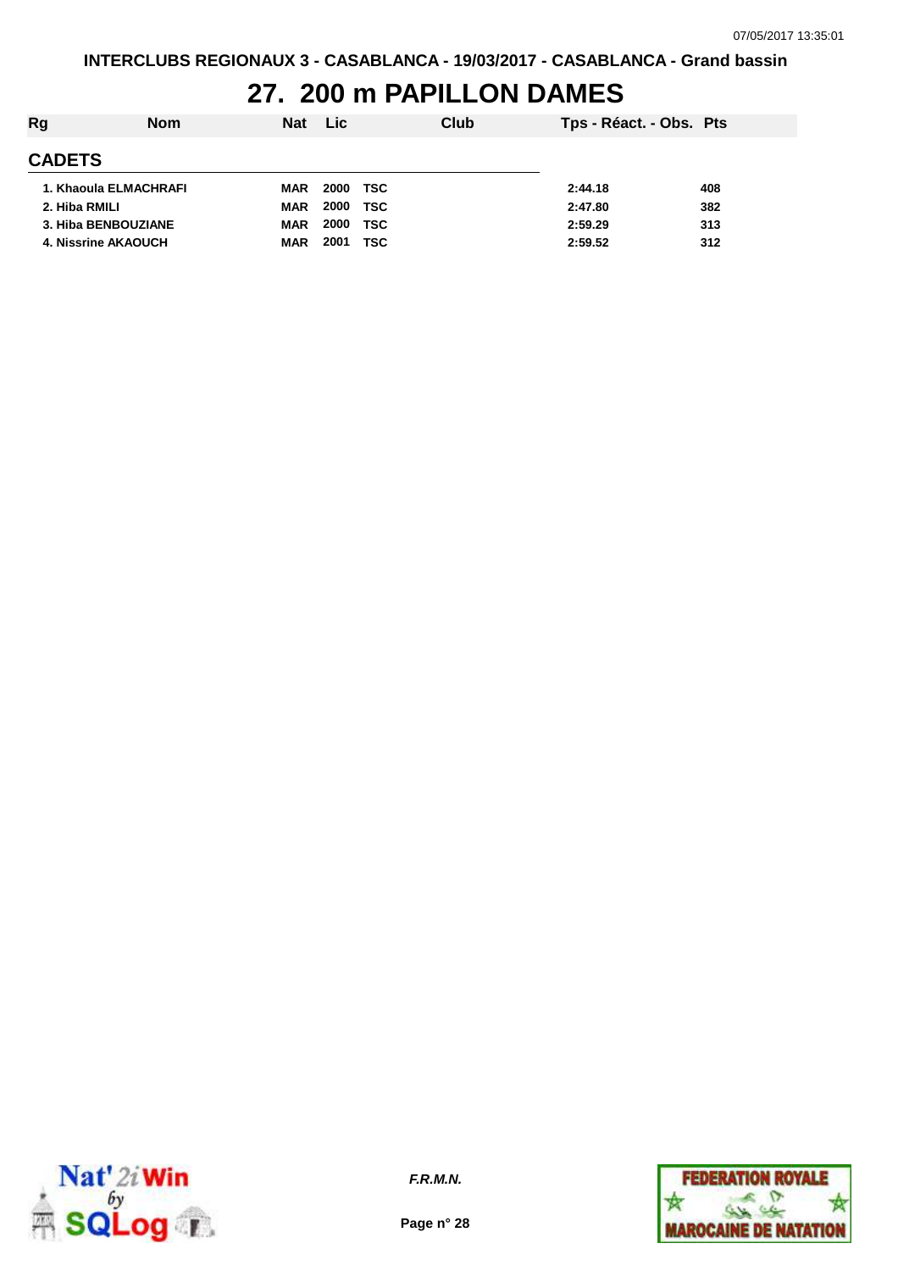# **27. 200 m PAPILLON DAMES**

| Rg<br>Club<br><b>Lic</b><br><b>Nat</b><br><b>Nom</b>    | Tps - Réact. - Obs. Pts |     |
|---------------------------------------------------------|-------------------------|-----|
| <b>CADETS</b>                                           |                         |     |
| 2000<br>TSC<br>1. Khaoula ELMACHRAFI<br><b>MAR</b>      | 2:44.18                 | 408 |
| 2000<br><b>TSC</b><br>2. Hiba RMILI<br><b>MAR</b>       | 2:47.80                 | 382 |
| 2000<br><b>TSC</b><br>3. Hiba BENBOUZIANE<br><b>MAR</b> | 2:59.29                 | 313 |
| 2001<br><b>TSC</b><br>4. Nissrine AKAOUCH<br><b>MAR</b> | 2:59.52                 | 312 |



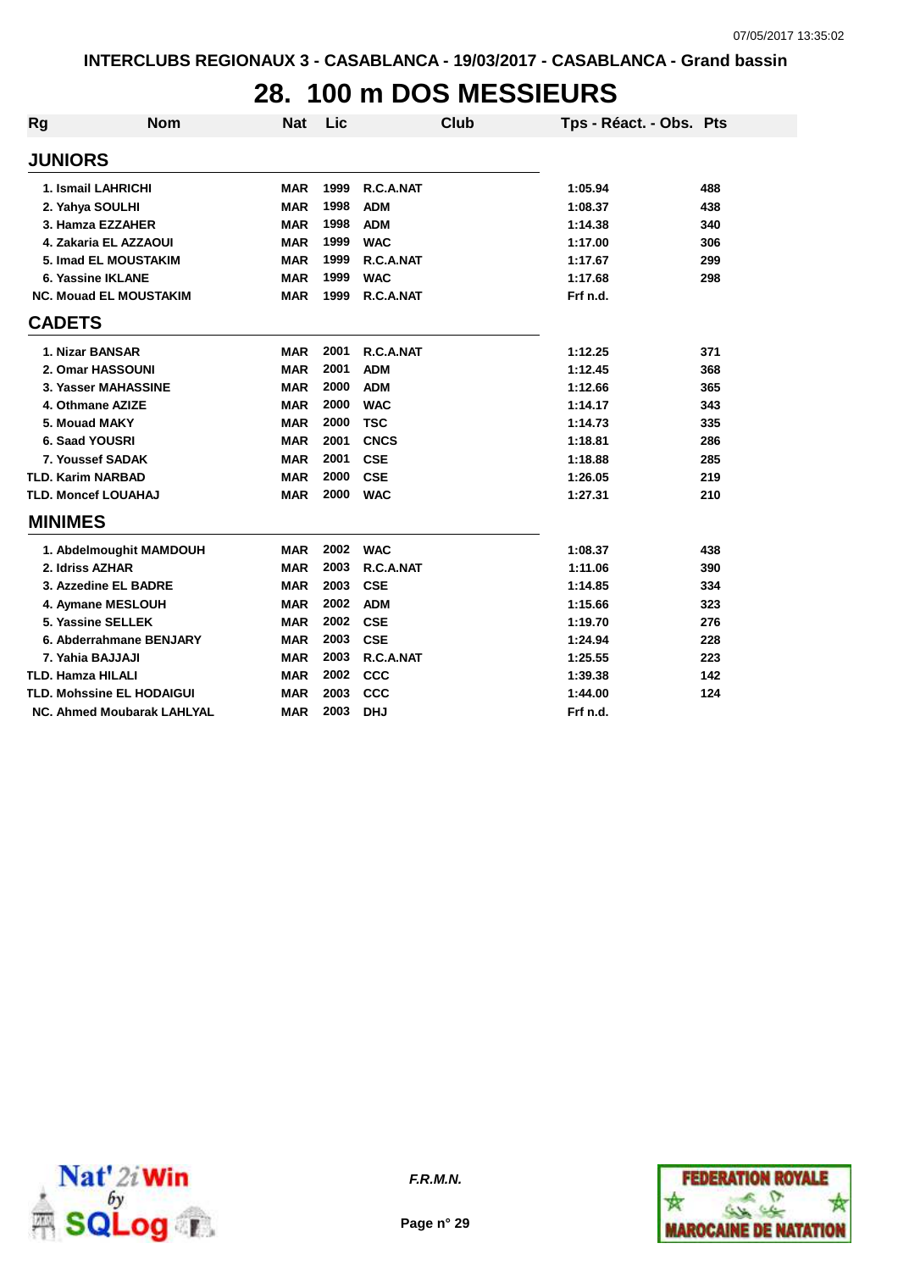# **28. 100 m DOS MESSIEURS**

| Rg                         | <b>Nom</b>                       | <b>Nat</b> | Lic  | Club        | Tps - Réact. - Obs. Pts |     |
|----------------------------|----------------------------------|------------|------|-------------|-------------------------|-----|
| <b>JUNIORS</b>             |                                  |            |      |             |                         |     |
| 1. Ismail LAHRICHI         |                                  | <b>MAR</b> | 1999 | R.C.A.NAT   | 1:05.94                 | 488 |
| 2. Yahya SOULHI            |                                  | <b>MAR</b> | 1998 | <b>ADM</b>  | 1:08.37                 | 438 |
|                            | 3. Hamza EZZAHER                 | <b>MAR</b> | 1998 | <b>ADM</b>  | 1:14.38                 | 340 |
|                            | 4. Zakaria EL AZZAOUI            | <b>MAR</b> | 1999 | <b>WAC</b>  | 1:17.00                 | 306 |
|                            | 5. Imad EL MOUSTAKIM             | <b>MAR</b> | 1999 | R.C.A.NAT   | 1:17.67                 | 299 |
| 6. Yassine IKLANE          |                                  | <b>MAR</b> | 1999 | <b>WAC</b>  | 1:17.68                 | 298 |
|                            | <b>NC. Mouad EL MOUSTAKIM</b>    | <b>MAR</b> | 1999 | R.C.A.NAT   | Frf n.d.                |     |
| <b>CADETS</b>              |                                  |            |      |             |                         |     |
| 1. Nizar BANSAR            |                                  | <b>MAR</b> | 2001 | R.C.A.NAT   | 1:12.25                 | 371 |
| 2. Omar HASSOUNI           |                                  | <b>MAR</b> | 2001 | <b>ADM</b>  | 1:12.45                 | 368 |
|                            | 3. Yasser MAHASSINE              | <b>MAR</b> | 2000 | <b>ADM</b>  | 1:12.66                 | 365 |
| 4. Othmane AZIZE           |                                  | <b>MAR</b> | 2000 | <b>WAC</b>  | 1:14.17                 | 343 |
| 5. Mouad MAKY              |                                  | <b>MAR</b> | 2000 | <b>TSC</b>  | 1:14.73                 | 335 |
| 6. Saad YOUSRI             |                                  | <b>MAR</b> | 2001 | <b>CNCS</b> | 1:18.81                 | 286 |
| 7. Youssef SADAK           |                                  | <b>MAR</b> | 2001 | <b>CSE</b>  | 1:18.88                 | 285 |
| <b>TLD. Karim NARBAD</b>   |                                  | <b>MAR</b> | 2000 | <b>CSE</b>  | 1:26.05                 | 219 |
| <b>TLD. Moncef LOUAHAJ</b> |                                  | <b>MAR</b> | 2000 | <b>WAC</b>  | 1:27.31                 | 210 |
| <b>MINIMES</b>             |                                  |            |      |             |                         |     |
|                            | 1. Abdelmoughit MAMDOUH          | <b>MAR</b> | 2002 | <b>WAC</b>  | 1:08.37                 | 438 |
| 2. Idriss AZHAR            |                                  | <b>MAR</b> | 2003 | R.C.A.NAT   | 1:11.06                 | 390 |
|                            | 3. Azzedine EL BADRE             | <b>MAR</b> | 2003 | <b>CSE</b>  | 1:14.85                 | 334 |
|                            | 4. Aymane MESLOUH                | <b>MAR</b> | 2002 | <b>ADM</b>  | 1:15.66                 | 323 |
| 5. Yassine SELLEK          |                                  | <b>MAR</b> | 2002 | <b>CSE</b>  | 1:19.70                 | 276 |
|                            | 6. Abderrahmane BENJARY          | <b>MAR</b> | 2003 | <b>CSE</b>  | 1:24.94                 | 228 |
| 7. Yahia BAJJAJI           |                                  | <b>MAR</b> | 2003 | R.C.A.NAT   | 1:25.55                 | 223 |
| <b>TLD. Hamza HILALI</b>   |                                  | <b>MAR</b> | 2002 | <b>CCC</b>  | 1:39.38                 | 142 |
|                            | <b>TLD. Mohssine EL HODAIGUI</b> | <b>MAR</b> | 2003 | <b>CCC</b>  | 1:44.00                 | 124 |
|                            | NC. Ahmed Moubarak LAHLYAL       | <b>MAR</b> | 2003 | <b>DHJ</b>  | Frf n.d.                |     |



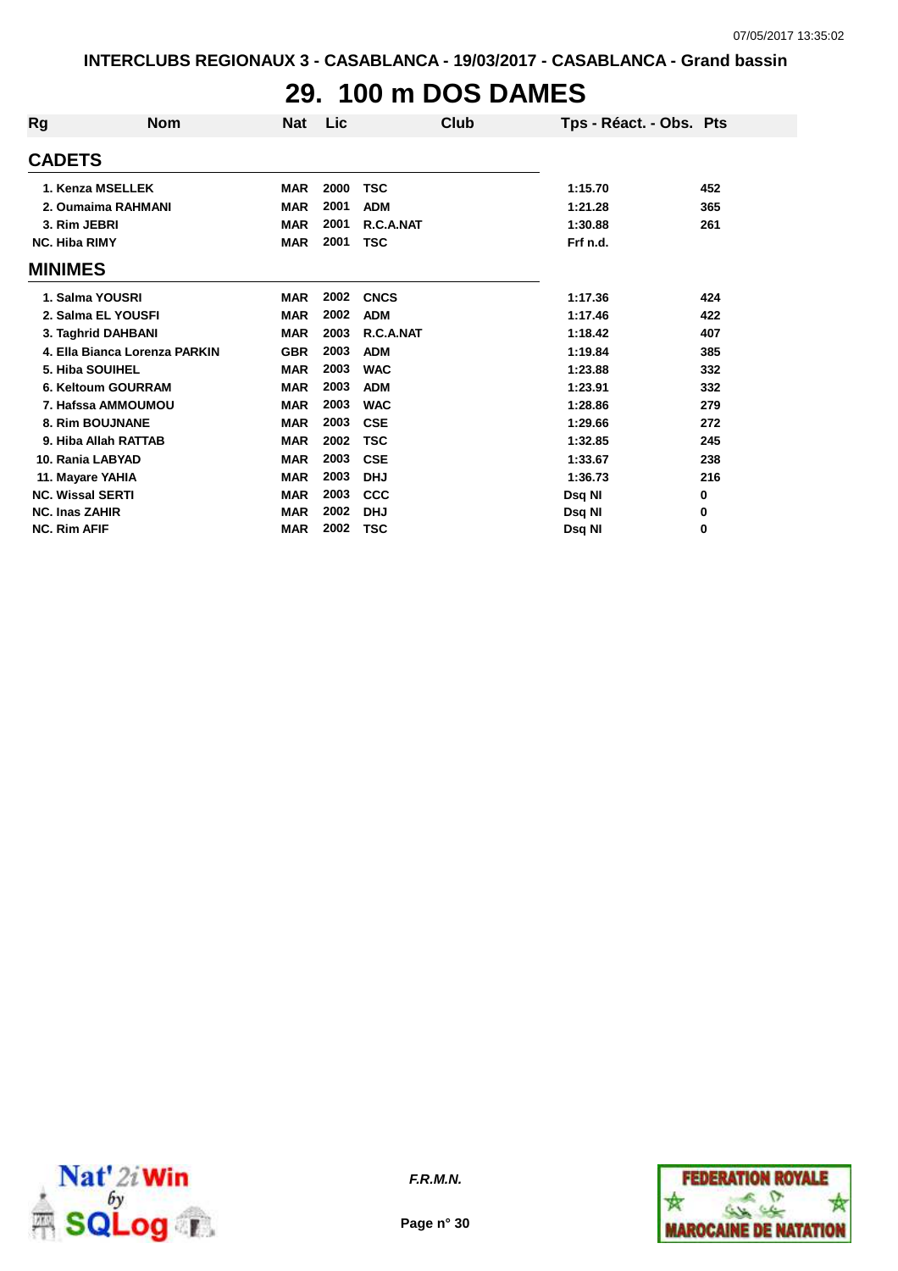## **29. 100 m DOS DAMES**

| Rg                      | <b>Nom</b>                    | <b>Nat</b> | <b>Lic</b> | Club        | Tps - Réact. - Obs. Pts |     |
|-------------------------|-------------------------------|------------|------------|-------------|-------------------------|-----|
| <b>CADETS</b>           |                               |            |            |             |                         |     |
|                         | 1. Kenza MSELLEK              | <b>MAR</b> | 2000       | TSC         | 1:15.70                 | 452 |
|                         | 2. Oumaima RAHMANI            | <b>MAR</b> | 2001       | <b>ADM</b>  | 1:21.28                 | 365 |
| 3. Rim JEBRI            |                               | <b>MAR</b> | 2001       | R.C.A.NAT   | 1:30.88                 | 261 |
| <b>NC. Hiba RIMY</b>    |                               | <b>MAR</b> | 2001       | <b>TSC</b>  | Frf n.d.                |     |
| <b>MINIMES</b>          |                               |            |            |             |                         |     |
|                         | 1. Salma YOUSRI               | <b>MAR</b> | 2002       | <b>CNCS</b> | 1:17.36                 | 424 |
|                         | 2. Salma EL YOUSFI            | <b>MAR</b> | 2002       | <b>ADM</b>  | 1:17.46                 | 422 |
|                         | 3. Taghrid DAHBANI            | <b>MAR</b> | 2003       | R.C.A.NAT   | 1:18.42                 | 407 |
|                         | 4. Ella Bianca Lorenza PARKIN | <b>GBR</b> | 2003       | <b>ADM</b>  | 1:19.84                 | 385 |
|                         | 5. Hiba SOUIHEL               | <b>MAR</b> | 2003       | <b>WAC</b>  | 1:23.88                 | 332 |
|                         | 6. Keltoum GOURRAM            | <b>MAR</b> | 2003       | <b>ADM</b>  | 1:23.91                 | 332 |
|                         | 7. Hafssa AMMOUMOU            | <b>MAR</b> | 2003       | <b>WAC</b>  | 1:28.86                 | 279 |
|                         | 8. Rim BOUJNANE               | <b>MAR</b> | 2003       | <b>CSE</b>  | 1:29.66                 | 272 |
|                         | 9. Hiba Allah RATTAB          | <b>MAR</b> | 2002       | <b>TSC</b>  | 1:32.85                 | 245 |
| 10. Rania LABYAD        |                               | <b>MAR</b> | 2003       | <b>CSE</b>  | 1:33.67                 | 238 |
| 11. Mayare YAHIA        |                               | <b>MAR</b> | 2003       | <b>DHJ</b>  | 1:36.73                 | 216 |
| <b>NC. Wissal SERTI</b> |                               | <b>MAR</b> | 2003       | <b>CCC</b>  | Dsq NI                  | 0   |
| <b>NC. Inas ZAHIR</b>   |                               | <b>MAR</b> | 2002       | <b>DHJ</b>  | Dsq NI                  | 0   |
| <b>NC. Rim AFIF</b>     |                               | <b>MAR</b> | 2002       | TSC         | Dsg NI                  | 0   |



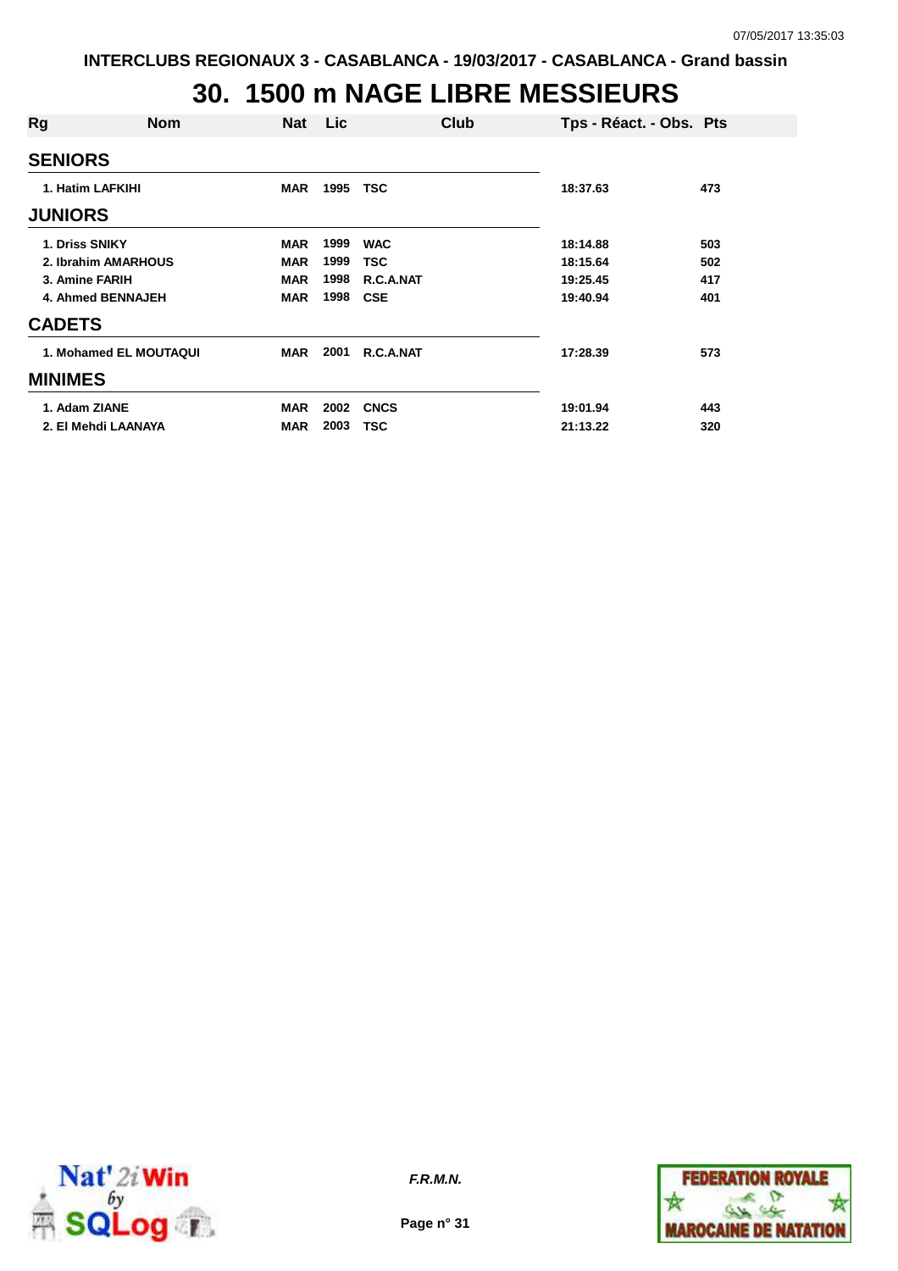## **30. 1500 m NAGE LIBRE MESSIEURS**

| Rg               | Nom                    | Nat        | Lic. | Club        | Tps - Réact. - Obs. Pts |     |
|------------------|------------------------|------------|------|-------------|-------------------------|-----|
| <b>SENIORS</b>   |                        |            |      |             |                         |     |
| 1. Hatim LAFKIHI |                        | <b>MAR</b> | 1995 | TSC         | 18:37.63                | 473 |
| <b>JUNIORS</b>   |                        |            |      |             |                         |     |
| 1. Driss SNIKY   |                        | <b>MAR</b> | 1999 | <b>WAC</b>  | 18:14.88                | 503 |
|                  | 2. Ibrahim AMARHOUS    | <b>MAR</b> | 1999 | <b>TSC</b>  | 18:15.64                | 502 |
| 3. Amine FARIH   |                        | <b>MAR</b> | 1998 | R.C.A.NAT   | 19:25.45                | 417 |
|                  | 4. Ahmed BENNAJEH      | <b>MAR</b> | 1998 | <b>CSE</b>  | 19:40.94                | 401 |
| <b>CADETS</b>    |                        |            |      |             |                         |     |
|                  | 1. Mohamed EL MOUTAQUI | <b>MAR</b> | 2001 | R.C.A.NAT   | 17:28.39                | 573 |
| <b>MINIMES</b>   |                        |            |      |             |                         |     |
| 1. Adam ZIANE    |                        | <b>MAR</b> | 2002 | <b>CNCS</b> | 19:01.94                | 443 |
|                  | 2. El Mehdi LAANAYA    | <b>MAR</b> | 2003 | TSC         | 21:13.22                | 320 |



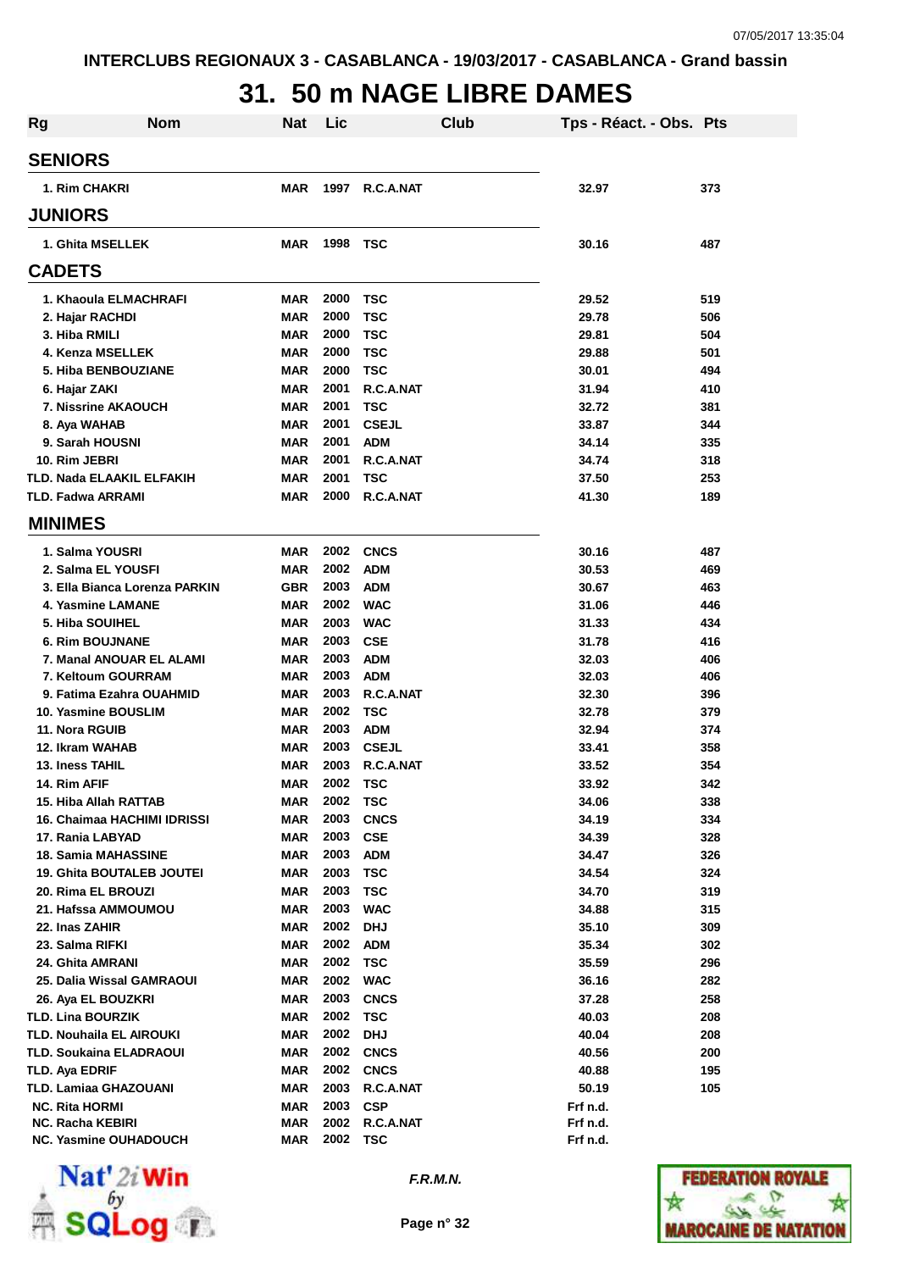## **31. 50 m NAGE LIBRE DAMES**

| <b>Rg</b> | <b>Nom</b>                    | Nat        | Lic  |                  | <b>Club</b> | Tps - Réact. - Obs. Pts |     |
|-----------|-------------------------------|------------|------|------------------|-------------|-------------------------|-----|
|           | <b>SENIORS</b>                |            |      |                  |             |                         |     |
|           | 1. Rim CHAKRI                 | <b>MAR</b> | 1997 | R.C.A.NAT        |             | 32.97                   | 373 |
|           | <b>JUNIORS</b>                |            |      |                  |             |                         |     |
|           | 1. Ghita MSELLEK              | MAR        | 1998 | <b>TSC</b>       |             | 30.16                   | 487 |
|           | <b>CADETS</b>                 |            |      |                  |             |                         |     |
|           | 1. Khaoula ELMACHRAFI         | MAR        | 2000 | TSC              |             | 29.52                   | 519 |
|           | 2. Hajar RACHDI               | <b>MAR</b> | 2000 | <b>TSC</b>       |             | 29.78                   | 506 |
|           | 3. Hiba RMILI                 | MAR        | 2000 | <b>TSC</b>       |             | 29.81                   | 504 |
|           | 4. Kenza MSELLEK              | <b>MAR</b> | 2000 | <b>TSC</b>       |             | 29.88                   | 501 |
|           | 5. Hiba BENBOUZIANE           | <b>MAR</b> | 2000 | <b>TSC</b>       |             | 30.01                   | 494 |
|           | 6. Hajar ZAKI                 | <b>MAR</b> | 2001 | R.C.A.NAT        |             | 31.94                   | 410 |
|           | <b>7. Nissrine AKAOUCH</b>    | <b>MAR</b> | 2001 | <b>TSC</b>       |             | 32.72                   | 381 |
|           | 8. Aya WAHAB                  | <b>MAR</b> | 2001 | <b>CSEJL</b>     |             | 33.87                   | 344 |
|           | 9. Sarah HOUSNI               | <b>MAR</b> | 2001 | <b>ADM</b>       |             | 34.14                   | 335 |
|           | 10. Rim JEBRI                 | <b>MAR</b> | 2001 | R.C.A.NAT        |             | 34.74                   | 318 |
|           | TLD. Nada ELAAKIL ELFAKIH     | <b>MAR</b> | 2001 | <b>TSC</b>       |             | 37.50                   | 253 |
|           | <b>TLD. Fadwa ARRAMI</b>      | <b>MAR</b> | 2000 | R.C.A.NAT        |             | 41.30                   | 189 |
|           | <b>MINIMES</b>                |            |      |                  |             |                         |     |
|           | 1. Salma YOUSRI               | MAR        | 2002 | <b>CNCS</b>      |             | 30.16                   | 487 |
|           | 2. Salma EL YOUSFI            | <b>MAR</b> | 2002 | <b>ADM</b>       |             | 30.53                   | 469 |
|           | 3. Ella Bianca Lorenza PARKIN | <b>GBR</b> | 2003 | <b>ADM</b>       |             | 30.67                   | 463 |
|           | 4. Yasmine LAMANE             | <b>MAR</b> | 2002 | <b>WAC</b>       |             | 31.06                   | 446 |
|           | 5. Hiba SOUIHEL               | <b>MAR</b> | 2003 | <b>WAC</b>       |             | 31.33                   | 434 |
|           | <b>6. Rim BOUJNANE</b>        | <b>MAR</b> | 2003 | <b>CSE</b>       |             | 31.78                   | 416 |
|           | 7. Manal ANOUAR EL ALAMI      | <b>MAR</b> | 2003 | <b>ADM</b>       |             | 32.03                   | 406 |
|           | 7. Keltoum GOURRAM            | <b>MAR</b> | 2003 | <b>ADM</b>       |             | 32.03                   | 406 |
|           | 9. Fatima Ezahra OUAHMID      | <b>MAR</b> | 2003 | R.C.A.NAT        |             | 32.30                   | 396 |
|           | 10. Yasmine BOUSLIM           | MAR        | 2002 | <b>TSC</b>       |             | 32.78                   | 379 |
|           | 11. Nora RGUIB                | <b>MAR</b> | 2003 | <b>ADM</b>       |             | 32.94                   | 374 |
|           | 12. Ikram WAHAB               | MAR        | 2003 | <b>CSEJL</b>     |             | 33.41                   | 358 |
|           | 13. Iness TAHIL               | MAR        | 2003 | R.C.A.NAT        |             | 33.52                   | 354 |
|           | 14. Rim AFIF                  | <b>MAR</b> | 2002 | TSC              |             | 33.92                   | 342 |
|           | 15. Hiba Allah RATTAB         | MAR        | 2002 | <b>TSC</b>       |             | 34.06                   | 338 |
|           | 16. Chaimaa HACHIMI IDRISSI   | MAR        | 2003 | <b>CNCS</b>      |             | 34.19                   | 334 |
|           | 17. Rania LABYAD              | <b>MAR</b> | 2003 | <b>CSE</b>       |             | 34.39                   | 328 |
|           | <b>18. Samia MAHASSINE</b>    | <b>MAR</b> | 2003 | <b>ADM</b>       |             | 34.47                   | 326 |
|           | 19. Ghita BOUTALEB JOUTEI     | <b>MAR</b> | 2003 | <b>TSC</b>       |             | 34.54                   | 324 |
|           | 20. Rima EL BROUZI            | <b>MAR</b> | 2003 | <b>TSC</b>       |             | 34.70                   | 319 |
|           | 21. Hafssa AMMOUMOU           | <b>MAR</b> | 2003 | <b>WAC</b>       |             | 34.88                   | 315 |
|           | 22. Inas ZAHIR                | <b>MAR</b> | 2002 | <b>DHJ</b>       |             | 35.10                   | 309 |
|           | 23. Salma RIFKI               | <b>MAR</b> | 2002 | <b>ADM</b>       |             | 35.34                   | 302 |
|           | 24. Ghita AMRANI              | <b>MAR</b> | 2002 | <b>TSC</b>       |             | 35.59                   | 296 |
|           | 25. Dalia Wissal GAMRAOUI     | <b>MAR</b> | 2002 | <b>WAC</b>       |             | 36.16                   | 282 |
|           | 26. Aya EL BOUZKRI            | <b>MAR</b> | 2003 | <b>CNCS</b>      |             | 37.28                   | 258 |
|           | <b>TLD. Lina BOURZIK</b>      | <b>MAR</b> | 2002 | <b>TSC</b>       |             | 40.03                   | 208 |
|           | TLD. Nouhaila EL AIROUKI      | MAR        | 2002 | <b>DHJ</b>       |             | 40.04                   | 208 |
|           | TLD. Soukaina ELADRAOUI       | <b>MAR</b> |      | <b>2002 CNCS</b> |             | 40.56                   | 200 |
|           | TLD. Aya EDRIF                | <b>MAR</b> | 2002 | <b>CNCS</b>      |             | 40.88                   | 195 |
|           | TLD. Lamiaa GHAZOUANI         | MAR        | 2003 | R.C.A.NAT        |             | 50.19                   | 105 |
|           | <b>NC. Rita HORMI</b>         | <b>MAR</b> | 2003 | <b>CSP</b>       |             | Frf n.d.                |     |
|           | <b>NC. Racha KEBIRI</b>       | MAR        | 2002 | R.C.A.NAT        |             | Frf n.d.                |     |
|           | NC. Yasmine OUHADOUCH         | <b>MAR</b> | 2002 | <b>TSC</b>       |             | Frf n.d.                |     |



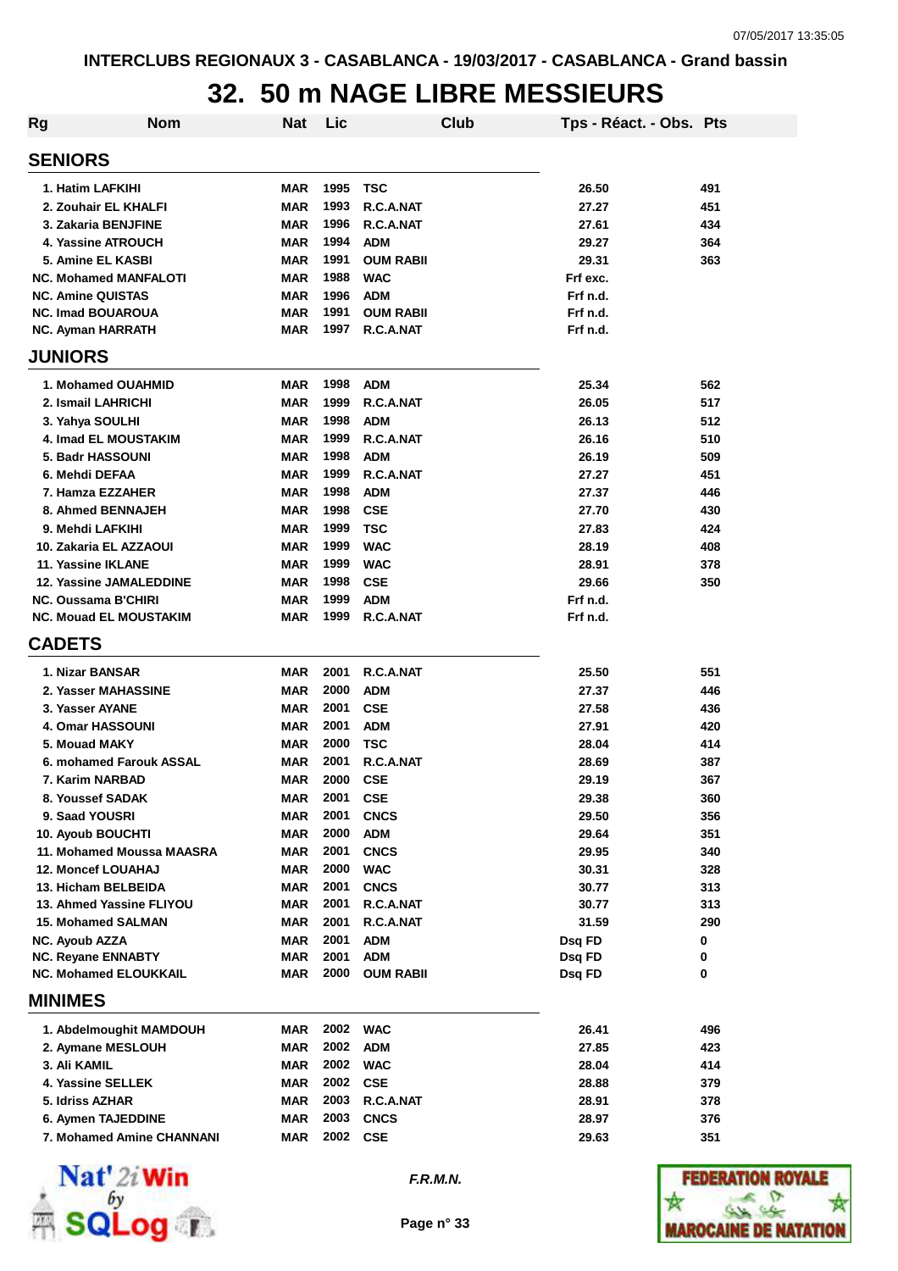# **32. 50 m NAGE LIBRE MESSIEURS**

| <b>Rg</b>                                       | <b>Nom</b> | <b>Nat</b>        | Lic          |                          | Club | Tps - Réact. - Obs. Pts |            |
|-------------------------------------------------|------------|-------------------|--------------|--------------------------|------|-------------------------|------------|
| <b>SENIORS</b>                                  |            |                   |              |                          |      |                         |            |
| 1. Hatim LAFKIHI                                |            | <b>MAR</b>        | 1995         | <b>TSC</b>               |      | 26.50                   | 491        |
| 2. Zouhair EL KHALFI                            |            | <b>MAR</b>        | 1993         | R.C.A.NAT                |      | 27.27                   | 451        |
| 3. Zakaria BENJFINE                             |            | <b>MAR</b>        | 1996         | R.C.A.NAT                |      | 27.61                   | 434        |
| 4. Yassine ATROUCH                              |            | <b>MAR</b>        | 1994         | <b>ADM</b>               |      | 29.27                   | 364        |
| 5. Amine EL KASBI                               |            | <b>MAR</b>        | 1991         | <b>OUM RABII</b>         |      | 29.31                   | 363        |
| <b>NC. Mohamed MANFALOTI</b>                    |            | <b>MAR</b>        | 1988         | <b>WAC</b>               |      | Frf exc.                |            |
| <b>NC. Amine QUISTAS</b>                        |            | <b>MAR</b>        | 1996         | <b>ADM</b>               |      | Frf n.d.                |            |
| <b>NC. Imad BOUAROUA</b>                        |            | <b>MAR</b>        | 1991         | <b>OUM RABII</b>         |      | Frf n.d.                |            |
| <b>NC. Ayman HARRATH</b>                        |            | <b>MAR</b>        | 1997         | R.C.A.NAT                |      | Frf n.d.                |            |
| <b>JUNIORS</b>                                  |            |                   |              |                          |      |                         |            |
| 1. Mohamed OUAHMID                              |            | <b>MAR</b>        | 1998         | <b>ADM</b>               |      | 25.34                   | 562        |
| 2. Ismail LAHRICHI                              |            | <b>MAR</b>        | 1999         | R.C.A.NAT                |      | 26.05                   | 517        |
| 3. Yahya SOULHI                                 |            | <b>MAR</b>        | 1998         | <b>ADM</b>               |      | 26.13                   | 512        |
| <b>4. Imad EL MOUSTAKIM</b>                     |            | <b>MAR</b>        | 1999         | R.C.A.NAT                |      | 26.16                   | 510        |
| 5. Badr HASSOUNI                                |            | <b>MAR</b>        | 1998         | <b>ADM</b>               |      | 26.19                   | 509        |
| 6. Mehdi DEFAA                                  |            | <b>MAR</b>        | 1999         | R.C.A.NAT                |      | 27.27                   | 451        |
| 7. Hamza EZZAHER                                |            | <b>MAR</b>        | 1998         | <b>ADM</b>               |      | 27.37                   | 446        |
| 8. Ahmed BENNAJEH                               |            | <b>MAR</b>        | 1998         | <b>CSE</b>               |      | 27.70                   | 430        |
| 9. Mehdi LAFKIHI                                |            | <b>MAR</b>        | 1999         | <b>TSC</b>               |      | 27.83                   | 424        |
| 10. Zakaria EL AZZAOUI                          |            | MAR               | 1999         | <b>WAC</b>               |      | 28.19                   | 408        |
| 11. Yassine IKLANE                              |            | <b>MAR</b>        | 1999         | <b>WAC</b>               |      | 28.91                   | 378        |
| <b>12. Yassine JAMALEDDINE</b>                  |            | <b>MAR</b>        | 1998         | <b>CSE</b>               |      | 29.66                   | 350        |
| NC. Oussama B'CHIRI                             |            | <b>MAR</b>        | 1999         | <b>ADM</b>               |      | Frf n.d.                |            |
| <b>NC. Mouad EL MOUSTAKIM</b>                   |            | MAR               | 1999         | R.C.A.NAT                |      | Frf n.d.                |            |
| <b>CADETS</b>                                   |            |                   |              |                          |      |                         |            |
| 1. Nizar BANSAR                                 |            | <b>MAR</b>        | 2001         | R.C.A.NAT                |      | 25.50                   | 551        |
| 2. Yasser MAHASSINE                             |            | <b>MAR</b>        | 2000         | <b>ADM</b>               |      | 27.37                   | 446        |
| 3. Yasser AYANE                                 |            | <b>MAR</b>        | 2001         | <b>CSE</b>               |      | 27.58                   | 436        |
| <b>4. Omar HASSOUNI</b>                         |            | MAR               | 2001         | <b>ADM</b>               |      | 27.91                   | 420        |
| 5. Mouad MAKY                                   |            | MAR               | 2000         | TSC                      |      | 28.04                   | 414        |
| 6. mohamed Farouk ASSAL                         |            | <b>MAR</b>        | 2001         | R.C.A.NAT                |      | 28.69                   | 387        |
| 7. Karim NARBAD                                 |            | <b>MAR</b>        | 2000         | <b>CSE</b>               |      | 29.19                   | 367        |
| 8. Youssef SADAK                                |            | MAR               | 2001         | <b>CSE</b>               |      | 29.38                   | 360        |
| 9. Saad YOUSRI                                  |            | <b>MAR</b>        | 2001         | <b>CNCS</b>              |      | 29.50                   | 356        |
| 10. Ayoub BOUCHTI                               |            | <b>MAR</b>        | 2000         | <b>ADM</b>               |      | 29.64                   | 351        |
| 11. Mohamed Moussa MAASRA                       |            | <b>MAR</b>        | 2001         | <b>CNCS</b>              |      | 29.95                   | 340        |
| <b>12. Moncef LOUAHAJ</b>                       |            | <b>MAR</b>        | 2000         | <b>WAC</b>               |      | 30.31                   | 328        |
| 13. Hicham BELBEIDA<br>13. Ahmed Yassine FLIYOU |            | <b>MAR</b><br>MAR | 2001<br>2001 | <b>CNCS</b><br>R.C.A.NAT |      | 30.77<br>30.77          | 313<br>313 |
| <b>15. Mohamed SALMAN</b>                       |            | <b>MAR</b>        | 2001         | R.C.A.NAT                |      | 31.59                   | 290        |
| <b>NC. Ayoub AZZA</b>                           |            | <b>MAR</b>        | 2001         | <b>ADM</b>               |      | Dsq FD                  | 0          |
| NC. Reyane ENNABTY                              |            | <b>MAR</b>        | 2001         | <b>ADM</b>               |      | Dsq FD                  | 0          |
| <b>NC. Mohamed ELOUKKAIL</b>                    |            | <b>MAR</b>        | 2000         | <b>OUM RABII</b>         |      | Dsq FD                  | 0          |
| <b>MINIMES</b>                                  |            |                   |              |                          |      |                         |            |
|                                                 |            |                   |              |                          |      |                         |            |
| 1. Abdelmoughit MAMDOUH                         |            | MAR               | 2002         | <b>WAC</b>               |      | 26.41                   | 496        |
| 2. Aymane MESLOUH                               |            | MAR               | 2002         | <b>ADM</b>               |      | 27.85                   | 423        |
| 3. Ali KAMIL                                    |            | <b>MAR</b>        | 2002         | <b>WAC</b>               |      | 28.04                   | 414        |
| 4. Yassine SELLEK                               |            | <b>MAR</b>        | 2002         | <b>CSE</b>               |      | 28.88                   | 379        |
| 5. Idriss AZHAR                                 |            | <b>MAR</b>        | 2003         | R.C.A.NAT                |      | 28.91                   | 378        |
| 6. Aymen TAJEDDINE                              |            | <b>MAR</b>        | 2003         | <b>CNCS</b>              |      | 28.97                   | 376        |
| 7. Mohamed Amine CHANNANI                       |            | <b>MAR</b>        | 2002         | <b>CSE</b>               |      | 29.63                   | 351        |